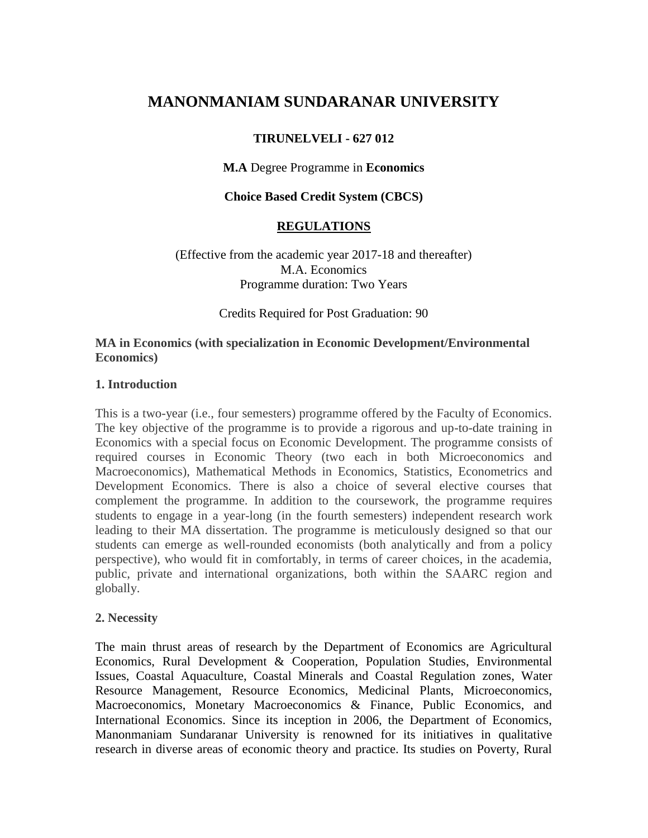# **MANONMANIAM SUNDARANAR UNIVERSITY**

# **TIRUNELVELI - 627 012**

### **M.A** Degree Programme in **Economics**

### **Choice Based Credit System (CBCS)**

### **REGULATIONS**

#### (Effective from the academic year 2017-18 and thereafter) M.A. Economics Programme duration: Two Years

Credits Required for Post Graduation: 90

#### **MA in Economics (with specialization in Economic Development/Environmental Economics)**

#### **1. Introduction**

This is a two-year (i.e., four semesters) programme offered by the Faculty of Economics. The key objective of the programme is to provide a rigorous and up-to-date training in Economics with a special focus on Economic Development. The programme consists of required courses in Economic Theory (two each in both Microeconomics and Macroeconomics), Mathematical Methods in Economics, Statistics, Econometrics and Development Economics. There is also a choice of several elective courses that complement the programme. In addition to the coursework, the programme requires students to engage in a year-long (in the fourth semesters) independent research work leading to their MA dissertation. The programme is meticulously designed so that our students can emerge as well-rounded economists (both analytically and from a policy perspective), who would fit in comfortably, in terms of career choices, in the academia, public, private and international organizations, both within the SAARC region and globally.

#### **2. Necessity**

The main thrust areas of research by the Department of Economics are Agricultural Economics, Rural Development & Cooperation, Population Studies, Environmental Issues, Coastal Aquaculture, Coastal Minerals and Coastal Regulation zones, Water Resource Management, Resource Economics, Medicinal Plants, Microeconomics, Macroeconomics, Monetary Macroeconomics & Finance, Public Economics, and International Economics. Since its inception in 2006, the Department of Economics, Manonmaniam Sundaranar University is renowned for its initiatives in qualitative research in diverse areas of economic theory and practice. Its studies on Poverty, Rural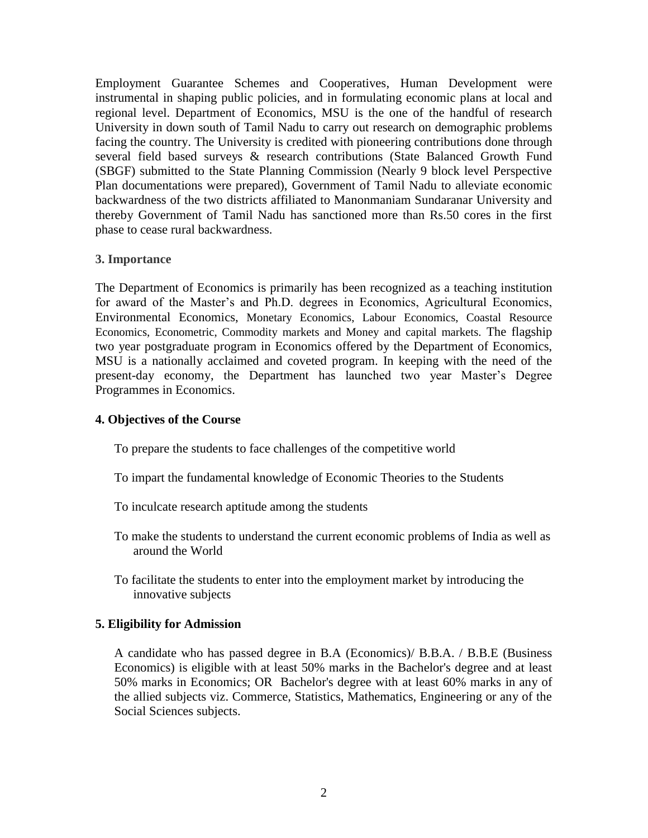Employment Guarantee Schemes and Cooperatives, Human Development were instrumental in shaping public policies, and in formulating economic plans at local and regional level. Department of Economics, MSU is the one of the handful of research University in down south of Tamil Nadu to carry out research on demographic problems facing the country. The University is credited with pioneering contributions done through several field based surveys & research contributions (State Balanced Growth Fund (SBGF) submitted to the State Planning Commission (Nearly 9 block level Perspective Plan documentations were prepared), Government of Tamil Nadu to alleviate economic backwardness of the two districts affiliated to Manonmaniam Sundaranar University and thereby Government of Tamil Nadu has sanctioned more than Rs.50 cores in the first phase to cease rural backwardness.

#### **3. Importance**

The Department of Economics is primarily has been recognized as a teaching institution for award of the Master's and Ph.D. degrees in Economics, Agricultural Economics, Environmental Economics, Monetary Economics, Labour Economics, Coastal Resource Economics, Econometric, Commodity markets and Money and capital markets. The flagship two year postgraduate program in Economics offered by the Department of Economics, MSU is a nationally acclaimed and coveted program. In keeping with the need of the present-day economy, the Department has launched two year Master's Degree Programmes in Economics.

#### **4. Objectives of the Course**

To prepare the students to face challenges of the competitive world

- To impart the fundamental knowledge of Economic Theories to the Students
- To inculcate research aptitude among the students
- To make the students to understand the current economic problems of India as well as around the World
- To facilitate the students to enter into the employment market by introducing the innovative subjects

#### **5. Eligibility for Admission**

A candidate who has passed degree in B.A (Economics)/ B.B.A. / B.B.E (Business Economics) is eligible with at least 50% marks in the Bachelor's degree and at least 50% marks in Economics; OR Bachelor's degree with at least 60% marks in any of the allied subjects viz. Commerce, Statistics, Mathematics, Engineering or any of the Social Sciences subjects.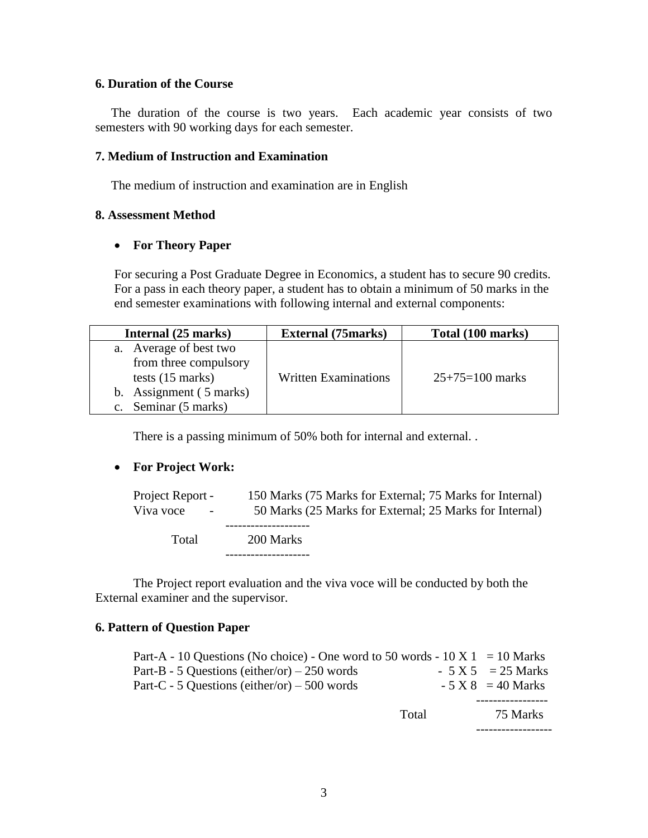#### **6. Duration of the Course**

 The duration of the course is two years. Each academic year consists of two semesters with 90 working days for each semester.

#### **7. Medium of Instruction and Examination**

The medium of instruction and examination are in English

#### **8. Assessment Method**

#### **For Theory Paper**

For securing a Post Graduate Degree in Economics, a student has to secure 90 credits. For a pass in each theory paper, a student has to obtain a minimum of 50 marks in the end semester examinations with following internal and external components:

| Internal (25 marks)                                                                                                              | <b>External (75marks)</b>   | Total (100 marks) |  |
|----------------------------------------------------------------------------------------------------------------------------------|-----------------------------|-------------------|--|
| a. Average of best two<br>from three compulsory<br>tests $(15 \text{ marks})$<br>b. Assignment (5 marks)<br>c. Seminar (5 marks) | <b>Written Examinations</b> | $25+75=100$ marks |  |

There is a passing minimum of 50% both for internal and external. .

#### **For Project Work:**

| Project Report -<br>Viva voce<br>$\sim$ | 150 Marks (75 Marks for External; 75 Marks for Internal)<br>50 Marks (25 Marks for External; 25 Marks for Internal) |
|-----------------------------------------|---------------------------------------------------------------------------------------------------------------------|
| Total                                   | 200 Marks                                                                                                           |

The Project report evaluation and the viva voce will be conducted by both the External examiner and the supervisor.

#### **6. Pattern of Question Paper**

| Part-A - 10 Questions (No choice) - One word to 50 words - $10 \text{ X}$ 1 = 10 Marks |       |                     |
|----------------------------------------------------------------------------------------|-------|---------------------|
| Part-B - 5 Questions (either/or) $-250$ words                                          |       | $-5 X 5 = 25 Marks$ |
| Part-C - 5 Questions (either/or) $-500$ words                                          |       | $-5 X 8 = 40$ Marks |
|                                                                                        |       |                     |
|                                                                                        | Total | 75 Marks            |
|                                                                                        |       |                     |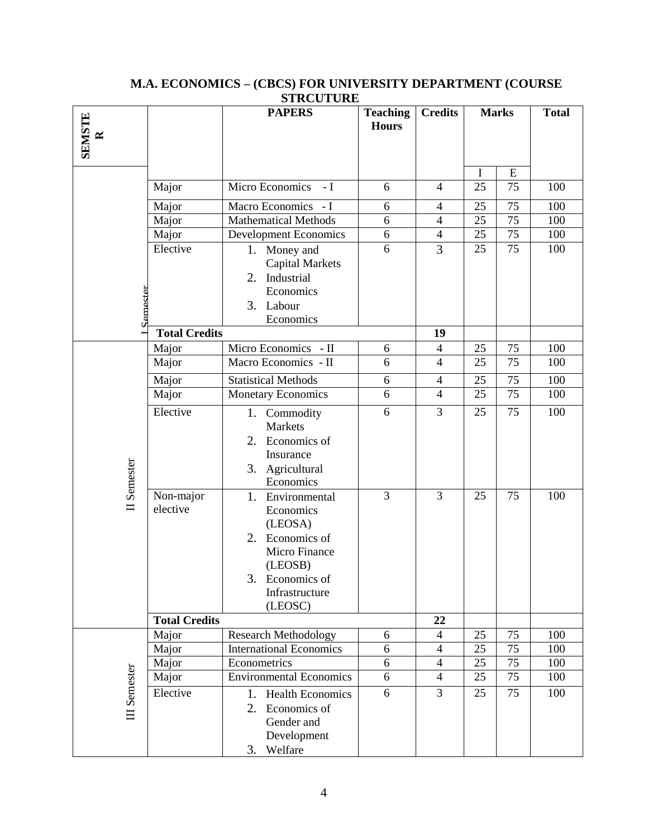| <b>SEMSTE</b><br>$\approx$ |                       | 511001<br><b>PAPERS</b>                                                                                                                          | <b>Teaching</b><br><b>Hours</b> | <b>Credits</b>           | <b>Marks</b> |    | <b>Total</b> |
|----------------------------|-----------------------|--------------------------------------------------------------------------------------------------------------------------------------------------|---------------------------------|--------------------------|--------------|----|--------------|
|                            |                       |                                                                                                                                                  |                                 |                          | $\mathbf I$  | E  |              |
|                            | Major                 | Micro Economics - I                                                                                                                              | 6                               | $\overline{4}$           | 25           | 75 | 100          |
|                            | Major                 | Macro Economics - I                                                                                                                              | 6                               | $\overline{4}$           | 25           | 75 | 100          |
|                            | Major                 | <b>Mathematical Methods</b>                                                                                                                      | 6                               | $\overline{4}$           | 25           | 75 | 100          |
|                            | Major                 | Development Economics                                                                                                                            | 6                               | $\overline{4}$           | 25           | 75 | 100          |
| Semester                   | Elective              | Money and<br>1.<br><b>Capital Markets</b><br>Industrial<br>2.<br>Economics<br>3. Labour<br>Economics                                             | 6                               | 3                        | 25           | 75 | 100          |
|                            | <b>Total Credits</b>  |                                                                                                                                                  |                                 | 19                       |              |    |              |
|                            | Major                 | Micro Economics - II                                                                                                                             | 6                               | $\overline{\mathcal{A}}$ | 25           | 75 | 100          |
|                            | Major                 | Macro Economics - II                                                                                                                             | 6                               | $\overline{4}$           | 25           | 75 | 100          |
|                            | Major                 | <b>Statistical Methods</b>                                                                                                                       | 6                               | $\overline{4}$           | 25           | 75 | 100          |
|                            | Major                 | <b>Monetary Economics</b>                                                                                                                        | 6                               | $\overline{4}$           | 25           | 75 | 100          |
| II Semester                | Elective              | 1.<br>Commodity<br><b>Markets</b><br>2.<br>Economics of<br>Insurance<br>3. Agricultural<br>Economics                                             | 6                               | 3                        | 25           | 75 | 100          |
|                            | Non-major<br>elective | Environmental<br>1.<br>Economics<br>(LEOSA)<br>Economics of<br>2.<br>Micro Finance<br>(LEOSB)<br>3.<br>Economics of<br>Infrastructure<br>(LEOSC) | $\overline{3}$                  | $\overline{3}$           | 25           | 75 | 100          |
|                            | <b>Total Credits</b>  |                                                                                                                                                  |                                 | 22                       |              |    |              |
|                            | Major                 | <b>Research Methodology</b>                                                                                                                      | 6                               | $\overline{4}$           | 25           | 75 | 100          |
|                            | Major                 | <b>International Economics</b>                                                                                                                   | 6                               | $\overline{4}$           | 25           | 75 | 100          |
|                            | Major                 | Econometrics                                                                                                                                     | $6\,$                           | $\overline{4}$           | 25           | 75 | 100          |
|                            | Major                 | <b>Environmental Economics</b>                                                                                                                   | 6                               | $\overline{4}$           | 25           | 75 | 100          |
| III Semester               | Elective              | 1.<br><b>Health Economics</b><br>2.<br>Economics of<br>Gender and<br>Development<br>Welfare<br>3.                                                | 6                               | 3                        | 25           | 75 | 100          |

#### **M.A. ECONOMICS – (CBCS) FOR UNIVERSITY DEPARTMENT (COURSE STRCUTURE**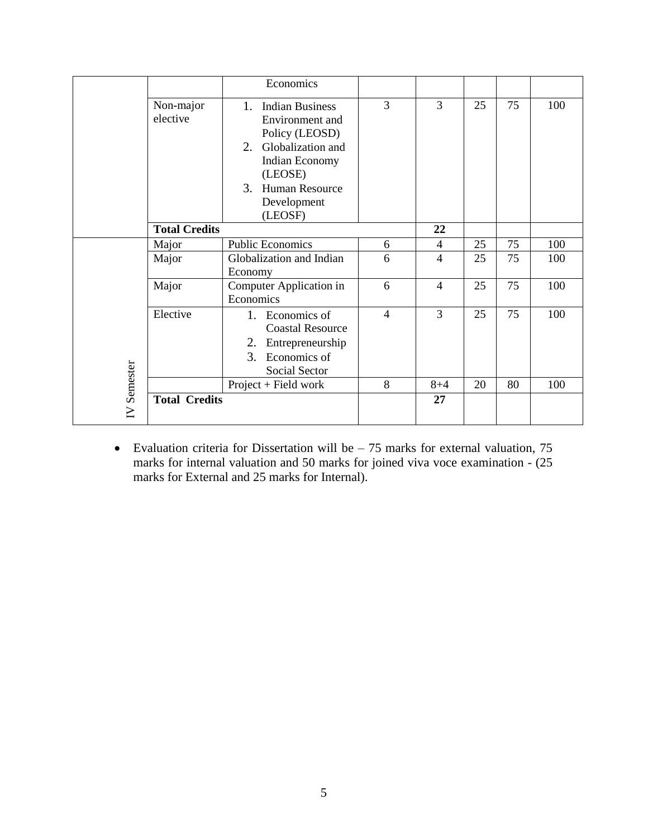|          |                       | Economics                                                                                                                                                                                 |                |                |    |    |     |
|----------|-----------------------|-------------------------------------------------------------------------------------------------------------------------------------------------------------------------------------------|----------------|----------------|----|----|-----|
|          | Non-major<br>elective | 1.<br><b>Indian Business</b><br>Environment and<br>Policy (LEOSD)<br>Globalization and<br>2.<br><b>Indian Economy</b><br>(LEOSE)<br><b>Human Resource</b><br>3.<br>Development<br>(LEOSF) | 3              | 3              | 25 | 75 | 100 |
|          | <b>Total Credits</b>  |                                                                                                                                                                                           |                | 22             |    |    |     |
|          | Major                 | <b>Public Economics</b>                                                                                                                                                                   | 6              | 4              | 25 | 75 | 100 |
| Semester | Major                 | Globalization and Indian<br>Economy                                                                                                                                                       | 6              | 4              | 25 | 75 | 100 |
|          | Major                 | Computer Application in<br>Economics                                                                                                                                                      | 6              | $\overline{4}$ | 25 | 75 | 100 |
|          | Elective              | 1. Economics of<br><b>Coastal Resource</b><br>Entrepreneurship<br>2.<br>3.<br>Economics of<br><b>Social Sector</b>                                                                        | $\overline{4}$ | 3              | 25 | 75 | 100 |
|          |                       | $Project + Field work$                                                                                                                                                                    | 8              | $8 + 4$        | 20 | 80 | 100 |
| $\geq$   | <b>Total Credits</b>  |                                                                                                                                                                                           |                | 27             |    |    |     |

• Evaluation criteria for Dissertation will be  $-75$  marks for external valuation, 75 marks for internal valuation and 50 marks for joined viva voce examination - (25 marks for External and 25 marks for Internal).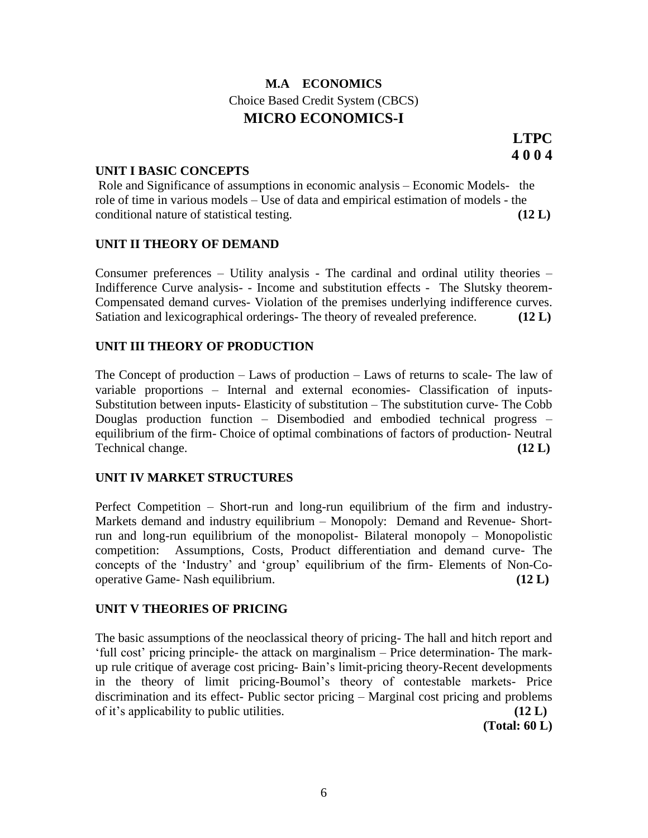# **M.A ECONOMICS** Choice Based Credit System (CBCS) **MICRO ECONOMICS-I**

#### **UNIT I BASIC CONCEPTS**

Role and Significance of assumptions in economic analysis – Economic Models- the role of time in various models – Use of data and empirical estimation of models - the conditional nature of statistical testing. **(12 L)**

#### **UNIT II THEORY OF DEMAND**

Consumer preferences – Utility analysis - The cardinal and ordinal utility theories – Indifference Curve analysis- - Income and substitution effects - The Slutsky theorem-Compensated demand curves- Violation of the premises underlying indifference curves. Satiation and lexicographical orderings- The theory of revealed preference. **(12 L)**

#### **UNIT III THEORY OF PRODUCTION**

The Concept of production – Laws of production – Laws of returns to scale- The law of variable proportions – Internal and external economies- Classification of inputs-Substitution between inputs- Elasticity of substitution – The substitution curve- The Cobb Douglas production function – Disembodied and embodied technical progress – equilibrium of the firm- Choice of optimal combinations of factors of production- Neutral Technical change. **(12 L**)

#### **UNIT IV MARKET STRUCTURES**

Perfect Competition – Short-run and long-run equilibrium of the firm and industry-Markets demand and industry equilibrium – Monopoly: Demand and Revenue- Shortrun and long-run equilibrium of the monopolist- Bilateral monopoly – Monopolistic competition: Assumptions, Costs, Product differentiation and demand curve- The concepts of the 'Industry' and 'group' equilibrium of the firm- Elements of Non-Cooperative Game- Nash equilibrium. **(12 L)**

#### **UNIT V THEORIES OF PRICING**

The basic assumptions of the neoclassical theory of pricing- The hall and hitch report and ‗full cost' pricing principle- the attack on marginalism – Price determination- The markup rule critique of average cost pricing- Bain's limit-pricing theory-Recent developments in the theory of limit pricing-Boumol's theory of contestable markets- Price discrimination and its effect- Public sector pricing – Marginal cost pricing and problems of it's applicability to public utilities. **(12 L)**

**(Total: 60 L)**

**LTPC 4 0 0 4**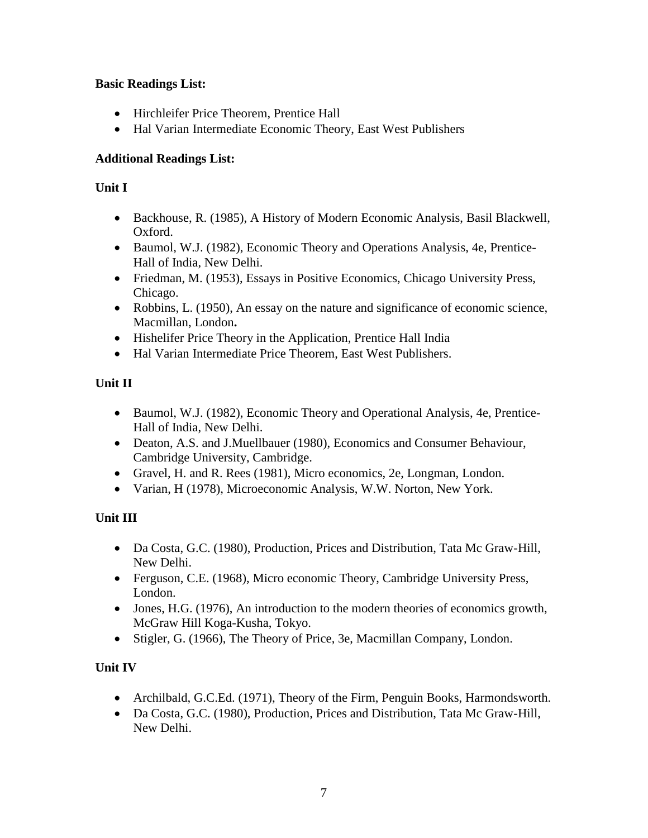# **Basic Readings List:**

- Hirchleifer Price Theorem, Prentice Hall
- Hal Varian Intermediate Economic Theory, East West Publishers

# **Additional Readings List:**

# **Unit I**

- Backhouse, R. (1985), A History of Modern Economic Analysis, Basil Blackwell, Oxford.
- Baumol, W.J. (1982), Economic Theory and Operations Analysis, 4e, Prentice-Hall of India, New Delhi.
- Friedman, M. (1953), Essays in Positive Economics, Chicago University Press, Chicago.
- Robbins, L. (1950), An essay on the nature and significance of economic science, Macmillan, London**.**
- Hishelifer Price Theory in the Application, Prentice Hall India
- Hal Varian Intermediate Price Theorem. East West Publishers.

# **Unit II**

- Baumol, W.J. (1982), Economic Theory and Operational Analysis, 4e, Prentice-Hall of India, New Delhi.
- Deaton, A.S. and J.Muellbauer (1980), Economics and Consumer Behaviour, Cambridge University, Cambridge.
- Gravel, H. and R. Rees (1981), Micro economics, 2e, Longman, London.
- Varian, H (1978), Microeconomic Analysis, W.W. Norton, New York.

# **Unit III**

- Da Costa, G.C. (1980), Production, Prices and Distribution, Tata Mc Graw-Hill, New Delhi.
- Ferguson, C.E. (1968), Micro economic Theory, Cambridge University Press, London.
- Jones, H.G. (1976), An introduction to the modern theories of economics growth, McGraw Hill Koga-Kusha, Tokyo.
- Stigler, G. (1966), The Theory of Price, 3e, Macmillan Company, London.

# **Unit IV**

- Archilbald, G.C.Ed. (1971), Theory of the Firm, Penguin Books, Harmondsworth.
- Da Costa, G.C. (1980), Production, Prices and Distribution, Tata Mc Graw-Hill, New Delhi.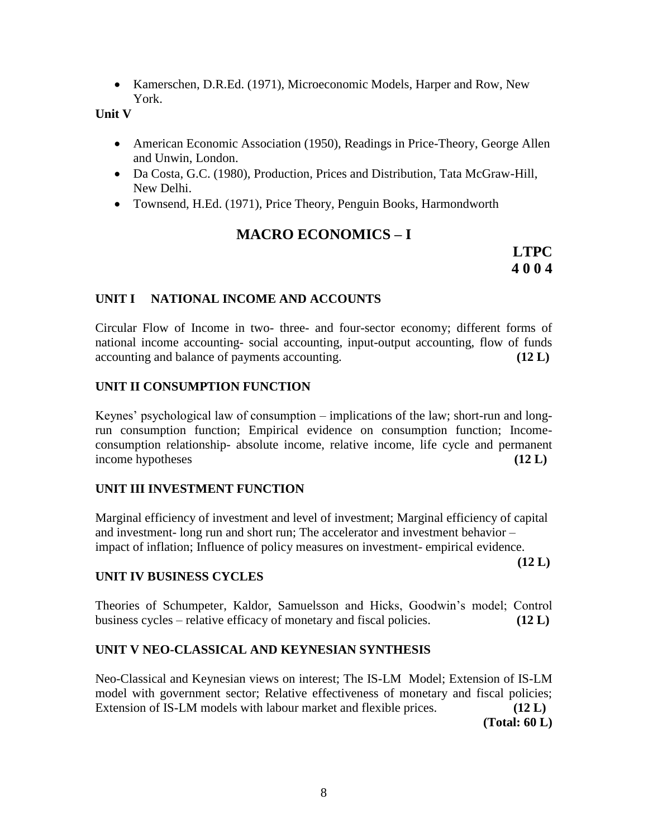Kamerschen, D.R.Ed. (1971), Microeconomic Models, Harper and Row, New York.

**Unit V**

- American Economic Association (1950), Readings in Price-Theory, George Allen and Unwin, London.
- Da Costa, G.C. (1980), Production, Prices and Distribution, Tata McGraw-Hill, New Delhi.
- Townsend, H.Ed. (1971), Price Theory, Penguin Books, Harmondworth

# **MACRO ECONOMICS – I**

**LTPC 4 0 0 4**

# **UNIT I NATIONAL INCOME AND ACCOUNTS**

Circular Flow of Income in two- three- and four-sector economy; different forms of national income accounting- social accounting, input-output accounting, flow of funds accounting and balance of payments accounting. **(12 L)**

# **UNIT II CONSUMPTION FUNCTION**

Keynes' psychological law of consumption – implications of the law; short-run and longrun consumption function; Empirical evidence on consumption function; Incomeconsumption relationship- absolute income, relative income, life cycle and permanent income hypotheses **(12 L)**

# **UNIT III INVESTMENT FUNCTION**

Marginal efficiency of investment and level of investment; Marginal efficiency of capital and investment- long run and short run; The accelerator and investment behavior – impact of inflation; Influence of policy measures on investment- empirical evidence.

**(12 L)**

# **UNIT IV BUSINESS CYCLES**

Theories of Schumpeter, Kaldor, Samuelsson and Hicks, Goodwin's model; Control business cycles – relative efficacy of monetary and fiscal policies. **(12 L)**

# **UNIT V NEO-CLASSICAL AND KEYNESIAN SYNTHESIS**

Neo-Classical and Keynesian views on interest; The IS-LM Model; Extension of IS-LM model with government sector; Relative effectiveness of monetary and fiscal policies; Extension of IS-LM models with labour market and flexible prices. **(12 L) (Total: 60 L)**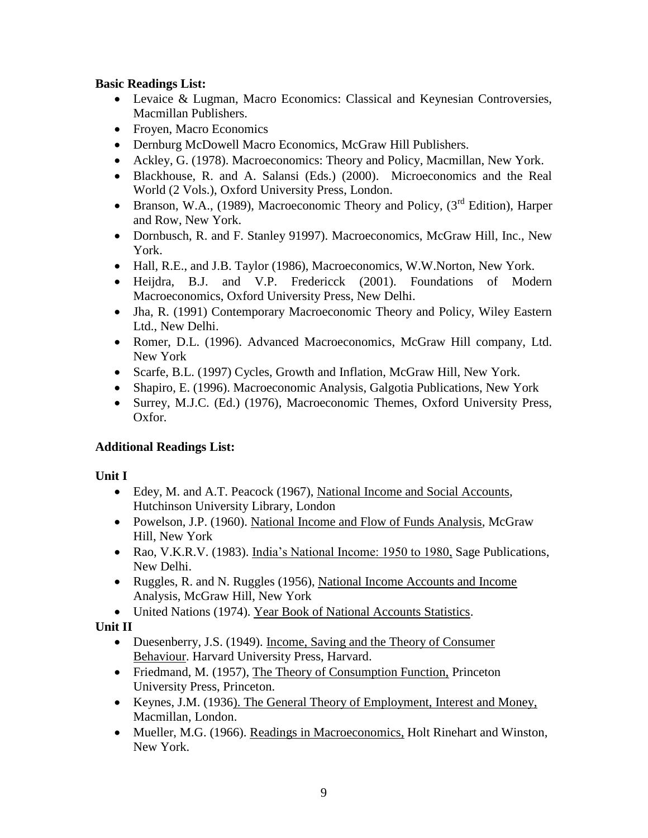# **Basic Readings List:**

- Levaice & Lugman, Macro Economics: Classical and Keynesian Controversies, Macmillan Publishers.
- Froyen, Macro Economics
- Dernburg McDowell Macro Economics, McGraw Hill Publishers.
- Ackley, G. (1978). Macroeconomics: Theory and Policy, Macmillan, New York.
- Blackhouse, R. and A. Salansi (Eds.) (2000). Microeconomics and the Real World (2 Vols.), Oxford University Press, London.
- Branson, W.A., (1989), Macroeconomic Theory and Policy, ( $3<sup>rd</sup>$  Edition), Harper and Row, New York.
- Dornbusch, R. and F. Stanley 91997). Macroeconomics, McGraw Hill, Inc., New York.
- Hall, R.E., and J.B. Taylor (1986), Macroeconomics, W.W.Norton, New York.
- Heijdra, B.J. and V.P. Fredericck (2001). Foundations of Modern Macroeconomics, Oxford University Press, New Delhi.
- Jha, R. (1991) Contemporary Macroeconomic Theory and Policy, Wiley Eastern Ltd., New Delhi.
- Romer, D.L. (1996). Advanced Macroeconomics, McGraw Hill company, Ltd. New York
- Scarfe, B.L. (1997) Cycles, Growth and Inflation, McGraw Hill, New York.
- Shapiro, E. (1996). Macroeconomic Analysis, Galgotia Publications, New York
- Surrey, M.J.C. (Ed.) (1976), Macroeconomic Themes, Oxford University Press, Oxfor.

# **Additional Readings List:**

# **Unit I**

- Edey, M. and A.T. Peacock (1967), National Income and Social Accounts, Hutchinson University Library, London
- Powelson, J.P. (1960). National Income and Flow of Funds Analysis, McGraw Hill, New York
- Rao, V.K.R.V. (1983). India's National Income: 1950 to 1980, Sage Publications, New Delhi.
- Ruggles, R. and N. Ruggles (1956), National Income Accounts and Income Analysis, McGraw Hill, New York
- United Nations (1974). Year Book of National Accounts Statistics.

# **Unit II**

- Duesenberry, J.S. (1949). Income, Saving and the Theory of Consumer Behaviour. Harvard University Press, Harvard.
- Friedmand, M. (1957), The Theory of Consumption Function, Princeton University Press, Princeton.
- Keynes, J.M. (1936). The General Theory of Employment, Interest and Money, Macmillan, London.
- Mueller, M.G. (1966). Readings in Macroeconomics, Holt Rinehart and Winston, New York.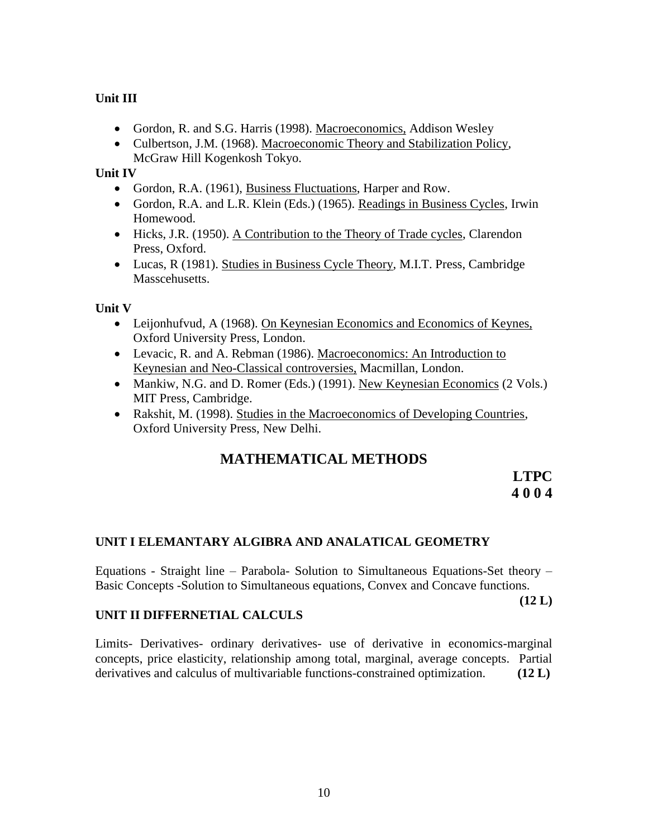# **Unit III**

- Gordon, R. and S.G. Harris (1998). Macroeconomics, Addison Wesley
- Culbertson, J.M. (1968). Macroeconomic Theory and Stabilization Policy, McGraw Hill Kogenkosh Tokyo.

### **Unit IV**

- Gordon, R.A. (1961), Business Fluctuations, Harper and Row.
- Gordon, R.A. and L.R. Klein (Eds.) (1965). Readings in Business Cycles, Irwin Homewood.
- Hicks, J.R. (1950). A Contribution to the Theory of Trade cycles, Clarendon Press, Oxford.
- Lucas, R (1981). Studies in Business Cycle Theory, M.I.T. Press, Cambridge Masscehusetts.

**Unit V**

- Leijonhufvud, A (1968). On Keynesian Economics and Economics of Keynes, Oxford University Press, London.
- Levacic, R. and A. Rebman (1986). Macroeconomics: An Introduction to Keynesian and Neo-Classical controversies, Macmillan, London.
- Mankiw, N.G. and D. Romer (Eds.) (1991). New Keynesian Economics (2 Vols.) MIT Press, Cambridge.
- Rakshit, M. (1998). Studies in the Macroeconomics of Developing Countries, Oxford University Press, New Delhi.

# **MATHEMATICAL METHODS**

# **LTPC 4 0 0 4**

# **UNIT I ELEMANTARY ALGIBRA AND ANALATICAL GEOMETRY**

Equations - Straight line – Parabola- Solution to Simultaneous Equations-Set theory – Basic Concepts -Solution to Simultaneous equations, Convex and Concave functions.

**(12 L)**

#### **UNIT II DIFFERNETIAL CALCULS**

Limits- Derivatives- ordinary derivatives- use of derivative in economics-marginal concepts, price elasticity, relationship among total, marginal, average concepts. Partial derivatives and calculus of multivariable functions-constrained optimization. **(12 L)**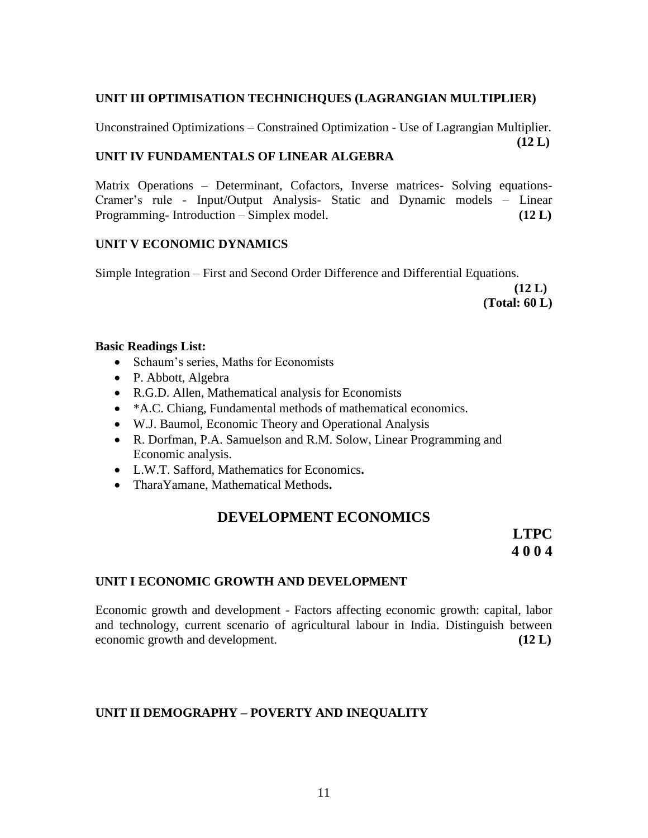# **UNIT III OPTIMISATION TECHNICHQUES (LAGRANGIAN MULTIPLIER)**

Unconstrained Optimizations – Constrained Optimization - Use of Lagrangian Multiplier. **(12 L)**

# **UNIT IV FUNDAMENTALS OF LINEAR ALGEBRA**

Matrix Operations – Determinant, Cofactors, Inverse matrices- Solving equations-Cramer's rule - Input/Output Analysis- Static and Dynamic models – Linear Programming- Introduction – Simplex model. **(12 L)**

# **UNIT V ECONOMIC DYNAMICS**

Simple Integration – First and Second Order Difference and Differential Equations.

**(12 L) (Total: 60 L)**

# **Basic Readings List:**

- Schaum's series, Maths for Economists
- P. Abbott, Algebra
- R.G.D. Allen, Mathematical analysis for Economists
- \*A.C. Chiang, Fundamental methods of mathematical economics.
- W.J. Baumol, Economic Theory and Operational Analysis
- R. Dorfman, P.A. Samuelson and R.M. Solow, Linear Programming and Economic analysis.
- L.W.T. Safford, Mathematics for Economics**.**
- TharaYamane, Mathematical Methods**.**

# **DEVELOPMENT ECONOMICS**

**LTPC 4 0 0 4**

# **UNIT I ECONOMIC GROWTH AND DEVELOPMENT**

Economic growth and development - Factors affecting economic growth: capital, labor and technology, current scenario of agricultural labour in India. Distinguish between economic growth and development. **(12 L)**

# **UNIT II DEMOGRAPHY – POVERTY AND INEQUALITY**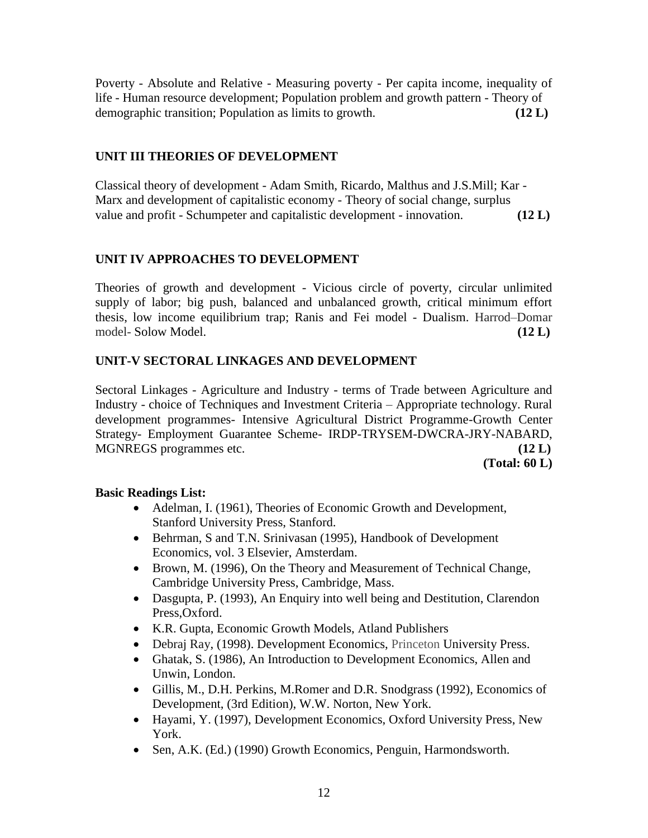Poverty - Absolute and Relative - Measuring poverty - Per capita income, inequality of life - Human resource development; Population problem and growth pattern - Theory of demographic transition; Population as limits to growth. **(12 L)**

# **UNIT III THEORIES OF DEVELOPMENT**

Classical theory of development - Adam Smith, Ricardo, Malthus and J.S.Mill; Kar - Marx and development of capitalistic economy - Theory of social change, surplus value and profit - Schumpeter and capitalistic development - innovation. **(12 L)**

# **UNIT IV APPROACHES TO DEVELOPMENT**

Theories of growth and development - Vicious circle of poverty, circular unlimited supply of labor; big push, balanced and unbalanced growth, critical minimum effort thesis, low income equilibrium trap; Ranis and Fei model - Dualism. Harrod–Domar model- Solow Model. **(12 L)**

# **UNIT-V SECTORAL LINKAGES AND DEVELOPMENT**

Sectoral Linkages - Agriculture and Industry - terms of Trade between Agriculture and Industry - choice of Techniques and Investment Criteria – Appropriate technology. Rural development programmes- Intensive Agricultural District Programme-Growth Center Strategy- Employment Guarantee Scheme- IRDP-TRYSEM-DWCRA-JRY-NABARD, MGNREGS programmes etc. **(12 L)**

**(Total: 60 L)**

# **Basic Readings List:**

- Adelman, I. (1961), Theories of Economic Growth and Development, Stanford University Press, Stanford.
- Behrman, S and T.N. Srinivasan (1995), Handbook of Development Economics, vol. 3 Elsevier, Amsterdam.
- Brown, M. (1996), On the Theory and Measurement of Technical Change, Cambridge University Press, Cambridge, Mass.
- Dasgupta, P. (1993), An Enquiry into well being and Destitution, Clarendon Press,Oxford.
- K.R. Gupta, Economic Growth Models, Atland Publishers
- Debraj Ray, (1998). Development Economics, Princeton University Press.
- Ghatak, S. (1986), An Introduction to Development Economics, Allen and Unwin, London.
- Gillis, M., D.H. Perkins, M.Romer and D.R. Snodgrass (1992), Economics of Development, (3rd Edition), W.W. Norton, New York.
- Hayami, Y. (1997), Development Economics, Oxford University Press, New York.
- Sen, A.K. (Ed.) (1990) Growth Economics, Penguin, Harmondsworth.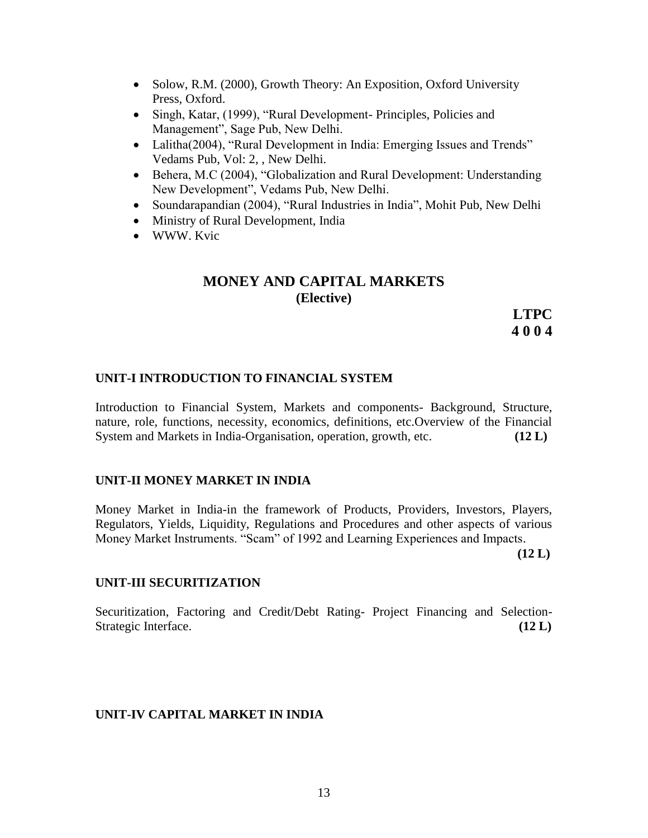- Solow, R.M. (2000), Growth Theory: An Exposition, Oxford University Press, Oxford.
- Singh, Katar, (1999), "Rural Development- Principles, Policies and Management", Sage Pub, New Delhi.
- Lalitha(2004), "Rural Development in India: Emerging Issues and Trends" Vedams Pub, Vol: 2, , New Delhi.
- Behera, M.C (2004), "Globalization and Rural Development: Understanding New Development", Vedams Pub, New Delhi.
- Soundarapandian (2004), "Rural Industries in India", Mohit Pub, New Delhi
- Ministry of Rural Development, India
- WWW. Kvic

# **MONEY AND CAPITAL MARKETS (Elective)**

**LTPC 4 0 0 4**

### **UNIT-I INTRODUCTION TO FINANCIAL SYSTEM**

Introduction to Financial System, Markets and components- Background, Structure, nature, role, functions, necessity, economics, definitions, etc.Overview of the Financial System and Markets in India-Organisation, operation, growth, etc. **(12 L)**

#### **UNIT-II MONEY MARKET IN INDIA**

Money Market in India-in the framework of Products, Providers, Investors, Players, Regulators, Yields, Liquidity, Regulations and Procedures and other aspects of various Money Market Instruments. "Scam" of 1992 and Learning Experiences and Impacts.

 **(12 L)**

#### **UNIT-III SECURITIZATION**

Securitization, Factoring and Credit/Debt Rating- Project Financing and Selection-Strategic Interface. **(12 L) C** 

#### **UNIT-IV CAPITAL MARKET IN INDIA**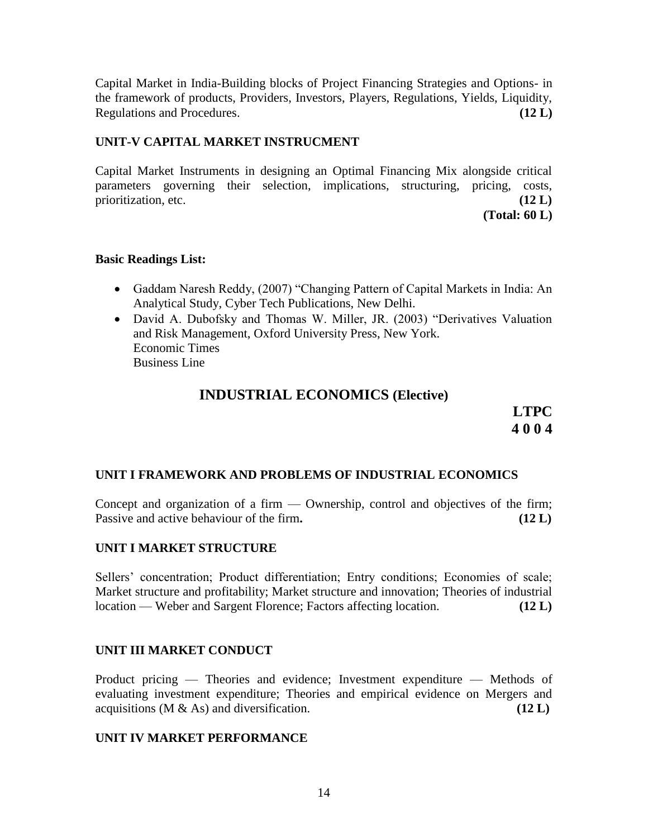Capital Market in India-Building blocks of Project Financing Strategies and Options- in the framework of products, Providers, Investors, Players, Regulations, Yields, Liquidity, Regulations and Procedures. **(12 L)**

# **UNIT-V CAPITAL MARKET INSTRUCMENT**

Capital Market Instruments in designing an Optimal Financing Mix alongside critical parameters governing their selection, implications, structuring, pricing, costs, prioritization, etc. **(12 L)** 

**(Total: 60 L)**

### **Basic Readings List:**

- Gaddam Naresh Reddy, (2007) "Changing Pattern of Capital Markets in India: An Analytical Study, Cyber Tech Publications, New Delhi.
- David A. Dubofsky and Thomas W. Miller, JR. (2003) "Derivatives Valuation and Risk Management, Oxford University Press, New York. Economic Times Business Line

# **INDUSTRIAL ECONOMICS (Elective)**

**LTPC 4 0 0 4**

# **UNIT I FRAMEWORK AND PROBLEMS OF INDUSTRIAL ECONOMICS**

Concept and organization of a firm  $-$  Ownership, control and objectives of the firm; Passive and active behaviour of the firm**. (12 L)**

#### **UNIT I MARKET STRUCTURE**

Sellers' concentration; Product differentiation; Entry conditions; Economies of scale; Market structure and profitability; Market structure and innovation; Theories of industrial location — Weber and Sargent Florence; Factors affecting location. **(12 L)**

# **UNIT III MARKET CONDUCT**

Product pricing — Theories and evidence; Investment expenditure — Methods of evaluating investment expenditure; Theories and empirical evidence on Mergers and acquisitions ( $M \& As$ ) and diversification. **(12 L**)

#### **UNIT IV MARKET PERFORMANCE**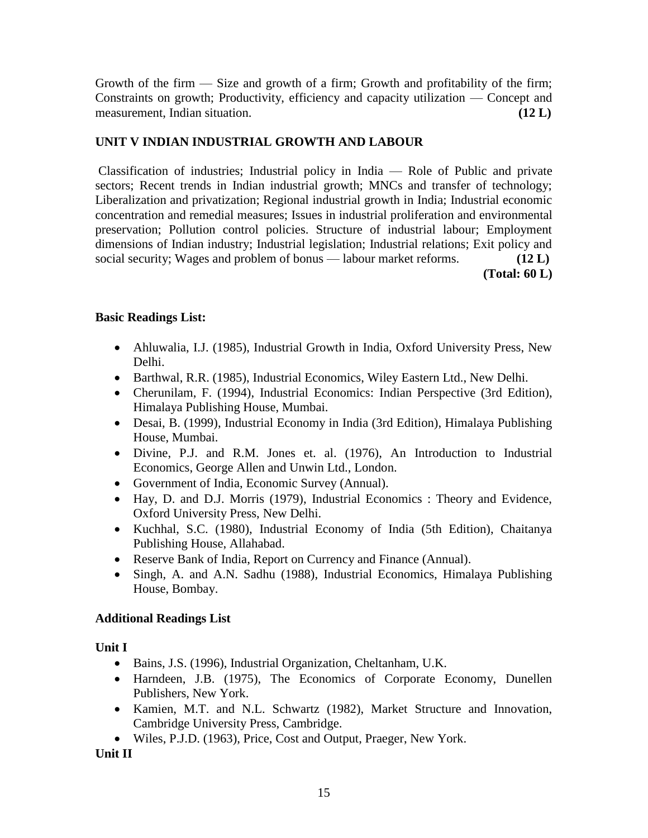Growth of the firm — Size and growth of a firm; Growth and profitability of the firm; Constraints on growth; Productivity, efficiency and capacity utilization — Concept and measurement, Indian situation. **(12 L)**

# **UNIT V INDIAN INDUSTRIAL GROWTH AND LABOUR**

Classification of industries; Industrial policy in India — Role of Public and private sectors; Recent trends in Indian industrial growth; MNCs and transfer of technology; Liberalization and privatization; Regional industrial growth in India; Industrial economic concentration and remedial measures; Issues in industrial proliferation and environmental preservation; Pollution control policies. Structure of industrial labour; Employment dimensions of Indian industry; Industrial legislation; Industrial relations; Exit policy and social security; Wages and problem of bonus — labour market reforms. **(12 L) (Total: 60 L)**

# **Basic Readings List:**

- Ahluwalia, I.J. (1985), Industrial Growth in India, Oxford University Press, New Delhi.
- Barthwal, R.R. (1985), Industrial Economics, Wiley Eastern Ltd., New Delhi.
- Cherunilam, F. (1994), Industrial Economics: Indian Perspective (3rd Edition), Himalaya Publishing House, Mumbai.
- Desai, B. (1999), Industrial Economy in India (3rd Edition), Himalaya Publishing House, Mumbai.
- Divine, P.J. and R.M. Jones et. al. (1976), An Introduction to Industrial Economics, George Allen and Unwin Ltd., London.
- Government of India, Economic Survey (Annual).
- Hay, D. and D.J. Morris (1979), Industrial Economics : Theory and Evidence, Oxford University Press, New Delhi.
- Kuchhal, S.C. (1980), Industrial Economy of India (5th Edition), Chaitanya Publishing House, Allahabad.
- Reserve Bank of India, Report on Currency and Finance (Annual).
- Singh, A. and A.N. Sadhu (1988), Industrial Economics, Himalaya Publishing House, Bombay.

# **Additional Readings List**

**Unit I** 

- Bains, J.S. (1996), Industrial Organization, Cheltanham, U.K.
- Harndeen, J.B. (1975), The Economics of Corporate Economy, Dunellen Publishers, New York.
- Kamien, M.T. and N.L. Schwartz (1982), Market Structure and Innovation, Cambridge University Press, Cambridge.
- Wiles, P.J.D. (1963), Price, Cost and Output, Praeger, New York.

**Unit II**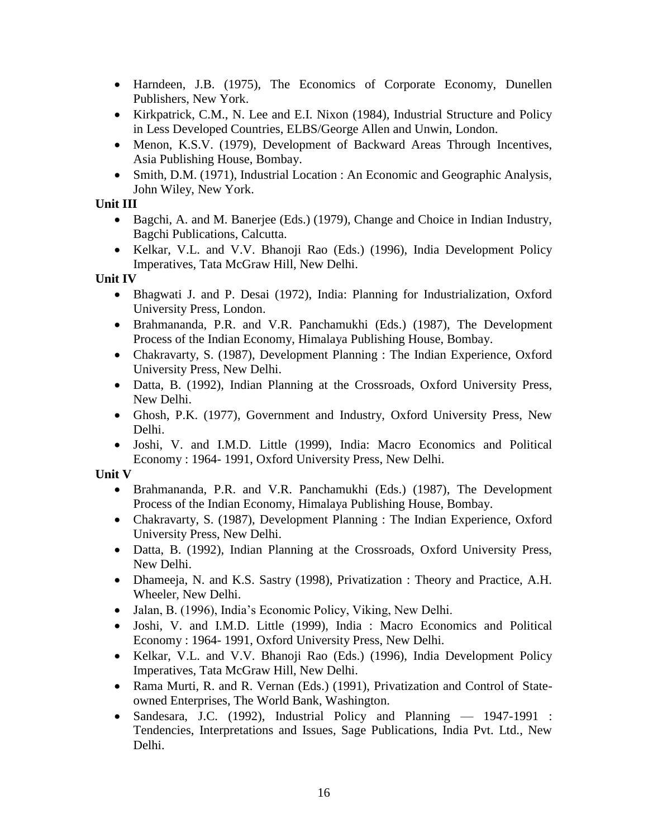- Harndeen, J.B. (1975), The Economics of Corporate Economy, Dunellen Publishers, New York.
- Kirkpatrick, C.M., N. Lee and E.I. Nixon (1984), Industrial Structure and Policy in Less Developed Countries, ELBS/George Allen and Unwin, London.
- Menon, K.S.V. (1979), Development of Backward Areas Through Incentives, Asia Publishing House, Bombay.
- Smith, D.M. (1971), Industrial Location : An Economic and Geographic Analysis, John Wiley, New York.

# **Unit III**

- Bagchi, A. and M. Banerjee (Eds.) (1979), Change and Choice in Indian Industry, Bagchi Publications, Calcutta.
- Kelkar, V.L. and V.V. Bhanoji Rao (Eds.) (1996), India Development Policy Imperatives, Tata McGraw Hill, New Delhi.

# **Unit IV**

- Bhagwati J. and P. Desai (1972), India: Planning for Industrialization, Oxford University Press, London.
- Brahmananda, P.R. and V.R. Panchamukhi (Eds.) (1987), The Development Process of the Indian Economy, Himalaya Publishing House, Bombay.
- Chakravarty, S. (1987), Development Planning : The Indian Experience, Oxford University Press, New Delhi.
- Datta, B. (1992), Indian Planning at the Crossroads, Oxford University Press, New Delhi.
- Ghosh, P.K. (1977), Government and Industry, Oxford University Press, New Delhi.
- Joshi, V. and I.M.D. Little (1999), India: Macro Economics and Political Economy : 1964- 1991, Oxford University Press, New Delhi.

# **Unit V**

- Brahmananda, P.R. and V.R. Panchamukhi (Eds.) (1987), The Development Process of the Indian Economy, Himalaya Publishing House, Bombay.
- Chakravarty, S. (1987), Development Planning : The Indian Experience, Oxford University Press, New Delhi.
- Datta, B. (1992), Indian Planning at the Crossroads, Oxford University Press, New Delhi.
- Dhameeja, N. and K.S. Sastry (1998), Privatization : Theory and Practice, A.H. Wheeler, New Delhi.
- Jalan, B. (1996), India's Economic Policy, Viking, New Delhi.
- Joshi, V. and I.M.D. Little (1999), India : Macro Economics and Political Economy : 1964- 1991, Oxford University Press, New Delhi.
- Kelkar, V.L. and V.V. Bhanoji Rao (Eds.) (1996), India Development Policy Imperatives, Tata McGraw Hill, New Delhi.
- Rama Murti, R. and R. Vernan (Eds.) (1991), Privatization and Control of Stateowned Enterprises, The World Bank, Washington.
- Sandesara, J.C. (1992), Industrial Policy and Planning 1947-1991 : Tendencies, Interpretations and Issues, Sage Publications, India Pvt. Ltd., New Delhi.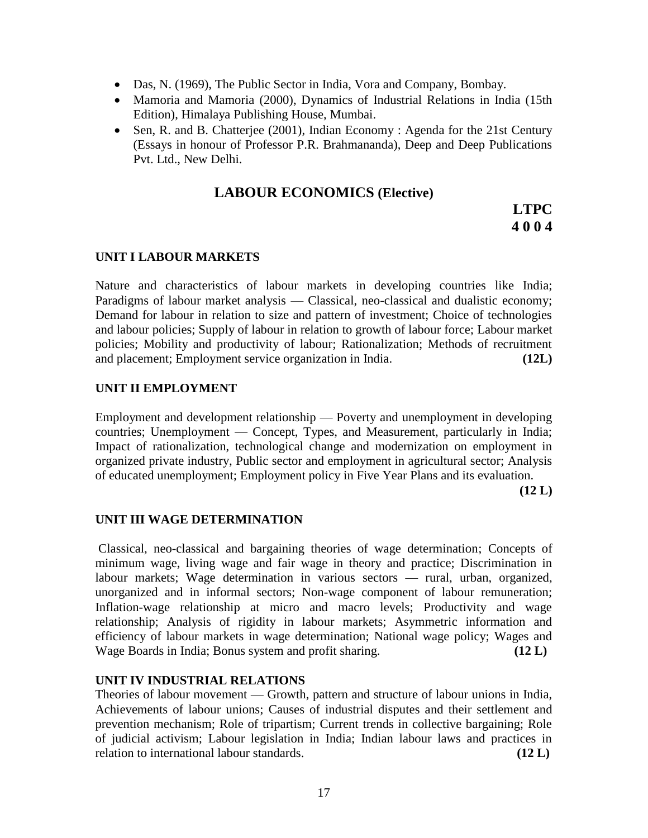- Das, N. (1969), The Public Sector in India, Vora and Company, Bombay.
- Mamoria and Mamoria (2000), Dynamics of Industrial Relations in India (15th Edition), Himalaya Publishing House, Mumbai.
- Sen, R. and B. Chatterjee (2001), Indian Economy : Agenda for the 21st Century (Essays in honour of Professor P.R. Brahmananda), Deep and Deep Publications Pvt. Ltd., New Delhi.

# **LABOUR ECONOMICS (Elective)**

**LTPC 4 0 0 4**

### **UNIT I LABOUR MARKETS**

Nature and characteristics of labour markets in developing countries like India; Paradigms of labour market analysis — Classical, neo-classical and dualistic economy; Demand for labour in relation to size and pattern of investment; Choice of technologies and labour policies; Supply of labour in relation to growth of labour force; Labour market policies; Mobility and productivity of labour; Rationalization; Methods of recruitment and placement; Employment service organization in India. **(12L)**

#### **UNIT II EMPLOYMENT**

Employment and development relationship — Poverty and unemployment in developing countries; Unemployment — Concept, Types, and Measurement, particularly in India; Impact of rationalization, technological change and modernization on employment in organized private industry, Public sector and employment in agricultural sector; Analysis of educated unemployment; Employment policy in Five Year Plans and its evaluation.

**(12 L)**

#### **UNIT III WAGE DETERMINATION**

Classical, neo-classical and bargaining theories of wage determination; Concepts of minimum wage, living wage and fair wage in theory and practice; Discrimination in labour markets; Wage determination in various sectors — rural, urban, organized, unorganized and in informal sectors; Non-wage component of labour remuneration; Inflation-wage relationship at micro and macro levels; Productivity and wage relationship; Analysis of rigidity in labour markets; Asymmetric information and efficiency of labour markets in wage determination; National wage policy; Wages and Wage Boards in India; Bonus system and profit sharing. **(12 L)**

#### **UNIT IV INDUSTRIAL RELATIONS**

Theories of labour movement — Growth, pattern and structure of labour unions in India, Achievements of labour unions; Causes of industrial disputes and their settlement and prevention mechanism; Role of tripartism; Current trends in collective bargaining; Role of judicial activism; Labour legislation in India; Indian labour laws and practices in relation to international labour standards. **(12 L)**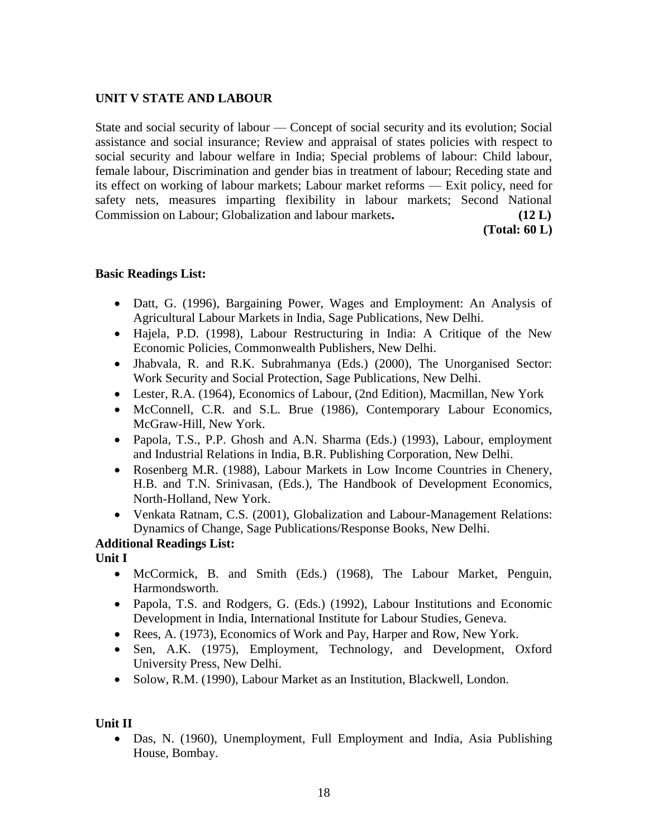# **UNIT V STATE AND LABOUR**

State and social security of labour — Concept of social security and its evolution; Social assistance and social insurance; Review and appraisal of states policies with respect to social security and labour welfare in India; Special problems of labour: Child labour, female labour, Discrimination and gender bias in treatment of labour; Receding state and its effect on working of labour markets; Labour market reforms — Exit policy, need for safety nets, measures imparting flexibility in labour markets; Second National Commission on Labour; Globalization and labour markets**. (12 L)**

**(Total: 60 L)**

#### **Basic Readings List:**

- Datt, G. (1996), Bargaining Power, Wages and Employment: An Analysis of Agricultural Labour Markets in India, Sage Publications, New Delhi.
- Hajela, P.D. (1998), Labour Restructuring in India: A Critique of the New Economic Policies, Commonwealth Publishers, New Delhi.
- Jhabvala, R. and R.K. Subrahmanya (Eds.) (2000), The Unorganised Sector: Work Security and Social Protection, Sage Publications, New Delhi.
- Lester, R.A. (1964), Economics of Labour, (2nd Edition), Macmillan, New York
- McConnell, C.R. and S.L. Brue (1986), Contemporary Labour Economics, McGraw-Hill, New York.
- Papola, T.S., P.P. Ghosh and A.N. Sharma (Eds.) (1993), Labour, employment and Industrial Relations in India, B.R. Publishing Corporation, New Delhi.
- Rosenberg M.R. (1988), Labour Markets in Low Income Countries in Chenery, H.B. and T.N. Srinivasan, (Eds.), The Handbook of Development Economics, North-Holland, New York.
- Venkata Ratnam, C.S. (2001), Globalization and Labour-Management Relations: Dynamics of Change, Sage Publications/Response Books, New Delhi.

# **Additional Readings List:**

**Unit I**

- McCormick, B. and Smith (Eds.) (1968), The Labour Market, Penguin, Harmondsworth.
- Papola, T.S. and Rodgers, G. (Eds.) (1992), Labour Institutions and Economic Development in India, International Institute for Labour Studies, Geneva.
- Rees, A. (1973), Economics of Work and Pay, Harper and Row, New York.
- Sen, A.K. (1975), Employment, Technology, and Development, Oxford University Press, New Delhi.
- Solow, R.M. (1990), Labour Market as an Institution, Blackwell, London.

# **Unit II**

 Das, N. (1960), Unemployment, Full Employment and India, Asia Publishing House, Bombay.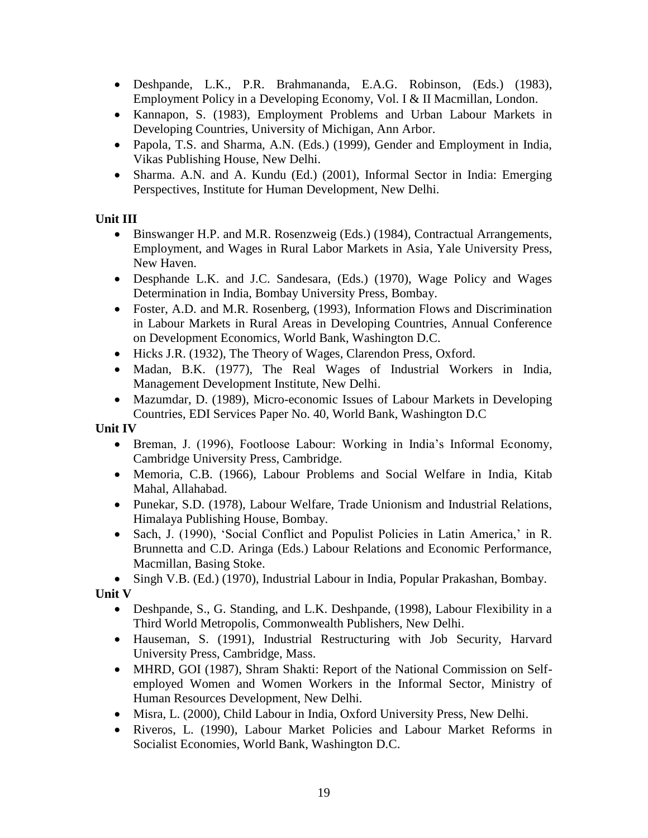- Deshpande, L.K., P.R. Brahmananda, E.A.G. Robinson, (Eds.) (1983), Employment Policy in a Developing Economy, Vol. I & II Macmillan, London.
- Kannapon, S. (1983), Employment Problems and Urban Labour Markets in Developing Countries, University of Michigan, Ann Arbor.
- Papola, T.S. and Sharma, A.N. (Eds.) (1999), Gender and Employment in India, Vikas Publishing House, New Delhi.
- Sharma. A.N. and A. Kundu (Ed.) (2001), Informal Sector in India: Emerging Perspectives, Institute for Human Development, New Delhi.

# **Unit III**

- Binswanger H.P. and M.R. Rosenzweig (Eds.) (1984), Contractual Arrangements, Employment, and Wages in Rural Labor Markets in Asia, Yale University Press, New Haven.
- Desphande L.K. and J.C. Sandesara, (Eds.) (1970), Wage Policy and Wages Determination in India, Bombay University Press, Bombay.
- Foster, A.D. and M.R. Rosenberg, (1993), Information Flows and Discrimination in Labour Markets in Rural Areas in Developing Countries, Annual Conference on Development Economics, World Bank, Washington D.C.
- Hicks J.R. (1932), The Theory of Wages, Clarendon Press, Oxford.
- Madan, B.K. (1977), The Real Wages of Industrial Workers in India, Management Development Institute, New Delhi.
- Mazumdar, D. (1989), Micro-economic Issues of Labour Markets in Developing Countries, EDI Services Paper No. 40, World Bank, Washington D.C

**Unit IV**

- Breman, J. (1996), Footloose Labour: Working in India's Informal Economy, Cambridge University Press, Cambridge.
- Memoria, C.B. (1966), Labour Problems and Social Welfare in India, Kitab Mahal, Allahabad.
- Punekar, S.D. (1978), Labour Welfare, Trade Unionism and Industrial Relations, Himalaya Publishing House, Bombay.
- Sach, J. (1990), 'Social Conflict and Populist Policies in Latin America,' in R. Brunnetta and C.D. Aringa (Eds.) Labour Relations and Economic Performance, Macmillan, Basing Stoke.

• Singh V.B. (Ed.) (1970), Industrial Labour in India, Popular Prakashan, Bombay.

**Unit V**

- Deshpande, S., G. Standing, and L.K. Deshpande, (1998), Labour Flexibility in a Third World Metropolis, Commonwealth Publishers, New Delhi.
- Hauseman, S. (1991), Industrial Restructuring with Job Security, Harvard University Press, Cambridge, Mass.
- MHRD, GOI (1987), Shram Shakti: Report of the National Commission on Selfemployed Women and Women Workers in the Informal Sector, Ministry of Human Resources Development, New Delhi.
- Misra, L. (2000), Child Labour in India, Oxford University Press, New Delhi.
- Riveros, L. (1990), Labour Market Policies and Labour Market Reforms in Socialist Economies, World Bank, Washington D.C.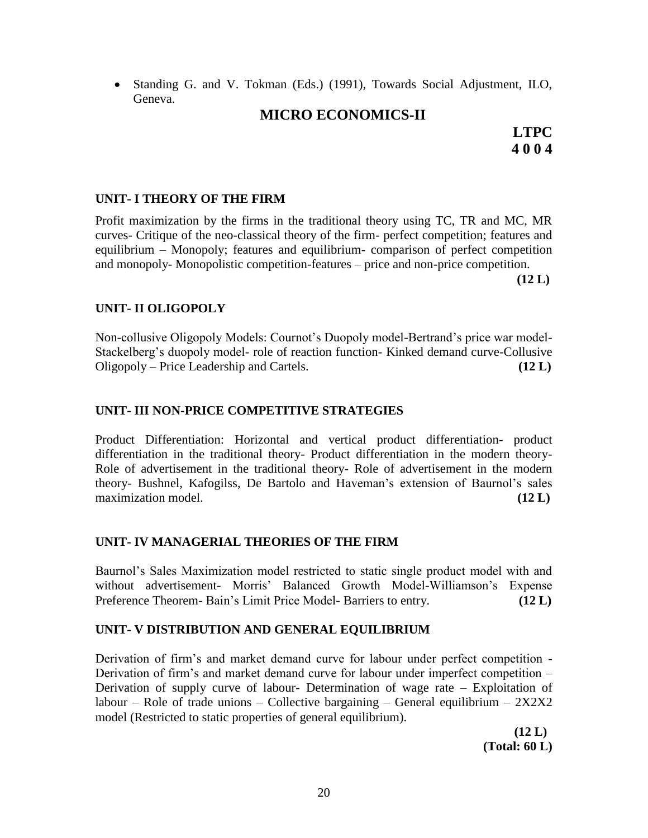Standing G. and V. Tokman (Eds.) (1991), Towards Social Adjustment, ILO, Geneva.

# **MICRO ECONOMICS-II**

**LTPC 4 0 0 4**

### **UNIT- I THEORY OF THE FIRM**

Profit maximization by the firms in the traditional theory using TC, TR and MC, MR curves- Critique of the neo-classical theory of the firm- perfect competition; features and equilibrium – Monopoly; features and equilibrium- comparison of perfect competition and monopoly- Monopolistic competition-features – price and non-price competition.

**(12 L)**

### **UNIT- II OLIGOPOLY**

Non-collusive Oligopoly Models: Cournot's Duopoly model-Bertrand's price war model-Stackelberg's duopoly model- role of reaction function- Kinked demand curve-Collusive Oligopoly – Price Leadership and Cartels. **(12 L)**

### **UNIT- III NON-PRICE COMPETITIVE STRATEGIES**

Product Differentiation: Horizontal and vertical product differentiation- product differentiation in the traditional theory- Product differentiation in the modern theory-Role of advertisement in the traditional theory- Role of advertisement in the modern theory- Bushnel, Kafogilss, De Bartolo and Haveman's extension of Baurnol's sales maximization model. **(12 L)**

#### **UNIT- IV MANAGERIAL THEORIES OF THE FIRM**

Baurnol's Sales Maximization model restricted to static single product model with and without advertisement- Morris' Balanced Growth Model-Williamson's Expense Preference Theorem- Bain's Limit Price Model- Barriers to entry. **(12 L)**

#### **UNIT- V DISTRIBUTION AND GENERAL EQUILIBRIUM**

Derivation of firm's and market demand curve for labour under perfect competition - Derivation of firm's and market demand curve for labour under imperfect competition – Derivation of supply curve of labour- Determination of wage rate – Exploitation of labour – Role of trade unions – Collective bargaining – General equilibrium –  $2X2X2$ model (Restricted to static properties of general equilibrium).

> **(12 L) (Total: 60 L)**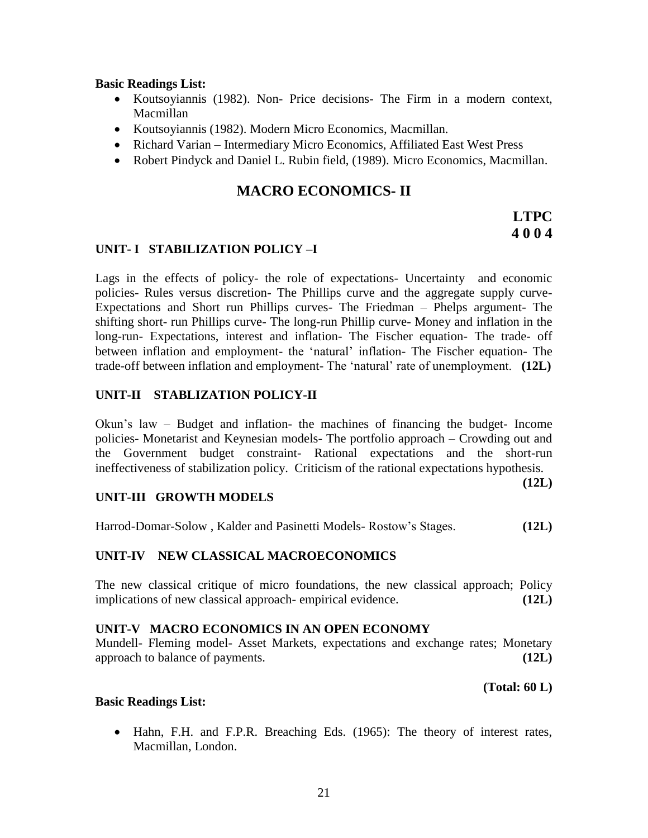#### **Basic Readings List:**

- Koutsoyiannis (1982). Non- Price decisions- The Firm in a modern context, Macmillan
- Koutsoyiannis (1982). Modern Micro Economics, Macmillan.
- Richard Varian Intermediary Micro Economics, Affiliated East West Press
- Robert Pindyck and Daniel L. Rubin field, (1989). Micro Economics, Macmillan.

# **MACRO ECONOMICS- II**

# **LTPC 4 0 0 4**

#### **UNIT- I STABILIZATION POLICY –I**

Lags in the effects of policy- the role of expectations- Uncertainty and economic policies- Rules versus discretion- The Phillips curve and the aggregate supply curve-Expectations and Short run Phillips curves- The Friedman – Phelps argument- The shifting short- run Phillips curve- The long-run Phillip curve- Money and inflation in the long-run- Expectations, interest and inflation- The Fischer equation- The trade- off between inflation and employment- the 'natural' inflation- The Fischer equation- The trade-off between inflation and employment- The ‗natural' rate of unemployment. **(12L)**

#### **UNIT-II STABLIZATION POLICY-II**

Okun's law – Budget and inflation- the machines of financing the budget- Income policies- Monetarist and Keynesian models- The portfolio approach – Crowding out and the Government budget constraint- Rational expectations and the short-run ineffectiveness of stabilization policy. Criticism of the rational expectations hypothesis.

**(12L)**

#### **UNIT-III GROWTH MODELS**

Harrod-Domar-Solow , Kalder and Pasinetti Models- Rostow's Stages. **(12L)**

#### **UNIT-IV NEW CLASSICAL MACROECONOMICS**

The new classical critique of micro foundations, the new classical approach; Policy implications of new classical approach- empirical evidence. **(12L)**

### **UNIT-V MACRO ECONOMICS IN AN OPEN ECONOMY**

Mundell- Fleming model- Asset Markets, expectations and exchange rates; Monetary approach to balance of payments. **(12L)**

**(Total: 60 L)**

#### **Basic Readings List:**

• Hahn, F.H. and F.P.R. Breaching Eds. (1965): The theory of interest rates, Macmillan, London.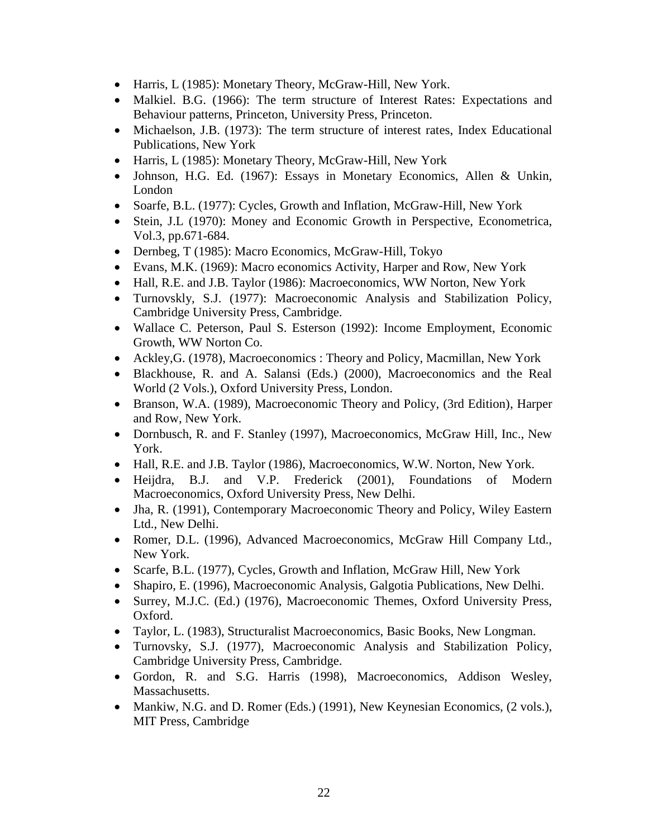- Harris, L (1985): Monetary Theory, McGraw-Hill, New York.
- Malkiel. B.G. (1966): The term structure of Interest Rates: Expectations and Behaviour patterns, Princeton, University Press, Princeton.
- Michaelson, J.B. (1973): The term structure of interest rates, Index Educational Publications, New York
- Harris, L (1985): Monetary Theory, McGraw-Hill, New York
- Johnson, H.G. Ed. (1967): Essays in Monetary Economics, Allen & Unkin, London
- Soarfe, B.L. (1977): Cycles, Growth and Inflation, McGraw-Hill, New York
- Stein, J.L (1970): Money and Economic Growth in Perspective, Econometrica, Vol.3, pp.671-684.
- Dernbeg, T (1985): Macro Economics, McGraw-Hill, Tokyo
- Evans, M.K. (1969): Macro economics Activity, Harper and Row, New York
- Hall, R.E. and J.B. Taylor (1986): Macroeconomics, WW Norton, New York
- Turnovskly, S.J. (1977): Macroeconomic Analysis and Stabilization Policy, Cambridge University Press, Cambridge.
- Wallace C. Peterson, Paul S. Esterson (1992): Income Employment, Economic Growth, WW Norton Co.
- Ackley, G. (1978), Macroeconomics : Theory and Policy, Macmillan, New York
- Blackhouse, R. and A. Salansi (Eds.) (2000), Macroeconomics and the Real World (2 Vols.), Oxford University Press, London.
- Branson, W.A. (1989), Macroeconomic Theory and Policy, (3rd Edition), Harper and Row, New York.
- Dornbusch, R. and F. Stanley (1997), Macroeconomics, McGraw Hill, Inc., New York.
- Hall, R.E. and J.B. Taylor (1986), Macroeconomics, W.W. Norton, New York.
- Heijdra, B.J. and V.P. Frederick (2001), Foundations of Modern Macroeconomics, Oxford University Press, New Delhi.
- Jha, R. (1991), Contemporary Macroeconomic Theory and Policy, Wiley Eastern Ltd., New Delhi.
- Romer, D.L. (1996), Advanced Macroeconomics, McGraw Hill Company Ltd., New York.
- Scarfe, B.L. (1977), Cycles, Growth and Inflation, McGraw Hill, New York
- Shapiro, E. (1996), Macroeconomic Analysis, Galgotia Publications, New Delhi.
- Surrey, M.J.C. (Ed.) (1976), Macroeconomic Themes, Oxford University Press, Oxford.
- Taylor, L. (1983), Structuralist Macroeconomics, Basic Books, New Longman.
- Turnovsky, S.J. (1977), Macroeconomic Analysis and Stabilization Policy, Cambridge University Press, Cambridge.
- Gordon, R. and S.G. Harris (1998), Macroeconomics, Addison Wesley, Massachusetts.
- Mankiw, N.G. and D. Romer (Eds.) (1991), New Keynesian Economics, (2 vols.), MIT Press, Cambridge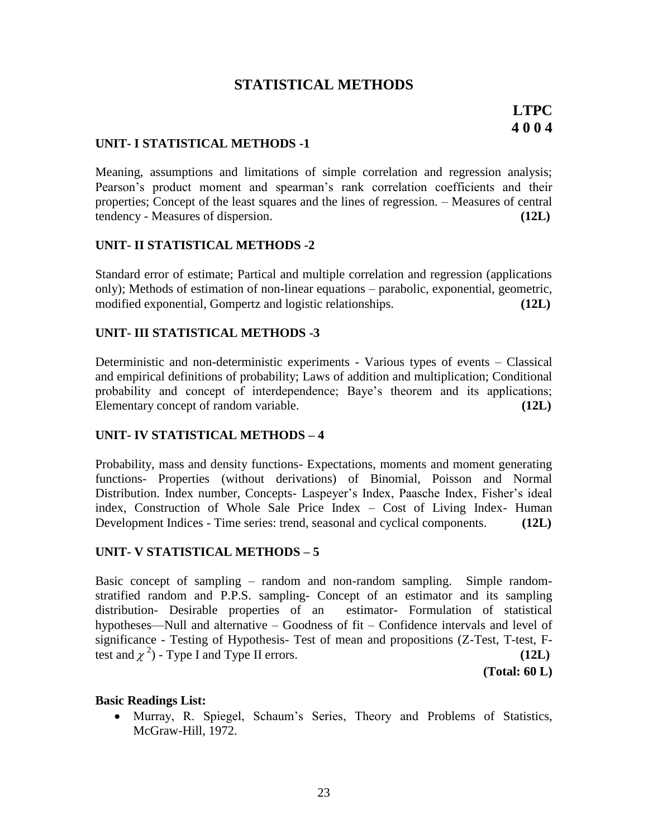# **STATISTICAL METHODS**

#### **UNIT- I STATISTICAL METHODS -1**

Meaning, assumptions and limitations of simple correlation and regression analysis; Pearson's product moment and spearman's rank correlation coefficients and their properties; Concept of the least squares and the lines of regression. – Measures of central tendency - Measures of dispersion. **(12L)**

#### **UNIT- II STATISTICAL METHODS -2**

Standard error of estimate; Partical and multiple correlation and regression (applications only); Methods of estimation of non-linear equations – parabolic, exponential, geometric, modified exponential, Gompertz and logistic relationships. **(12L)**

#### **UNIT- III STATISTICAL METHODS -3**

Deterministic and non-deterministic experiments - Various types of events – Classical and empirical definitions of probability; Laws of addition and multiplication; Conditional probability and concept of interdependence; Baye's theorem and its applications; Elementary concept of random variable. **(12L)**

#### **UNIT- IV STATISTICAL METHODS – 4**

Probability, mass and density functions- Expectations, moments and moment generating functions- Properties (without derivations) of Binomial, Poisson and Normal Distribution. Index number, Concepts- Laspeyer's Index, Paasche Index, Fisher's ideal index, Construction of Whole Sale Price Index – Cost of Living Index- Human Development Indices - Time series: trend, seasonal and cyclical components. **(12L)**

#### **UNIT- V STATISTICAL METHODS – 5**

Basic concept of sampling – random and non-random sampling. Simple randomstratified random and P.P.S. sampling- Concept of an estimator and its sampling distribution- Desirable properties of an estimator- Formulation of statistical hypotheses—Null and alternative – Goodness of fit – Confidence intervals and level of significance - Testing of Hypothesis- Test of mean and propositions (Z-Test, T-test, Ftest and  $\chi^2$ ) - Type I and Type II errors. **(12L)** 

**(Total: 60 L)**

#### **Basic Readings List:**

 Murray, R. Spiegel, Schaum's Series, Theory and Problems of Statistics, McGraw-Hill, 1972.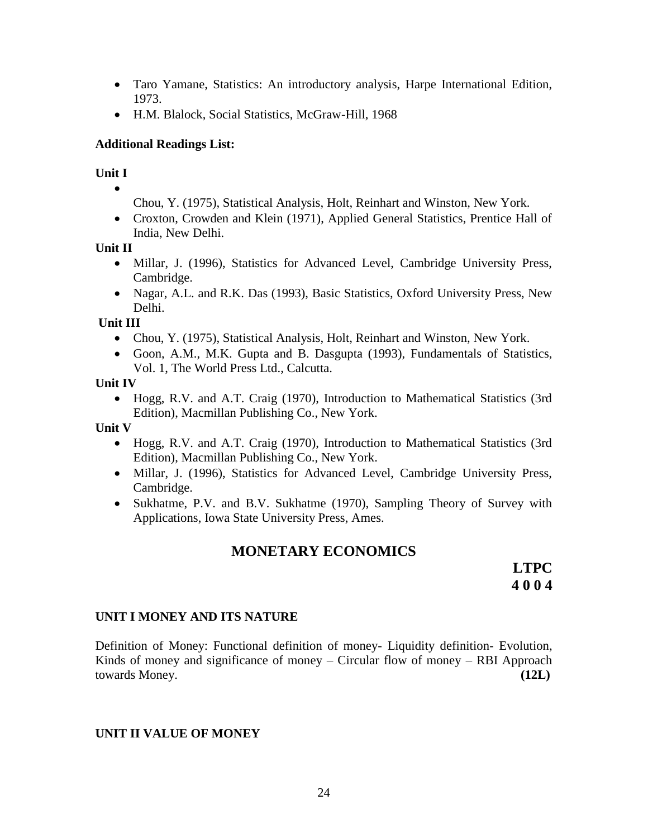- Taro Yamane, Statistics: An introductory analysis, Harpe International Edition, 1973.
- H.M. Blalock, Social Statistics, McGraw-Hill, 1968

### **Additional Readings List:**

#### **Unit I**  $\bullet$

- Chou, Y. (1975), Statistical Analysis, Holt, Reinhart and Winston, New York.
- Croxton, Crowden and Klein (1971), Applied General Statistics, Prentice Hall of India, New Delhi.

### **Unit II**

- Millar, J. (1996), Statistics for Advanced Level, Cambridge University Press, Cambridge.
- Nagar, A.L. and R.K. Das (1993), Basic Statistics, Oxford University Press, New Delhi.

#### **Unit III**

- Chou, Y. (1975), Statistical Analysis, Holt, Reinhart and Winston, New York.
- Goon, A.M., M.K. Gupta and B. Dasgupta (1993), Fundamentals of Statistics, Vol. 1, The World Press Ltd., Calcutta.

#### **Unit IV**

 Hogg, R.V. and A.T. Craig (1970), Introduction to Mathematical Statistics (3rd Edition), Macmillan Publishing Co., New York.

#### **Unit V**

- Hogg, R.V. and A.T. Craig (1970), Introduction to Mathematical Statistics (3rd Edition), Macmillan Publishing Co., New York.
- Millar, J. (1996), Statistics for Advanced Level, Cambridge University Press, Cambridge.
- Sukhatme, P.V. and B.V. Sukhatme (1970), Sampling Theory of Survey with Applications, Iowa State University Press, Ames.

# **MONETARY ECONOMICS**

**LTPC 4 0 0 4**

# **UNIT I MONEY AND ITS NATURE**

Definition of Money: Functional definition of money- Liquidity definition- Evolution, Kinds of money and significance of money – Circular flow of money – RBI Approach towards Money. **(12L)**

#### **UNIT II VALUE OF MONEY**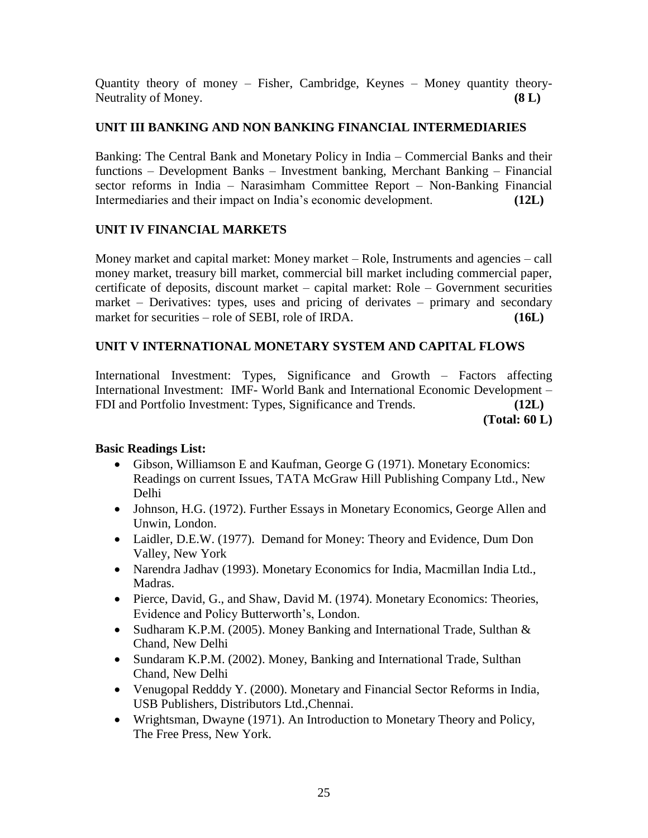Quantity theory of money – Fisher, Cambridge, Keynes – Money quantity theory-Neutrality of Money. **(8 L)**

# **UNIT III BANKING AND NON BANKING FINANCIAL INTERMEDIARIES**

Banking: The Central Bank and Monetary Policy in India – Commercial Banks and their functions – Development Banks – Investment banking, Merchant Banking – Financial sector reforms in India – Narasimham Committee Report – Non-Banking Financial Intermediaries and their impact on India's economic development. **(12L)**

# **UNIT IV FINANCIAL MARKETS**

Money market and capital market: Money market – Role, Instruments and agencies – call money market, treasury bill market, commercial bill market including commercial paper, certificate of deposits, discount market – capital market: Role – Government securities market – Derivatives: types, uses and pricing of derivates – primary and secondary market for securities – role of SEBI, role of IRDA. **(16L)**

# **UNIT V INTERNATIONAL MONETARY SYSTEM AND CAPITAL FLOWS**

International Investment: Types, Significance and Growth – Factors affecting International Investment: IMF- World Bank and International Economic Development – FDI and Portfolio Investment: Types, Significance and Trends. **(12L)**

**(Total: 60 L)**

# **Basic Readings List:**

- Gibson, Williamson E and Kaufman, George G (1971). Monetary Economics: Readings on current Issues, TATA McGraw Hill Publishing Company Ltd., New Delhi
- Johnson, H.G. (1972). Further Essays in Monetary Economics, George Allen and Unwin, London.
- Laidler, D.E.W. (1977). Demand for Money: Theory and Evidence, Dum Don Valley, New York
- Narendra Jadhav (1993). Monetary Economics for India, Macmillan India Ltd., Madras.
- Pierce, David, G., and Shaw, David M. (1974). Monetary Economics: Theories, Evidence and Policy Butterworth's, London.
- Sudharam K.P.M. (2005). Money Banking and International Trade, Sulthan & Chand, New Delhi
- Sundaram K.P.M. (2002). Money, Banking and International Trade, Sulthan Chand, New Delhi
- Venugopal Redddy Y. (2000). Monetary and Financial Sector Reforms in India, USB Publishers, Distributors Ltd.,Chennai.
- Wrightsman, Dwayne (1971). An Introduction to Monetary Theory and Policy, The Free Press, New York.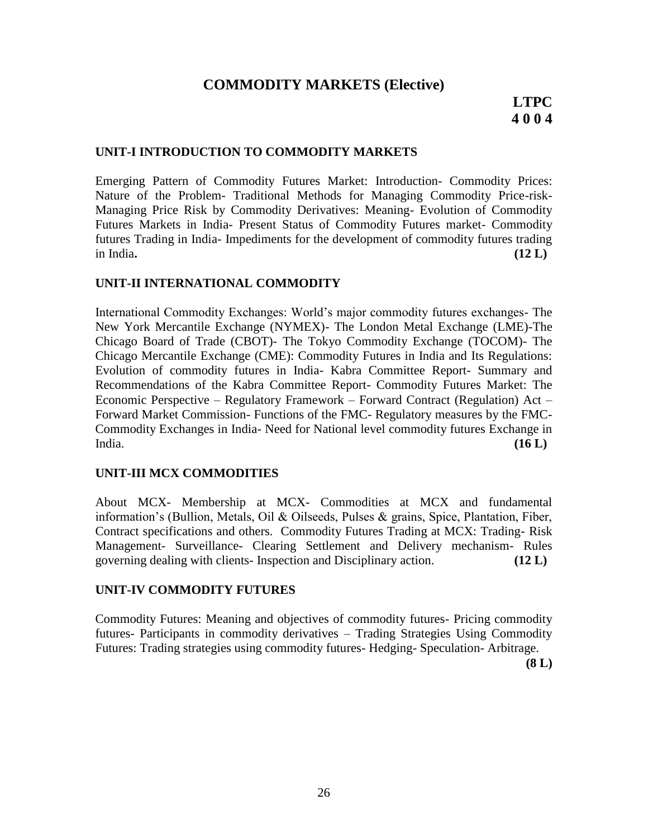# **COMMODITY MARKETS (Elective)**

#### **UNIT-I INTRODUCTION TO COMMODITY MARKETS**

Emerging Pattern of Commodity Futures Market: Introduction- Commodity Prices: Nature of the Problem- Traditional Methods for Managing Commodity Price-risk-Managing Price Risk by Commodity Derivatives: Meaning- Evolution of Commodity Futures Markets in India- Present Status of Commodity Futures market- Commodity futures Trading in India- Impediments for the development of commodity futures trading in India**. (12 L)**

#### **UNIT-II INTERNATIONAL COMMODITY**

International Commodity Exchanges: World's major commodity futures exchanges- The New York Mercantile Exchange (NYMEX)- The London Metal Exchange (LME)-The Chicago Board of Trade (CBOT)- The Tokyo Commodity Exchange (TOCOM)- The Chicago Mercantile Exchange (CME): Commodity Futures in India and Its Regulations: Evolution of commodity futures in India- Kabra Committee Report- Summary and Recommendations of the Kabra Committee Report- Commodity Futures Market: The Economic Perspective – Regulatory Framework – Forward Contract (Regulation) Act – Forward Market Commission- Functions of the FMC- Regulatory measures by the FMC-Commodity Exchanges in India- Need for National level commodity futures Exchange in India. **(16 L)**

#### **UNIT-III MCX COMMODITIES**

About MCX- Membership at MCX- Commodities at MCX and fundamental information's (Bullion, Metals, Oil & Oilseeds, Pulses & grains, Spice, Plantation, Fiber, Contract specifications and others. Commodity Futures Trading at MCX: Trading- Risk Management- Surveillance- Clearing Settlement and Delivery mechanism- Rules governing dealing with clients- Inspection and Disciplinary action. **(12 L)**

#### **UNIT-IV COMMODITY FUTURES**

Commodity Futures: Meaning and objectives of commodity futures- Pricing commodity futures- Participants in commodity derivatives – Trading Strategies Using Commodity Futures: Trading strategies using commodity futures- Hedging- Speculation- Arbitrage.

**(8 L)**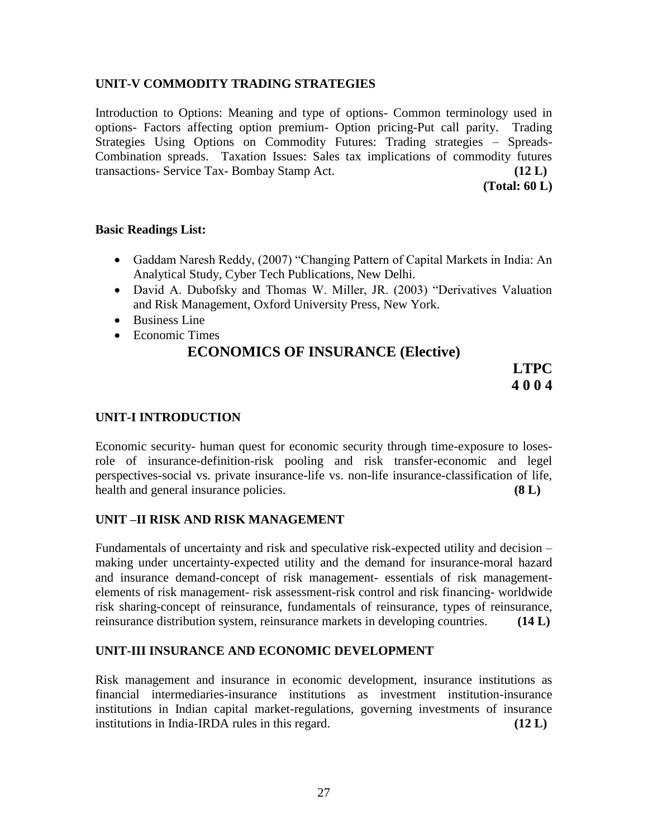### **UNIT-V COMMODITY TRADING STRATEGIES**

Introduction to Options: Meaning and type of options- Common terminology used in options- Factors affecting option premium- Option pricing-Put call parity. Trading Strategies Using Options on Commodity Futures: Trading strategies – Spreads-Combination spreads. Taxation Issues: Sales tax implications of commodity futures transactions- Service Tax- Bombay Stamp Act. **(12 L)**

**(Total: 60 L)**

#### **Basic Readings List:**

- Gaddam Naresh Reddy, (2007) "Changing Pattern of Capital Markets in India: An Analytical Study, Cyber Tech Publications, New Delhi.
- David A. Dubofsky and Thomas W. Miller, JR. (2003) "Derivatives Valuation and Risk Management, Oxford University Press, New York.
- Business Line
- Economic Times

# **ECONOMICS OF INSURANCE (Elective)**

**LTPC 4 0 0 4**

### **UNIT-I INTRODUCTION**

Economic security- human quest for economic security through time-exposure to losesrole of insurance-definition-risk pooling and risk transfer-economic and legel perspectives-social vs. private insurance-life vs. non-life insurance-classification of life, health and general insurance policies. **(8 L)**

# **UNIT –II RISK AND RISK MANAGEMENT**

Fundamentals of uncertainty and risk and speculative risk-expected utility and decision – making under uncertainty-expected utility and the demand for insurance-moral hazard and insurance demand-concept of risk management- essentials of risk managementelements of risk management- risk assessment-risk control and risk financing- worldwide risk sharing-concept of reinsurance, fundamentals of reinsurance, types of reinsurance, reinsurance distribution system, reinsurance markets in developing countries. **(14 L)**

#### **UNIT-III INSURANCE AND ECONOMIC DEVELOPMENT**

Risk management and insurance in economic development, insurance institutions as financial intermediaries-insurance institutions as investment institution-insurance institutions in Indian capital market-regulations, governing investments of insurance institutions in India-IRDA rules in this regard. **(12 L)**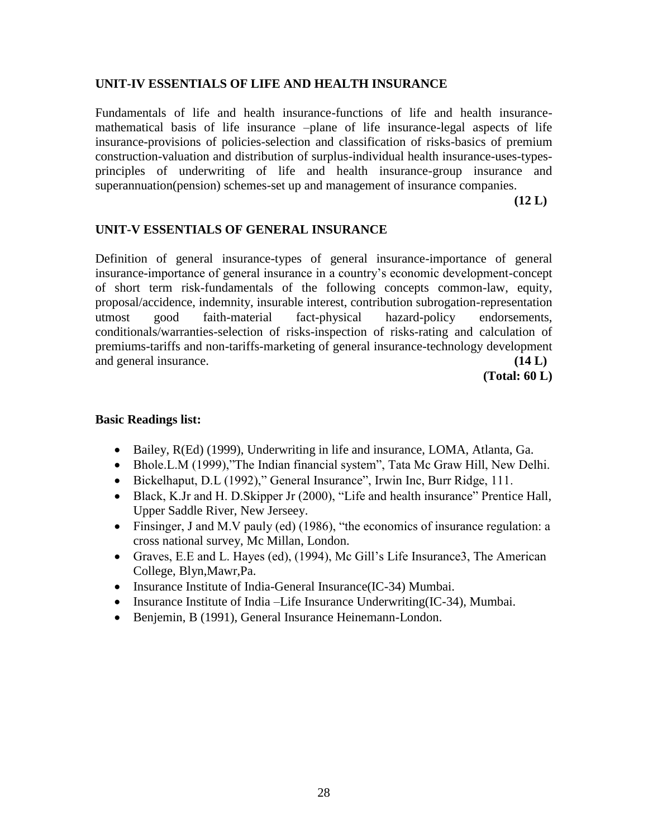### **UNIT-IV ESSENTIALS OF LIFE AND HEALTH INSURANCE**

Fundamentals of life and health insurance-functions of life and health insurancemathematical basis of life insurance –plane of life insurance-legal aspects of life insurance-provisions of policies-selection and classification of risks-basics of premium construction-valuation and distribution of surplus-individual health insurance-uses-typesprinciples of underwriting of life and health insurance-group insurance and superannuation(pension) schemes-set up and management of insurance companies.

**(12 L)**

### **UNIT-V ESSENTIALS OF GENERAL INSURANCE**

Definition of general insurance-types of general insurance-importance of general insurance-importance of general insurance in a country's economic development-concept of short term risk-fundamentals of the following concepts common-law, equity, proposal/accidence, indemnity, insurable interest, contribution subrogation-representation utmost good faith-material fact-physical hazard-policy endorsements, conditionals/warranties-selection of risks-inspection of risks-rating and calculation of premiums-tariffs and non-tariffs-marketing of general insurance-technology development and general insurance. **(14 L)**

**(Total: 60 L)**

#### **Basic Readings list:**

- Bailey, R(Ed) (1999), Underwriting in life and insurance, LOMA, Atlanta, Ga.
- Bhole.L.M (1999), "The Indian financial system", Tata Mc Graw Hill, New Delhi.
- Bickelhaput, D.L (1992)," General Insurance", Irwin Inc, Burr Ridge, 111.
- Black, K.Jr and H. D.Skipper Jr (2000), "Life and health insurance" Prentice Hall, Upper Saddle River, New Jerseey.
- Finsinger, J and M.V pauly (ed) (1986), "the economics of insurance regulation: a cross national survey, Mc Millan, London.
- Graves, E.E and L. Hayes (ed), (1994), Mc Gill's Life Insurance3, The American College, Blyn,Mawr,Pa.
- Insurance Institute of India-General Insurance(IC-34) Mumbai.
- Insurance Institute of India –Life Insurance Underwriting( $IC-34$ ), Mumbai.
- Benjemin, B (1991), General Insurance Heinemann-London.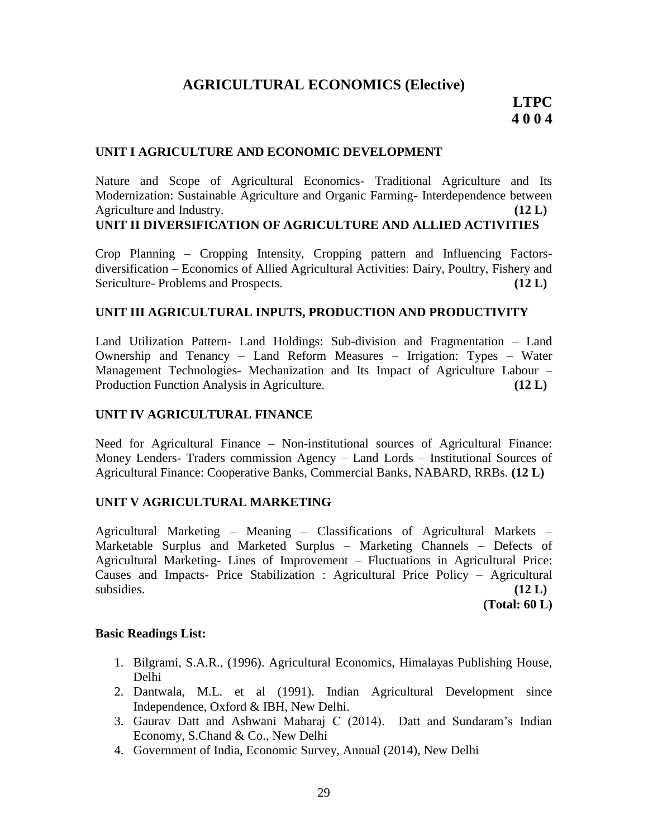# **AGRICULTURAL ECONOMICS (Elective)**

# **LTPC 4 0 0 4**

#### **UNIT I AGRICULTURE AND ECONOMIC DEVELOPMENT**

Nature and Scope of Agricultural Economics- Traditional Agriculture and Its Modernization: Sustainable Agriculture and Organic Farming- Interdependence between Agriculture and Industry. **(12 L)**

#### **UNIT II DIVERSIFICATION OF AGRICULTURE AND ALLIED ACTIVITIES**

Crop Planning – Cropping Intensity, Cropping pattern and Influencing Factorsdiversification – Economics of Allied Agricultural Activities: Dairy, Poultry, Fishery and Sericulture- Problems and Prospects. **(12 L)** (12 L)

#### **UNIT III AGRICULTURAL INPUTS, PRODUCTION AND PRODUCTIVITY**

Land Utilization Pattern- Land Holdings: Sub-division and Fragmentation – Land Ownership and Tenancy – Land Reform Measures – Irrigation: Types – Water Management Technologies- Mechanization and Its Impact of Agriculture Labour – Production Function Analysis in Agriculture. **(12 L)**

#### **UNIT IV AGRICULTURAL FINANCE**

Need for Agricultural Finance – Non-institutional sources of Agricultural Finance: Money Lenders- Traders commission Agency – Land Lords – Institutional Sources of Agricultural Finance: Cooperative Banks, Commercial Banks, NABARD, RRBs. **(12 L)**

#### **UNIT V AGRICULTURAL MARKETING**

Agricultural Marketing – Meaning – Classifications of Agricultural Markets – Marketable Surplus and Marketed Surplus – Marketing Channels – Defects of Agricultural Marketing- Lines of Improvement – Fluctuations in Agricultural Price: Causes and Impacts- Price Stabilization : Agricultural Price Policy – Agricultural subsidies.  $(12 \text{ L})$ 

**(Total: 60 L)**

#### **Basic Readings List:**

- 1. Bilgrami, S.A.R., (1996). Agricultural Economics, Himalayas Publishing House, Delhi
- 2. Dantwala, M.L. et al (1991). Indian Agricultural Development since Independence, Oxford & IBH, New Delhi.
- 3. Gaurav Datt and Ashwani Maharaj C (2014). Datt and Sundaram's Indian Economy, S.Chand & Co., New Delhi
- 4. Government of India, Economic Survey, Annual (2014), New Delhi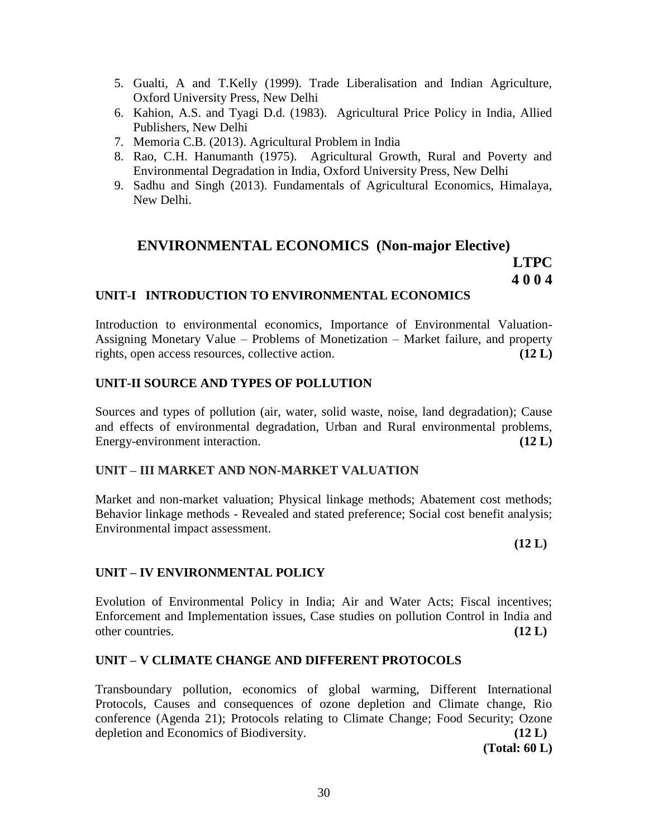- 5. Gualti, A and T.Kelly (1999). Trade Liberalisation and Indian Agriculture, Oxford University Press, New Delhi
- 6. Kahion, A.S. and Tyagi D.d. (1983). Agricultural Price Policy in India, Allied Publishers, New Delhi
- 7. Memoria C.B. (2013). Agricultural Problem in India
- 8. Rao, C.H. Hanumanth (1975). Agricultural Growth, Rural and Poverty and Environmental Degradation in India, Oxford University Press, New Delhi
- 9. Sadhu and Singh (2013). Fundamentals of Agricultural Economics, Himalaya, New Delhi.

# **ENVIRONMENTAL ECONOMICS (Non-major Elective) LTPC 4 0 0 4**

### **UNIT-I INTRODUCTION TO ENVIRONMENTAL ECONOMICS**

Introduction to environmental economics, Importance of Environmental Valuation-Assigning Monetary Value – Problems of Monetization – Market failure, and property rights, open access resources, collective action. **(12 L)**

### **UNIT-II SOURCE AND TYPES OF POLLUTION**

Sources and types of pollution (air, water, solid waste, noise, land degradation); Cause and effects of environmental degradation, Urban and Rural environmental problems, Energy-environment interaction. **(12 L)** (12 L)

#### **UNIT – III MARKET AND NON-MARKET VALUATION**

Market and non-market valuation; Physical linkage methods; Abatement cost methods; Behavior linkage methods - Revealed and stated preference; Social cost benefit analysis; Environmental impact assessment.

**(12 L)**

# **UNIT – IV ENVIRONMENTAL POLICY**

Evolution of Environmental Policy in India; Air and Water Acts; Fiscal incentives; Enforcement and Implementation issues, Case studies on pollution Control in India and other countries. **(12 L)**

# **UNIT – V CLIMATE CHANGE AND DIFFERENT PROTOCOLS**

Transboundary pollution, economics of global warming, Different International Protocols, Causes and consequences of ozone depletion and Climate change, Rio conference (Agenda 21); Protocols relating to Climate Change; Food Security; Ozone depletion and Economics of Biodiversity. **(12 L)**

**(Total: 60 L)**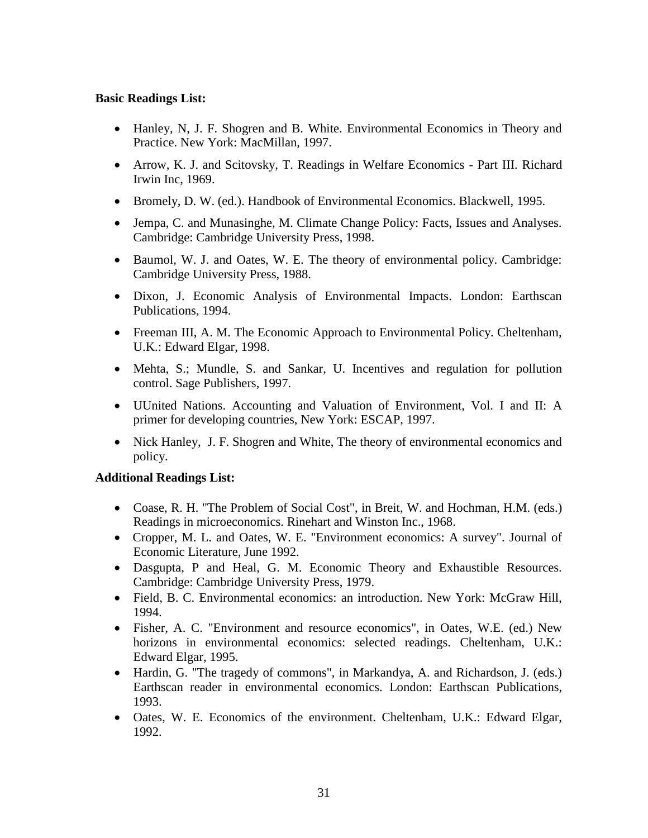#### **Basic Readings List:**

- Hanley, N, J. F. Shogren and B. White. Environmental Economics in Theory and Practice. New York: MacMillan, 1997.
- Arrow, K. J. and Scitovsky, T. Readings in Welfare Economics Part III. Richard Irwin Inc, 1969.
- Bromely, D. W. (ed.). Handbook of Environmental Economics. Blackwell, 1995.
- Jempa, C. and Munasinghe, M. Climate Change Policy: Facts, Issues and Analyses. Cambridge: Cambridge University Press, 1998.
- Baumol, W. J. and Oates, W. E. The theory of environmental policy. Cambridge: Cambridge University Press, 1988.
- Dixon, J. Economic Analysis of Environmental Impacts. London: Earthscan Publications, 1994.
- Freeman III, A. M. The Economic Approach to Environmental Policy. Cheltenham, U.K.: Edward Elgar, 1998.
- Mehta, S.; Mundle, S. and Sankar, U. Incentives and regulation for pollution control. Sage Publishers, 1997.
- UUnited Nations. Accounting and Valuation of Environment, Vol. I and II: A primer for developing countries, New York: ESCAP, 1997.
- Nick Hanley, J. F. Shogren and White, The theory of environmental economics and policy.

#### **Additional Readings List:**

- Coase, R. H. "The Problem of Social Cost", in Breit, W. and Hochman, H.M. (eds.) Readings in microeconomics. Rinehart and Winston Inc., 1968.
- Cropper, M. L. and Oates, W. E. "Environment economics: A survey". Journal of Economic Literature, June 1992.
- Dasgupta, P and Heal, G. M. Economic Theory and Exhaustible Resources. Cambridge: Cambridge University Press, 1979.
- Field, B. C. Environmental economics: an introduction. New York: McGraw Hill, 1994.
- Fisher, A. C. "Environment and resource economics", in Oates, W.E. (ed.) New horizons in environmental economics: selected readings. Cheltenham, U.K.: Edward Elgar, 1995.
- Hardin, G. "The tragedy of commons", in Markandya, A. and Richardson, J. (eds.) Earthscan reader in environmental economics. London: Earthscan Publications, 1993.
- Oates, W. E. Economics of the environment. Cheltenham, U.K.: Edward Elgar, 1992.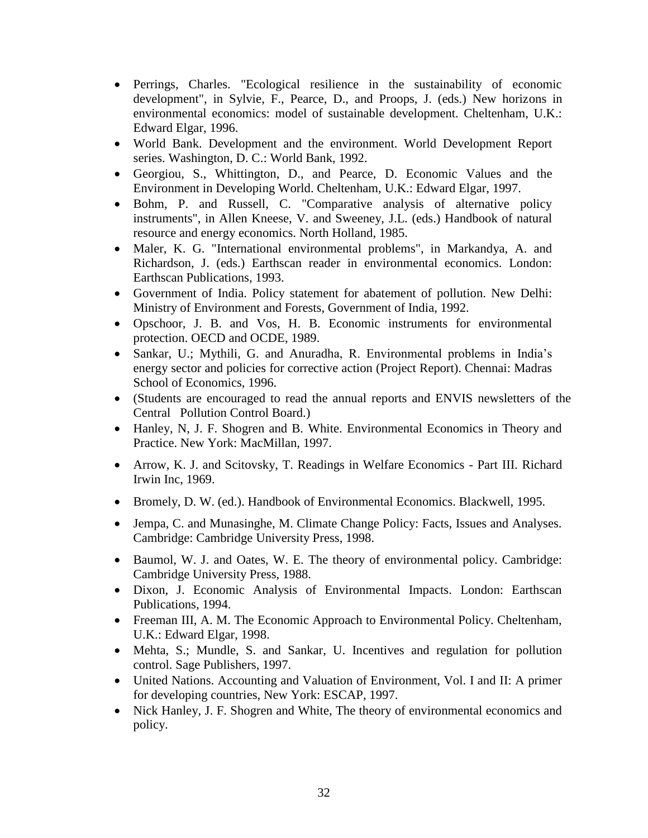- Perrings, Charles. "Ecological resilience in the sustainability of economic development", in Sylvie, F., Pearce, D., and Proops, J. (eds.) New horizons in environmental economics: model of sustainable development. Cheltenham, U.K.: Edward Elgar, 1996.
- World Bank. Development and the environment. World Development Report series. Washington, D. C.: World Bank, 1992.
- Georgiou, S., Whittington, D., and Pearce, D. Economic Values and the Environment in Developing World. Cheltenham, U.K.: Edward Elgar, 1997.
- Bohm, P. and Russell, C. "Comparative analysis of alternative policy instruments", in Allen Kneese, V. and Sweeney, J.L. (eds.) Handbook of natural resource and energy economics. North Holland, 1985.
- Maler, K. G. "International environmental problems", in Markandya, A. and Richardson, J. (eds.) Earthscan reader in environmental economics. London: Earthscan Publications, 1993.
- Government of India. Policy statement for abatement of pollution. New Delhi: Ministry of Environment and Forests, Government of India, 1992.
- Opschoor, J. B. and Vos, H. B. Economic instruments for environmental protection. OECD and OCDE, 1989.
- Sankar, U.; Mythili, G. and Anuradha, R. Environmental problems in India's energy sector and policies for corrective action (Project Report). Chennai: Madras School of Economics, 1996.
- (Students are encouraged to read the annual reports and ENVIS newsletters of the Central Pollution Control Board.)
- Hanley, N, J. F. Shogren and B. White. Environmental Economics in Theory and Practice. New York: MacMillan, 1997.
- Arrow, K. J. and Scitovsky, T. Readings in Welfare Economics Part III. Richard Irwin Inc, 1969.
- Bromely, D. W. (ed.). Handbook of Environmental Economics. Blackwell, 1995.
- Jempa, C. and Munasinghe, M. Climate Change Policy: Facts, Issues and Analyses. Cambridge: Cambridge University Press, 1998.
- Baumol, W. J. and Oates, W. E. The theory of environmental policy. Cambridge: Cambridge University Press, 1988.
- Dixon, J. Economic Analysis of Environmental Impacts. London: Earthscan Publications, 1994.
- Freeman III, A. M. The Economic Approach to Environmental Policy. Cheltenham, U.K.: Edward Elgar, 1998.
- Mehta, S.; Mundle, S. and Sankar, U. Incentives and regulation for pollution control. Sage Publishers, 1997.
- United Nations. Accounting and Valuation of Environment, Vol. I and II: A primer for developing countries, New York: ESCAP, 1997.
- Nick Hanley, J. F. Shogren and White, The theory of environmental economics and policy.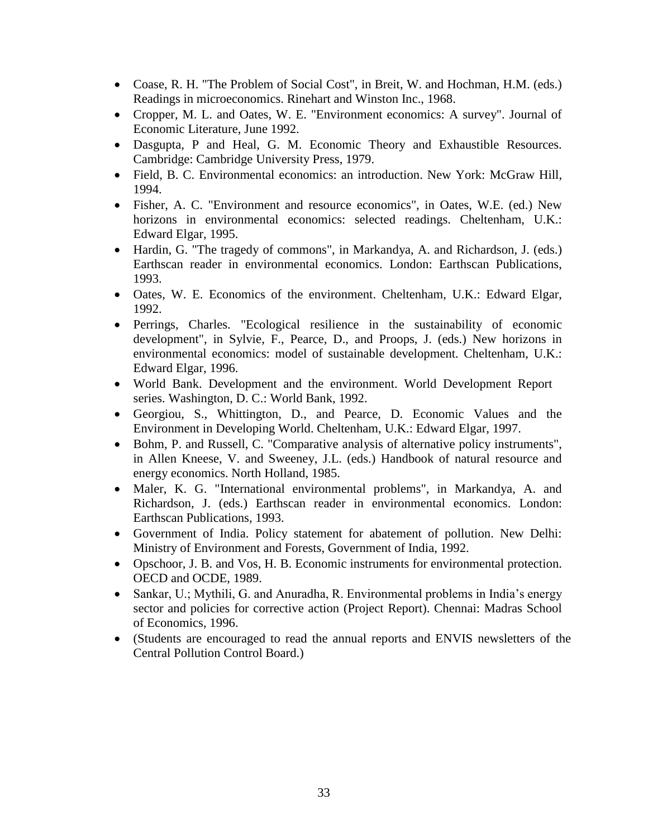- Coase, R. H. "The Problem of Social Cost", in Breit, W. and Hochman, H.M. (eds.) Readings in microeconomics. Rinehart and Winston Inc., 1968.
- Cropper, M. L. and Oates, W. E. "Environment economics: A survey". Journal of Economic Literature, June 1992.
- Dasgupta, P and Heal, G. M. Economic Theory and Exhaustible Resources. Cambridge: Cambridge University Press, 1979.
- Field, B. C. Environmental economics: an introduction. New York: McGraw Hill, 1994.
- Fisher, A. C. "Environment and resource economics", in Oates, W.E. (ed.) New horizons in environmental economics: selected readings. Cheltenham, U.K.: Edward Elgar, 1995.
- Hardin, G. "The tragedy of commons", in Markandya, A. and Richardson, J. (eds.) Earthscan reader in environmental economics. London: Earthscan Publications, 1993.
- Oates, W. E. Economics of the environment. Cheltenham, U.K.: Edward Elgar, 1992.
- Perrings, Charles. "Ecological resilience in the sustainability of economic development", in Sylvie, F., Pearce, D., and Proops, J. (eds.) New horizons in environmental economics: model of sustainable development. Cheltenham, U.K.: Edward Elgar, 1996.
- World Bank. Development and the environment. World Development Report series. Washington, D. C.: World Bank, 1992.
- Georgiou, S., Whittington, D., and Pearce, D. Economic Values and the Environment in Developing World. Cheltenham, U.K.: Edward Elgar, 1997.
- Bohm, P. and Russell, C. "Comparative analysis of alternative policy instruments", in Allen Kneese, V. and Sweeney, J.L. (eds.) Handbook of natural resource and energy economics. North Holland, 1985.
- Maler, K. G. "International environmental problems", in Markandya, A. and Richardson, J. (eds.) Earthscan reader in environmental economics. London: Earthscan Publications, 1993.
- Government of India. Policy statement for abatement of pollution. New Delhi: Ministry of Environment and Forests, Government of India, 1992.
- Opschoor, J. B. and Vos, H. B. Economic instruments for environmental protection. OECD and OCDE, 1989.
- Sankar, U.; Mythili, G. and Anuradha, R. Environmental problems in India's energy sector and policies for corrective action (Project Report). Chennai: Madras School of Economics, 1996.
- (Students are encouraged to read the annual reports and ENVIS newsletters of the Central Pollution Control Board.)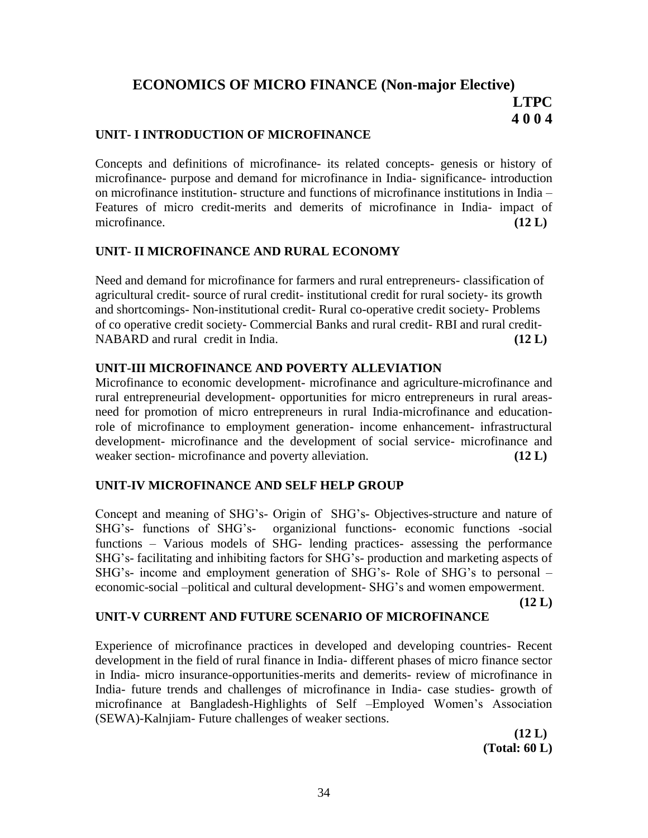# **ECONOMICS OF MICRO FINANCE (Non-major Elective) LTPC 4 0 0 4**

### **UNIT- I INTRODUCTION OF MICROFINANCE**

Concepts and definitions of microfinance- its related concepts- genesis or history of microfinance- purpose and demand for microfinance in India- significance- introduction on microfinance institution- structure and functions of microfinance institutions in India – Features of micro credit-merits and demerits of microfinance in India- impact of microfinance. **(12 L)**

#### **UNIT- II MICROFINANCE AND RURAL ECONOMY**

Need and demand for microfinance for farmers and rural entrepreneurs- classification of agricultural credit- source of rural credit- institutional credit for rural society- its growth and shortcomings- Non-institutional credit- Rural co-operative credit society- Problems of co operative credit society- Commercial Banks and rural credit- RBI and rural credit-NABARD and rural credit in India. **(12 L)**

# **UNIT-III MICROFINANCE AND POVERTY ALLEVIATION**

Microfinance to economic development- microfinance and agriculture-microfinance and rural entrepreneurial development- opportunities for micro entrepreneurs in rural areasneed for promotion of micro entrepreneurs in rural India-microfinance and educationrole of microfinance to employment generation- income enhancement- infrastructural development- microfinance and the development of social service- microfinance and weaker section- microfinance and poverty alleviation. **(12 L)** 

# **UNIT-IV MICROFINANCE AND SELF HELP GROUP**

Concept and meaning of SHG's- Origin of SHG's- Objectives-structure and nature of SHG's- functions of SHG's- organizional functions- economic functions -social functions – Various models of SHG- lending practices- assessing the performance SHG's- facilitating and inhibiting factors for SHG's- production and marketing aspects of SHG's- income and employment generation of SHG's- Role of SHG's to personal – economic-social –political and cultural development- SHG's and women empowerment.

**(12 L)**

# **UNIT-V CURRENT AND FUTURE SCENARIO OF MICROFINANCE**

Experience of microfinance practices in developed and developing countries- Recent development in the field of rural finance in India- different phases of micro finance sector in India- micro insurance-opportunities-merits and demerits- review of microfinance in India- future trends and challenges of microfinance in India- case studies- growth of microfinance at Bangladesh-Highlights of Self –Employed Women's Association (SEWA)-Kalnjiam- Future challenges of weaker sections.

> **(12 L) (Total: 60 L)**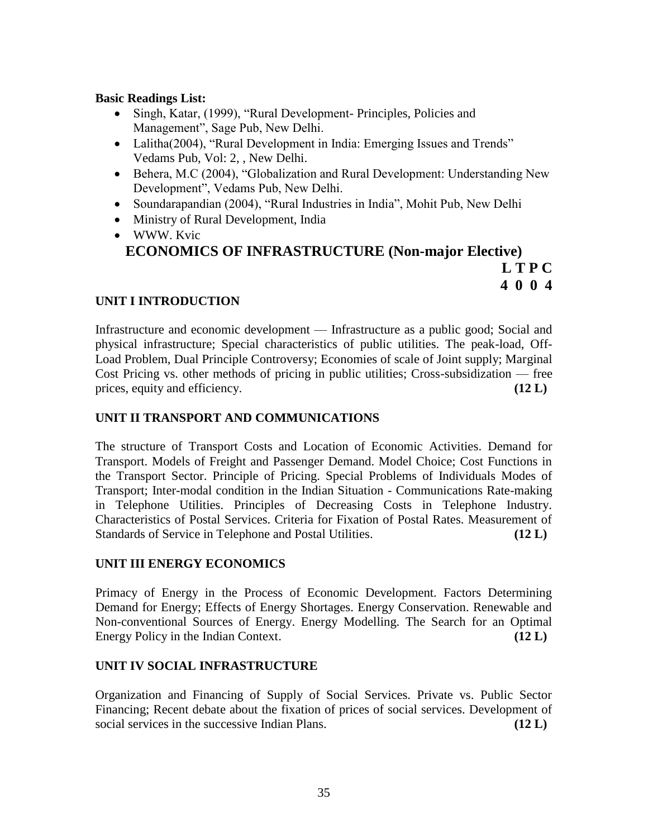#### **Basic Readings List:**

- Singh, Katar, (1999), "Rural Development- Principles, Policies and Management", Sage Pub, New Delhi.
- Lalitha(2004), "Rural Development in India: Emerging Issues and Trends" Vedams Pub, Vol: 2, , New Delhi.
- Behera, M.C (2004), "Globalization and Rural Development: Understanding New Development", Vedams Pub, New Delhi.
- Soundarapandian (2004), "Rural Industries in India", Mohit Pub, New Delhi
- Ministry of Rural Development, India
- WWW. Kvic **ECONOMICS OF INFRASTRUCTURE (Non-major Elective) L T P C**

**4 0 0 4**

# **UNIT I INTRODUCTION**

Infrastructure and economic development — Infrastructure as a public good; Social and physical infrastructure; Special characteristics of public utilities. The peak-load, Off-Load Problem, Dual Principle Controversy; Economies of scale of Joint supply; Marginal Cost Pricing vs. other methods of pricing in public utilities; Cross-subsidization — free prices, equity and efficiency. **(12 L)**

### **UNIT II TRANSPORT AND COMMUNICATIONS**

The structure of Transport Costs and Location of Economic Activities. Demand for Transport. Models of Freight and Passenger Demand. Model Choice; Cost Functions in the Transport Sector. Principle of Pricing. Special Problems of Individuals Modes of Transport; Inter-modal condition in the Indian Situation - Communications Rate-making in Telephone Utilities. Principles of Decreasing Costs in Telephone Industry. Characteristics of Postal Services. Criteria for Fixation of Postal Rates. Measurement of Standards of Service in Telephone and Postal Utilities. **(12 L)**

# **UNIT III ENERGY ECONOMICS**

Primacy of Energy in the Process of Economic Development. Factors Determining Demand for Energy; Effects of Energy Shortages. Energy Conservation. Renewable and Non-conventional Sources of Energy. Energy Modelling. The Search for an Optimal Energy Policy in the Indian Context. **(12 L)**

# **UNIT IV SOCIAL INFRASTRUCTURE**

Organization and Financing of Supply of Social Services. Private vs. Public Sector Financing; Recent debate about the fixation of prices of social services. Development of social services in the successive Indian Plans. **(12 L)**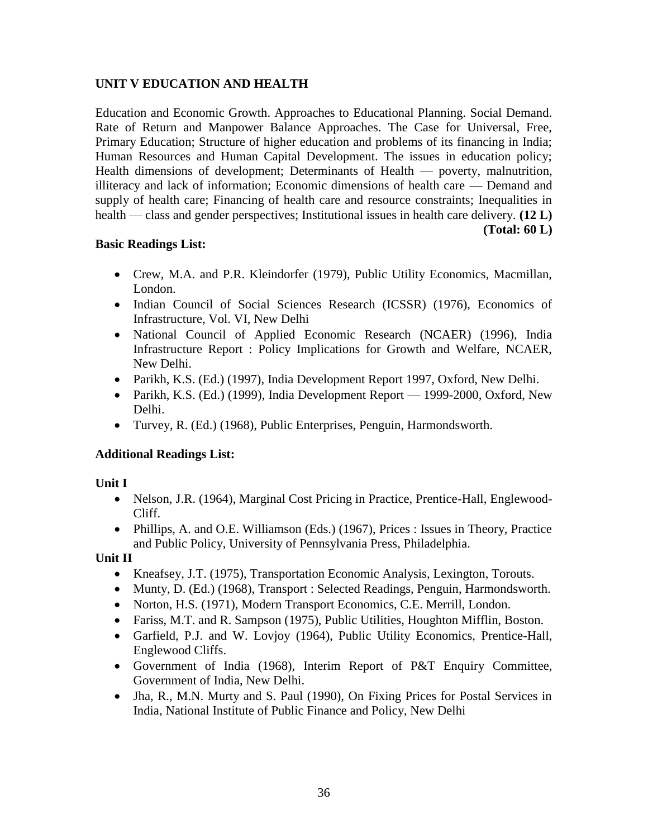# **UNIT V EDUCATION AND HEALTH**

Education and Economic Growth. Approaches to Educational Planning. Social Demand. Rate of Return and Manpower Balance Approaches. The Case for Universal, Free, Primary Education; Structure of higher education and problems of its financing in India; Human Resources and Human Capital Development. The issues in education policy; Health dimensions of development; Determinants of Health — poverty, malnutrition, illiteracy and lack of information; Economic dimensions of health care — Demand and supply of health care; Financing of health care and resource constraints; Inequalities in health — class and gender perspectives; Institutional issues in health care delivery. **(12 L) (Total: 60 L)**

### **Basic Readings List:**

- Crew, M.A. and P.R. Kleindorfer (1979), Public Utility Economics, Macmillan, London.
- Indian Council of Social Sciences Research (ICSSR) (1976), Economics of Infrastructure, Vol. VI, New Delhi
- National Council of Applied Economic Research (NCAER) (1996), India Infrastructure Report : Policy Implications for Growth and Welfare, NCAER, New Delhi.
- Parikh, K.S. (Ed.) (1997), India Development Report 1997, Oxford, New Delhi.
- Parikh, K.S. (Ed.) (1999), India Development Report 1999-2000, Oxford, New Delhi.
- Turvey, R. (Ed.) (1968), Public Enterprises, Penguin, Harmondsworth.

# **Additional Readings List:**

# **Unit I**

- Nelson, J.R. (1964), Marginal Cost Pricing in Practice, Prentice-Hall, Englewood-Cliff.
- Phillips, A. and O.E. Williamson (Eds.) (1967), Prices : Issues in Theory, Practice and Public Policy, University of Pennsylvania Press, Philadelphia.

# **Unit II**

- Kneafsey, J.T. (1975), Transportation Economic Analysis, Lexington, Torouts.
- Munty, D. (Ed.) (1968), Transport : Selected Readings, Penguin, Harmondsworth.
- Norton, H.S. (1971), Modern Transport Economics, C.E. Merrill, London.
- Fariss, M.T. and R. Sampson (1975), Public Utilities, Houghton Mifflin, Boston.
- Garfield, P.J. and W. Lovjoy (1964), Public Utility Economics, Prentice-Hall, Englewood Cliffs.
- Government of India (1968), Interim Report of P&T Enquiry Committee, Government of India, New Delhi.
- Jha, R., M.N. Murty and S. Paul (1990), On Fixing Prices for Postal Services in India, National Institute of Public Finance and Policy, New Delhi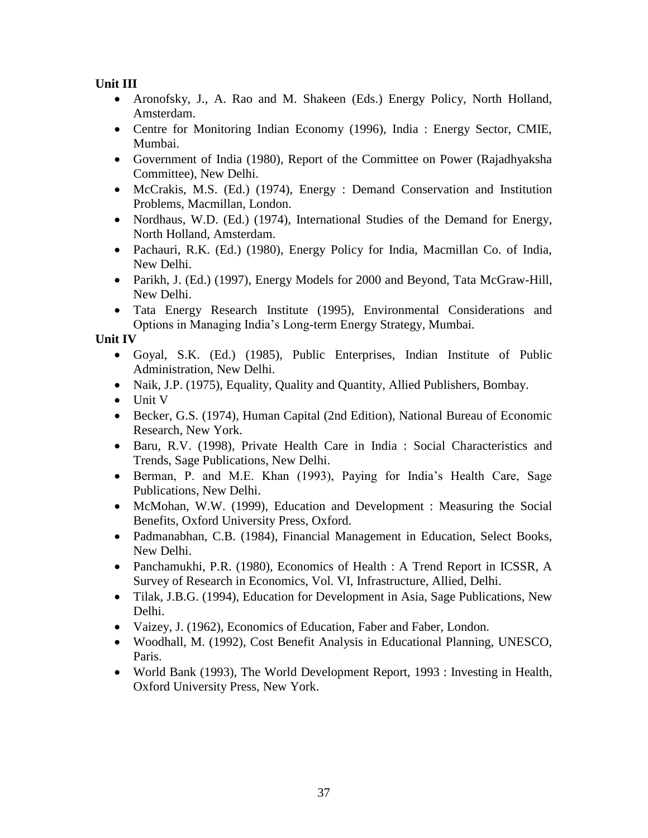**Unit III**

- Aronofsky, J., A. Rao and M. Shakeen (Eds.) Energy Policy, North Holland, Amsterdam.
- Centre for Monitoring Indian Economy (1996), India : Energy Sector, CMIE, Mumbai.
- Government of India (1980), Report of the Committee on Power (Rajadhyaksha Committee), New Delhi.
- McCrakis, M.S. (Ed.) (1974), Energy : Demand Conservation and Institution Problems, Macmillan, London.
- Nordhaus, W.D. (Ed.) (1974), International Studies of the Demand for Energy, North Holland, Amsterdam.
- Pachauri, R.K. (Ed.) (1980), Energy Policy for India, Macmillan Co. of India, New Delhi.
- Parikh, J. (Ed.) (1997), Energy Models for 2000 and Beyond, Tata McGraw-Hill, New Delhi.
- Tata Energy Research Institute (1995), Environmental Considerations and Options in Managing India's Long-term Energy Strategy, Mumbai.

**Unit IV**

- Goyal, S.K. (Ed.) (1985), Public Enterprises, Indian Institute of Public Administration, New Delhi.
- Naik, J.P. (1975), Equality, Quality and Quantity, Allied Publishers, Bombay.
- Unit V
- Becker, G.S. (1974), Human Capital (2nd Edition), National Bureau of Economic Research, New York.
- Baru, R.V. (1998), Private Health Care in India : Social Characteristics and Trends, Sage Publications, New Delhi.
- Berman, P. and M.E. Khan (1993), Paying for India's Health Care, Sage Publications, New Delhi.
- McMohan, W.W. (1999), Education and Development : Measuring the Social Benefits, Oxford University Press, Oxford.
- Padmanabhan, C.B. (1984), Financial Management in Education, Select Books, New Delhi.
- Panchamukhi, P.R. (1980), Economics of Health : A Trend Report in ICSSR, A Survey of Research in Economics, Vol. VI, Infrastructure, Allied, Delhi.
- Tilak, J.B.G. (1994), Education for Development in Asia, Sage Publications, New Delhi.
- Vaizey, J. (1962), Economics of Education, Faber and Faber, London.
- Woodhall, M. (1992), Cost Benefit Analysis in Educational Planning, UNESCO, Paris.
- World Bank (1993), The World Development Report, 1993 : Investing in Health, Oxford University Press, New York.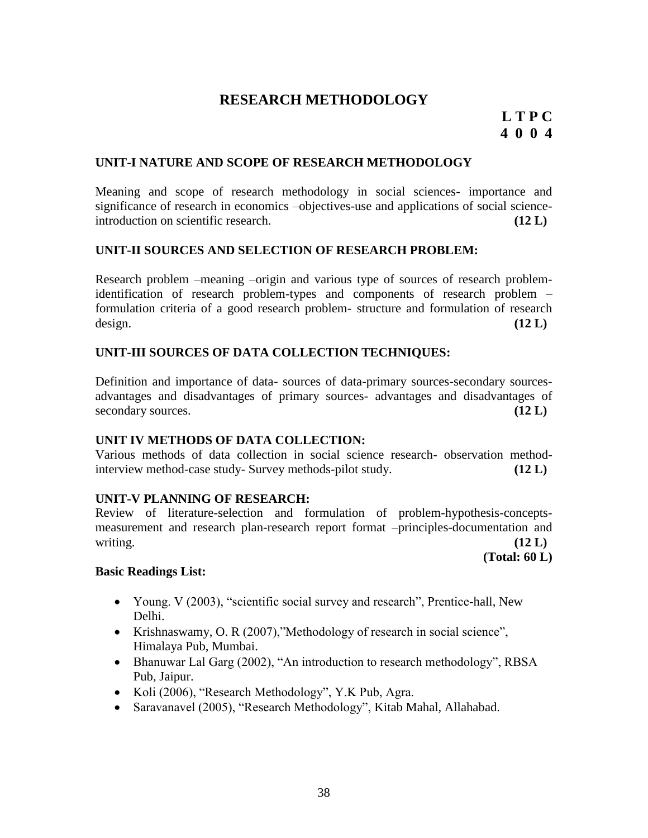# **RESEARCH METHODOLOGY**

# **L T P C 4 0 0 4**

### **UNIT-I NATURE AND SCOPE OF RESEARCH METHODOLOGY**

Meaning and scope of research methodology in social sciences- importance and significance of research in economics –objectives-use and applications of social scienceintroduction on scientific research. **(12 L)**

#### **UNIT-II SOURCES AND SELECTION OF RESEARCH PROBLEM:**

Research problem –meaning –origin and various type of sources of research problemidentification of research problem-types and components of research problem – formulation criteria of a good research problem- structure and formulation of research design. **(12 L)**

#### **UNIT-III SOURCES OF DATA COLLECTION TECHNIQUES:**

Definition and importance of data- sources of data-primary sources-secondary sourcesadvantages and disadvantages of primary sources- advantages and disadvantages of secondary sources. **(12 L)**

#### **UNIT IV METHODS OF DATA COLLECTION:**

Various methods of data collection in social science research- observation methodinterview method-case study- Survey methods-pilot study. **(12 L)**

#### **UNIT-V PLANNING OF RESEARCH:**

Review of literature-selection and formulation of problem-hypothesis-conceptsmeasurement and research plan-research report format –principles-documentation and writing.  $(12 \text{ L})$ 

**(Total: 60 L)**

#### **Basic Readings List:**

- Young, V  $(2003)$ , "scientific social survey and research", Prentice-hall, New Delhi.
- Krishnaswamy, O. R (2007), "Methodology of research in social science", Himalaya Pub, Mumbai.
- Bhanuwar Lal Garg (2002), "An introduction to research methodology", RBSA Pub, Jaipur.
- Koli (2006), "Research Methodology", Y.K Pub, Agra.
- Saravanavel (2005), "Research Methodology", Kitab Mahal, Allahabad.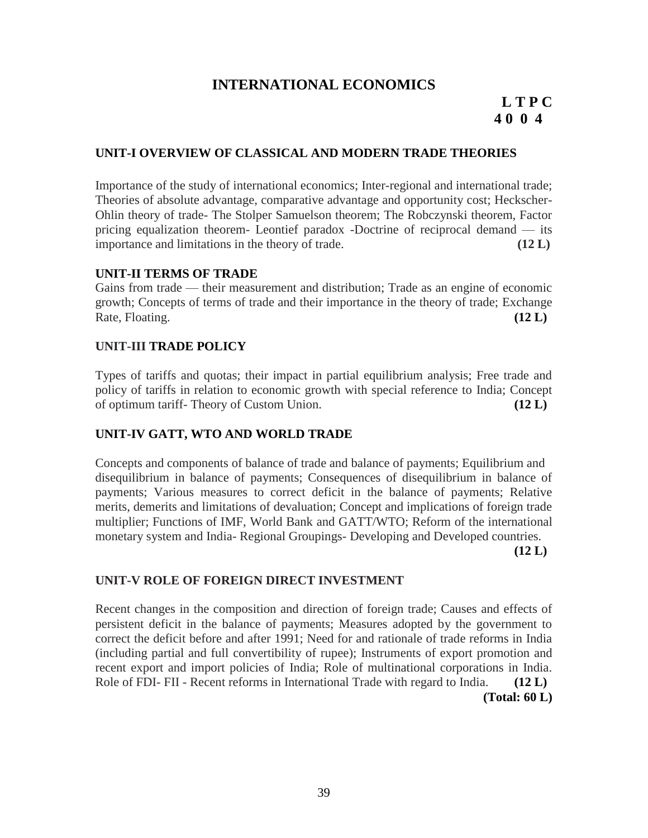# **INTERNATIONAL ECONOMICS**

# **L T P C 4 0 0 4**

#### **UNIT-I OVERVIEW OF CLASSICAL AND MODERN TRADE THEORIES**

Importance of the study of international economics; Inter-regional and international trade; Theories of absolute advantage, comparative advantage and opportunity cost; Heckscher-Ohlin theory of trade- The Stolper Samuelson theorem; The Robczynski theorem, Factor pricing equalization theorem- Leontief paradox -Doctrine of reciprocal demand — its importance and limitations in the theory of trade. **(12 L)**

#### **UNIT-II TERMS OF TRADE**

Gains from trade — their measurement and distribution; Trade as an engine of economic growth; Concepts of terms of trade and their importance in the theory of trade; Exchange Rate, Floating. **(12 L)** (12 L)

#### **UNIT-III TRADE POLICY**

Types of tariffs and quotas; their impact in partial equilibrium analysis; Free trade and policy of tariffs in relation to economic growth with special reference to India; Concept of optimum tariff- Theory of Custom Union. **(12 L)**

#### **UNIT-IV GATT, WTO AND WORLD TRADE**

Concepts and components of balance of trade and balance of payments; Equilibrium and disequilibrium in balance of payments; Consequences of disequilibrium in balance of payments; Various measures to correct deficit in the balance of payments; Relative merits, demerits and limitations of devaluation; Concept and implications of foreign trade multiplier; Functions of IMF, World Bank and GATT/WTO; Reform of the international monetary system and India- Regional Groupings- Developing and Developed countries.

**(12 L)**

#### **UNIT-V ROLE OF FOREIGN DIRECT INVESTMENT**

Recent changes in the composition and direction of foreign trade; Causes and effects of persistent deficit in the balance of payments; Measures adopted by the government to correct the deficit before and after 1991; Need for and rationale of trade reforms in India (including partial and full convertibility of rupee); Instruments of export promotion and recent export and import policies of India; Role of multinational corporations in India. Role of FDI- FII - Recent reforms in International Trade with regard to India. **(12 L) (Total: 60 L)**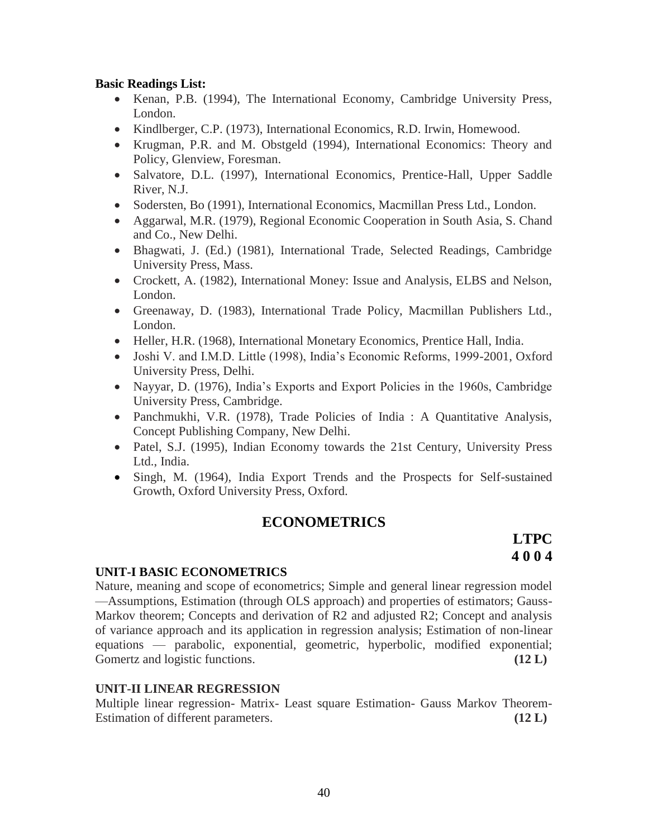### **Basic Readings List:**

- Kenan, P.B. (1994), The International Economy, Cambridge University Press, London.
- Kindlberger, C.P. (1973), International Economics, R.D. Irwin, Homewood.
- Krugman, P.R. and M. Obstgeld (1994), International Economics: Theory and Policy, Glenview, Foresman.
- Salvatore, D.L. (1997), International Economics, Prentice-Hall, Upper Saddle River, N.J.
- Sodersten, Bo (1991), International Economics, Macmillan Press Ltd., London.
- Aggarwal, M.R. (1979), Regional Economic Cooperation in South Asia, S. Chand and Co., New Delhi.
- Bhagwati, J. (Ed.) (1981), International Trade, Selected Readings, Cambridge University Press, Mass.
- Crockett, A. (1982), International Money: Issue and Analysis, ELBS and Nelson, London.
- Greenaway, D. (1983), International Trade Policy, Macmillan Publishers Ltd., London.
- Heller, H.R. (1968), International Monetary Economics, Prentice Hall, India.
- Joshi V. and I.M.D. Little (1998), India's Economic Reforms, 1999-2001, Oxford University Press, Delhi.
- Nayyar, D. (1976), India's Exports and Export Policies in the 1960s, Cambridge University Press, Cambridge.
- Panchmukhi, V.R. (1978), Trade Policies of India : A Quantitative Analysis, Concept Publishing Company, New Delhi.
- Patel, S.J. (1995), Indian Economy towards the 21st Century, University Press Ltd., India.
- Singh, M. (1964), India Export Trends and the Prospects for Self-sustained Growth, Oxford University Press, Oxford.

# **ECONOMETRICS**

# **LTPC 4 0 0 4**

#### **UNIT-I BASIC ECONOMETRICS**

Nature, meaning and scope of econometrics; Simple and general linear regression model —Assumptions, Estimation (through OLS approach) and properties of estimators; Gauss-Markov theorem; Concepts and derivation of R2 and adjusted R2; Concept and analysis of variance approach and its application in regression analysis; Estimation of non-linear equations — parabolic, exponential, geometric, hyperbolic, modified exponential; Gomertz and logistic functions. **(12 L)** (12 L)

#### **UNIT-II LINEAR REGRESSION**

Multiple linear regression- Matrix- Least square Estimation- Gauss Markov Theorem-Estimation of different parameters. **(12 L)** (12 L)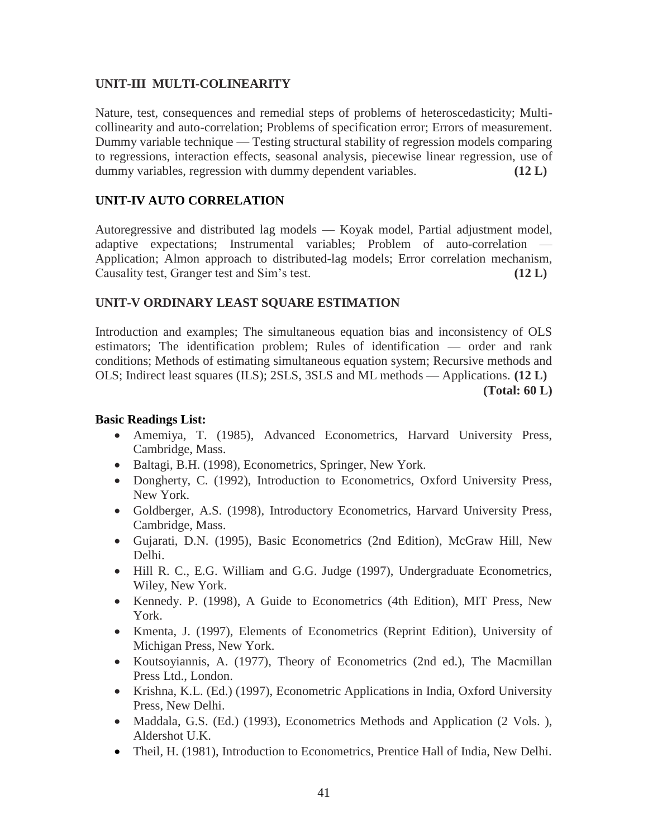### **UNIT-III MULTI-COLINEARITY**

Nature, test, consequences and remedial steps of problems of heteroscedasticity; Multicollinearity and auto-correlation; Problems of specification error; Errors of measurement. Dummy variable technique — Testing structural stability of regression models comparing to regressions, interaction effects, seasonal analysis, piecewise linear regression, use of dummy variables, regression with dummy dependent variables. **(12 L)**

# **UNIT-IV AUTO CORRELATION**

Autoregressive and distributed lag models — Koyak model, Partial adjustment model, adaptive expectations; Instrumental variables; Problem of auto-correlation — Application; Almon approach to distributed-lag models; Error correlation mechanism, Causality test, Granger test and Sim's test. **(12 L)**

# **UNIT-V ORDINARY LEAST SQUARE ESTIMATION**

Introduction and examples; The simultaneous equation bias and inconsistency of OLS estimators; The identification problem; Rules of identification — order and rank conditions; Methods of estimating simultaneous equation system; Recursive methods and OLS; Indirect least squares (ILS); 2SLS, 3SLS and ML methods — Applications. **(12 L) (Total: 60 L)**

### **Basic Readings List:**

- Amemiya, T. (1985), Advanced Econometrics, Harvard University Press, Cambridge, Mass.
- Baltagi, B.H. (1998), Econometrics, Springer, New York.
- Dongherty, C. (1992), Introduction to Econometrics, Oxford University Press, New York.
- Goldberger, A.S. (1998), Introductory Econometrics, Harvard University Press, Cambridge, Mass.
- Gujarati, D.N. (1995), Basic Econometrics (2nd Edition), McGraw Hill, New Delhi.
- Hill R. C., E.G. William and G.G. Judge (1997), Undergraduate Econometrics, Wiley, New York.
- Kennedy. P. (1998), A Guide to Econometrics (4th Edition), MIT Press, New York.
- Kmenta, J. (1997), Elements of Econometrics (Reprint Edition), University of Michigan Press, New York.
- Koutsoyiannis, A. (1977), Theory of Econometrics (2nd ed.), The Macmillan Press Ltd., London.
- Krishna, K.L. (Ed.) (1997), Econometric Applications in India, Oxford University Press, New Delhi.
- Maddala, G.S. (Ed.) (1993), Econometrics Methods and Application (2 Vols.), Aldershot U.K.
- Theil, H. (1981), Introduction to Econometrics, Prentice Hall of India, New Delhi.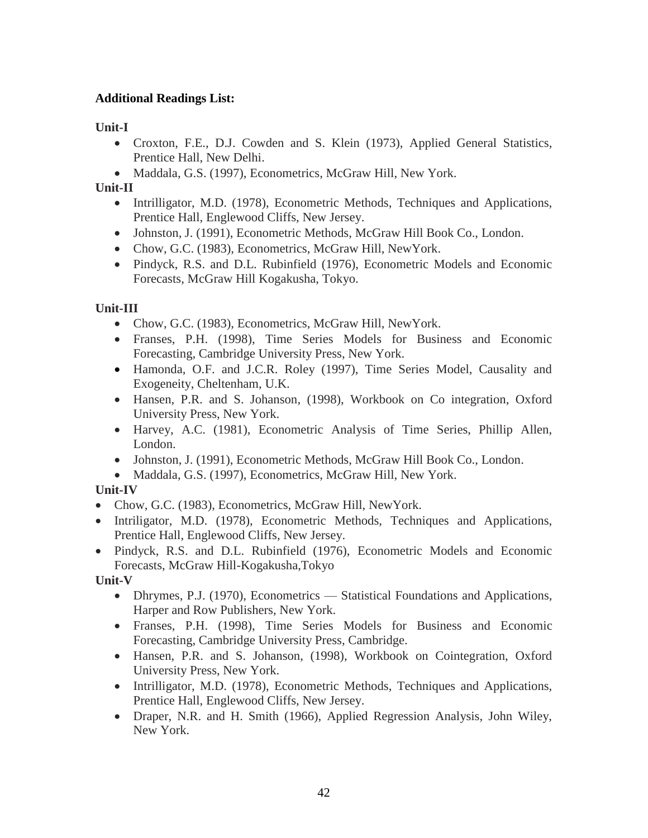# **Additional Readings List:**

**Unit-I**

- Croxton, F.E., D.J. Cowden and S. Klein (1973), Applied General Statistics, Prentice Hall, New Delhi.
- Maddala, G.S. (1997), Econometrics, McGraw Hill, New York.

**Unit-II**

- Intrilligator, M.D. (1978), Econometric Methods, Techniques and Applications, Prentice Hall, Englewood Cliffs, New Jersey.
- Johnston, J. (1991), Econometric Methods, McGraw Hill Book Co., London.
- Chow, G.C. (1983), Econometrics, McGraw Hill, New York.
- Pindyck, R.S. and D.L. Rubinfield (1976), Econometric Models and Economic Forecasts, McGraw Hill Kogakusha, Tokyo.

**Unit-III**

- Chow, G.C. (1983), Econometrics, McGraw Hill, New York.
- Franses, P.H. (1998), Time Series Models for Business and Economic Forecasting, Cambridge University Press, New York.
- Hamonda, O.F. and J.C.R. Roley (1997), Time Series Model, Causality and Exogeneity, Cheltenham, U.K.
- Hansen, P.R. and S. Johanson, (1998), Workbook on Co integration, Oxford University Press, New York.
- Harvey, A.C. (1981), Econometric Analysis of Time Series, Phillip Allen, London.
- Johnston, J. (1991), Econometric Methods, McGraw Hill Book Co., London.
- Maddala, G.S. (1997), Econometrics, McGraw Hill, New York.

# **Unit-IV**

- Chow, G.C. (1983), Econometrics, McGraw Hill, New York.
- Intriligator, M.D. (1978), Econometric Methods, Techniques and Applications, Prentice Hall, Englewood Cliffs, New Jersey.
- Pindyck, R.S. and D.L. Rubinfield (1976), Econometric Models and Economic Forecasts, McGraw Hill-Kogakusha,Tokyo

**Unit-V**

- Dhrymes, P.J. (1970), Econometrics Statistical Foundations and Applications, Harper and Row Publishers, New York.
- Franses, P.H. (1998), Time Series Models for Business and Economic Forecasting, Cambridge University Press, Cambridge.
- Hansen, P.R. and S. Johanson, (1998), Workbook on Cointegration, Oxford University Press, New York.
- Intrilligator, M.D. (1978), Econometric Methods, Techniques and Applications, Prentice Hall, Englewood Cliffs, New Jersey.
- Draper, N.R. and H. Smith (1966), Applied Regression Analysis, John Wiley, New York.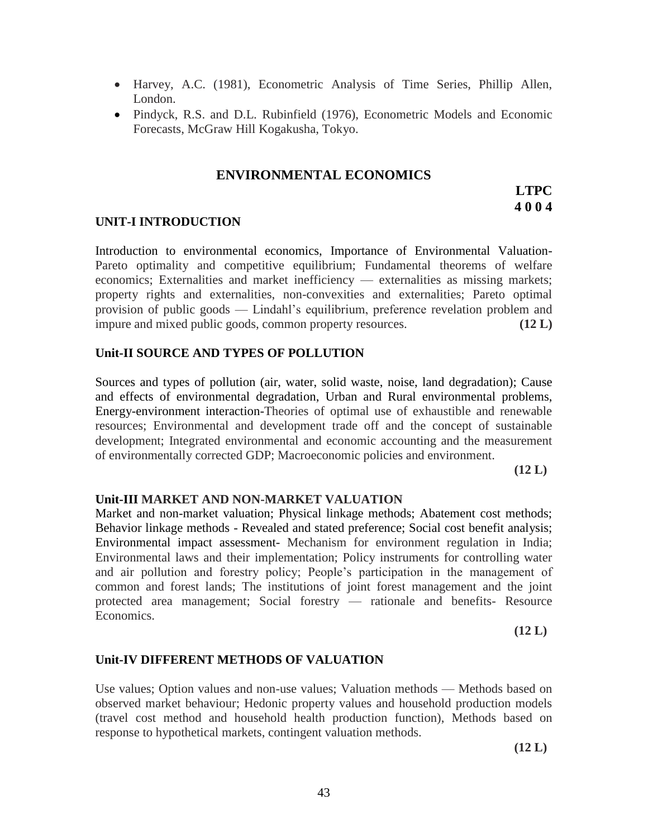- Harvey, A.C. (1981), Econometric Analysis of Time Series, Phillip Allen, London.
- Pindyck, R.S. and D.L. Rubinfield (1976), Econometric Models and Economic Forecasts, McGraw Hill Kogakusha, Tokyo.

# **ENVIRONMENTAL ECONOMICS**

# **LTPC 4 0 0 4**

### **UNIT-I INTRODUCTION**

Introduction to environmental economics, Importance of Environmental Valuation-Pareto optimality and competitive equilibrium; Fundamental theorems of welfare economics; Externalities and market inefficiency — externalities as missing markets; property rights and externalities, non-convexities and externalities; Pareto optimal provision of public goods — Lindahl's equilibrium, preference revelation problem and impure and mixed public goods, common property resources. **(12 L)**

#### **Unit-II SOURCE AND TYPES OF POLLUTION**

Sources and types of pollution (air, water, solid waste, noise, land degradation); Cause and effects of environmental degradation, Urban and Rural environmental problems, Energy-environment interaction-Theories of optimal use of exhaustible and renewable resources; Environmental and development trade off and the concept of sustainable development; Integrated environmental and economic accounting and the measurement of environmentally corrected GDP; Macroeconomic policies and environment.

**(12 L)**

#### **Unit-III MARKET AND NON-MARKET VALUATION**

Market and non-market valuation; Physical linkage methods; Abatement cost methods; Behavior linkage methods - Revealed and stated preference; Social cost benefit analysis; Environmental impact assessment- Mechanism for environment regulation in India; Environmental laws and their implementation; Policy instruments for controlling water and air pollution and forestry policy; People's participation in the management of common and forest lands; The institutions of joint forest management and the joint protected area management; Social forestry — rationale and benefits- Resource Economics.

**(12 L)**

# **Unit-IV DIFFERENT METHODS OF VALUATION**

Use values; Option values and non-use values; Valuation methods — Methods based on observed market behaviour; Hedonic property values and household production models (travel cost method and household health production function), Methods based on response to hypothetical markets, contingent valuation methods.

**(12 L)**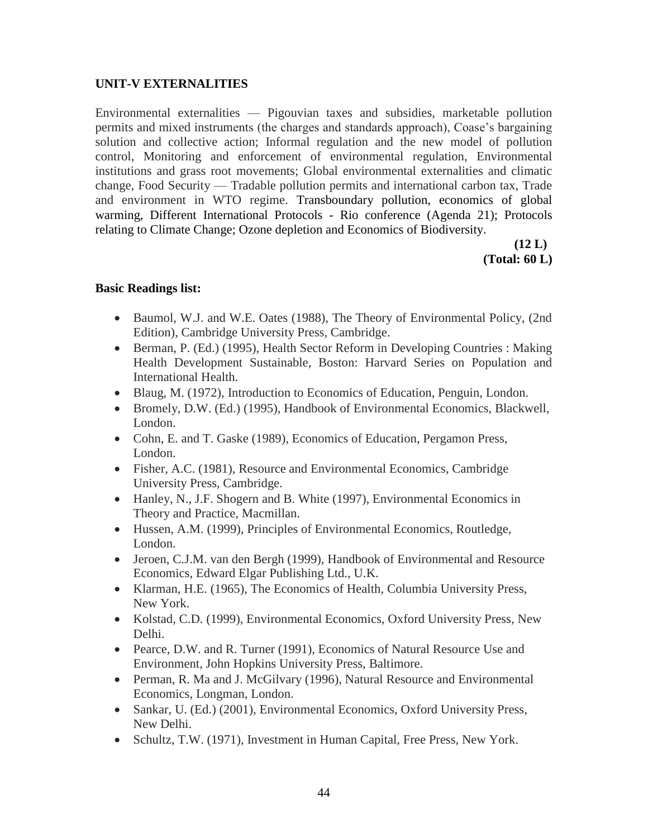# **UNIT-V EXTERNALITIES**

Environmental externalities — Pigouvian taxes and subsidies, marketable pollution permits and mixed instruments (the charges and standards approach), Coase's bargaining solution and collective action; Informal regulation and the new model of pollution control, Monitoring and enforcement of environmental regulation, Environmental institutions and grass root movements; Global environmental externalities and climatic change, Food Security — Tradable pollution permits and international carbon tax, Trade and environment in WTO regime. Transboundary pollution, economics of global warming, Different International Protocols - Rio conference (Agenda 21); Protocols relating to Climate Change; Ozone depletion and Economics of Biodiversity.

> **(12 L) (Total: 60 L)**

### **Basic Readings list:**

- Baumol, W.J. and W.E. Oates (1988), The Theory of Environmental Policy, (2nd Edition), Cambridge University Press, Cambridge.
- Berman, P. (Ed.) (1995), Health Sector Reform in Developing Countries : Making Health Development Sustainable, Boston: Harvard Series on Population and International Health.
- Blaug, M. (1972), Introduction to Economics of Education, Penguin, London.
- Bromely, D.W. (Ed.) (1995), Handbook of Environmental Economics, Blackwell, London.
- Cohn, E. and T. Gaske (1989), Economics of Education, Pergamon Press, London.
- Fisher, A.C. (1981), Resource and Environmental Economics, Cambridge University Press, Cambridge.
- Hanley, N., J.F. Shogern and B. White (1997), Environmental Economics in Theory and Practice, Macmillan.
- Hussen, A.M. (1999), Principles of Environmental Economics, Routledge, London.
- Jeroen, C.J.M. van den Bergh (1999), Handbook of Environmental and Resource Economics, Edward Elgar Publishing Ltd., U.K.
- Klarman, H.E. (1965), The Economics of Health, Columbia University Press, New York.
- Kolstad, C.D. (1999), Environmental Economics, Oxford University Press, New Delhi.
- Pearce, D.W. and R. Turner (1991), Economics of Natural Resource Use and Environment, John Hopkins University Press, Baltimore.
- Perman, R. Ma and J. McGilvary (1996), Natural Resource and Environmental Economics, Longman, London.
- Sankar, U. (Ed.) (2001), Environmental Economics, Oxford University Press, New Delhi.
- Schultz, T.W. (1971), Investment in Human Capital, Free Press, New York.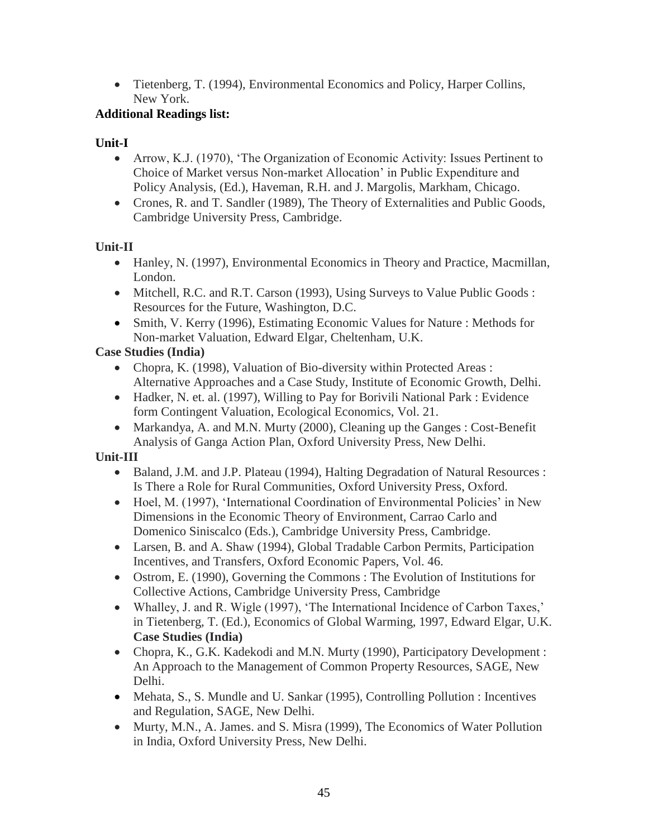Tietenberg, T. (1994), Environmental Economics and Policy, Harper Collins, New York.

# **Additional Readings list:**

# **Unit-I**

- Arrow, K.J. (1970), 'The Organization of Economic Activity: Issues Pertinent to Choice of Market versus Non-market Allocation' in Public Expenditure and Policy Analysis, (Ed.), Haveman, R.H. and J. Margolis, Markham, Chicago.
- Crones, R. and T. Sandler (1989), The Theory of Externalities and Public Goods, Cambridge University Press, Cambridge.

# **Unit-II**

- Hanley, N. (1997), Environmental Economics in Theory and Practice, Macmillan, London.
- Mitchell, R.C. and R.T. Carson (1993), Using Surveys to Value Public Goods : Resources for the Future, Washington, D.C.
- Smith, V. Kerry (1996), Estimating Economic Values for Nature : Methods for Non-market Valuation, Edward Elgar, Cheltenham, U.K.

# **Case Studies (India)**

- Chopra, K. (1998), Valuation of Bio-diversity within Protected Areas : Alternative Approaches and a Case Study, Institute of Economic Growth, Delhi.
- Hadker, N. et. al. (1997), Willing to Pay for Borivili National Park : Evidence form Contingent Valuation, Ecological Economics, Vol. 21.
- Markandya, A. and M.N. Murty (2000), Cleaning up the Ganges : Cost-Benefit Analysis of Ganga Action Plan, Oxford University Press, New Delhi.

# **Unit-III**

- Baland, J.M. and J.P. Plateau (1994), Halting Degradation of Natural Resources : Is There a Role for Rural Communities, Oxford University Press, Oxford.
- Hoel, M. (1997), 'International Coordination of Environmental Policies' in New Dimensions in the Economic Theory of Environment, Carrao Carlo and Domenico Siniscalco (Eds.), Cambridge University Press, Cambridge.
- Larsen, B. and A. Shaw (1994), Global Tradable Carbon Permits, Participation Incentives, and Transfers, Oxford Economic Papers, Vol. 46.
- Ostrom, E. (1990), Governing the Commons : The Evolution of Institutions for Collective Actions, Cambridge University Press, Cambridge
- Whalley, J. and R. Wigle (1997), 'The International Incidence of Carbon Taxes,' in Tietenberg, T. (Ed.), Economics of Global Warming, 1997, Edward Elgar, U.K. **Case Studies (India)**
- Chopra, K., G.K. Kadekodi and M.N. Murty (1990), Participatory Development : An Approach to the Management of Common Property Resources, SAGE, New Delhi.
- Mehata, S., S. Mundle and U. Sankar (1995), Controlling Pollution : Incentives and Regulation, SAGE, New Delhi.
- Murty, M.N., A. James. and S. Misra (1999), The Economics of Water Pollution in India, Oxford University Press, New Delhi.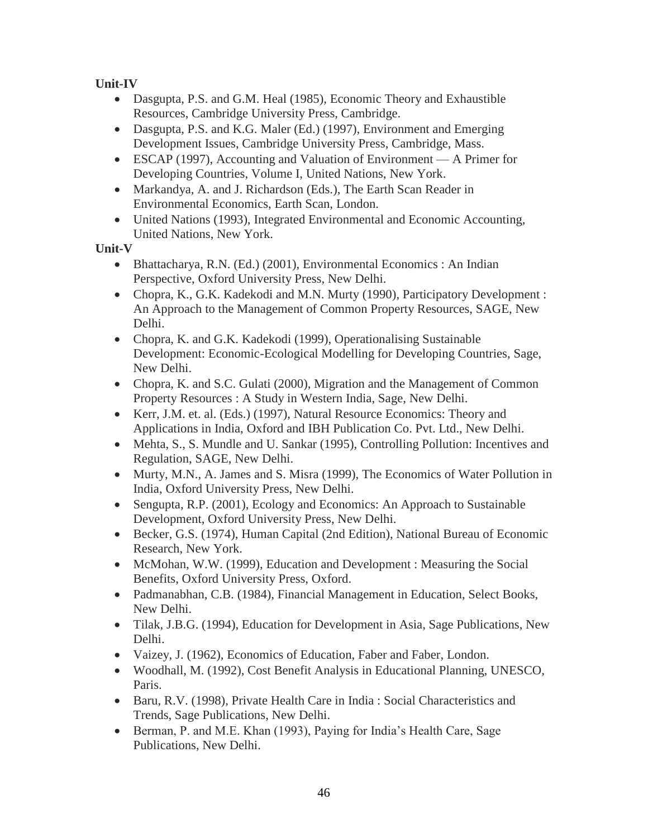**Unit-IV**

- Dasgupta, P.S. and G.M. Heal (1985), Economic Theory and Exhaustible Resources, Cambridge University Press, Cambridge.
- Dasgupta, P.S. and K.G. Maler (Ed.) (1997), Environment and Emerging Development Issues, Cambridge University Press, Cambridge, Mass.
- ESCAP (1997), Accounting and Valuation of Environment A Primer for Developing Countries, Volume I, United Nations, New York.
- Markandya, A. and J. Richardson (Eds.), The Earth Scan Reader in Environmental Economics, Earth Scan, London.
- United Nations (1993), Integrated Environmental and Economic Accounting, United Nations, New York.

**Unit-V**

- Bhattacharya, R.N. (Ed.) (2001), Environmental Economics : An Indian Perspective, Oxford University Press, New Delhi.
- Chopra, K., G.K. Kadekodi and M.N. Murty (1990), Participatory Development : An Approach to the Management of Common Property Resources, SAGE, New Delhi.
- Chopra, K. and G.K. Kadekodi (1999), Operationalising Sustainable Development: Economic-Ecological Modelling for Developing Countries, Sage, New Delhi.
- Chopra, K. and S.C. Gulati (2000), Migration and the Management of Common Property Resources : A Study in Western India, Sage, New Delhi.
- Kerr, J.M. et. al. (Eds.) (1997), Natural Resource Economics: Theory and Applications in India, Oxford and IBH Publication Co. Pvt. Ltd., New Delhi.
- Mehta, S., S. Mundle and U. Sankar (1995), Controlling Pollution: Incentives and Regulation, SAGE, New Delhi.
- Murty, M.N., A. James and S. Misra (1999), The Economics of Water Pollution in India, Oxford University Press, New Delhi.
- Sengupta, R.P. (2001), Ecology and Economics: An Approach to Sustainable Development, Oxford University Press, New Delhi.
- Becker, G.S. (1974), Human Capital (2nd Edition), National Bureau of Economic Research, New York.
- McMohan, W.W. (1999), Education and Development : Measuring the Social Benefits, Oxford University Press, Oxford.
- Padmanabhan, C.B. (1984), Financial Management in Education, Select Books, New Delhi.
- Tilak, J.B.G. (1994), Education for Development in Asia, Sage Publications, New Delhi.
- Vaizey, J. (1962), Economics of Education, Faber and Faber, London.
- Woodhall, M. (1992), Cost Benefit Analysis in Educational Planning, UNESCO, Paris.
- Baru, R.V. (1998), Private Health Care in India : Social Characteristics and Trends, Sage Publications, New Delhi.
- Berman, P. and M.E. Khan (1993), Paying for India's Health Care, Sage Publications, New Delhi.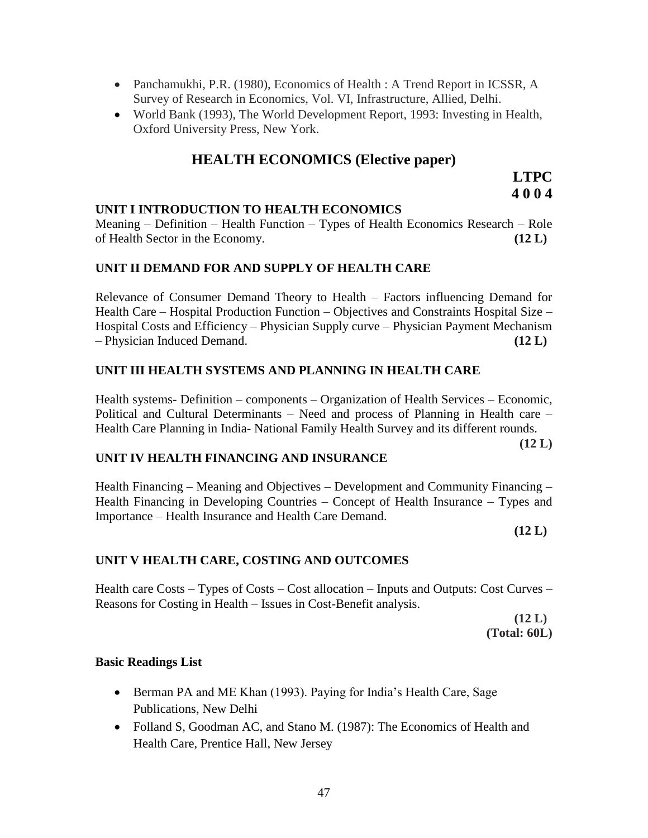- Panchamukhi, P.R. (1980), Economics of Health : A Trend Report in ICSSR, A Survey of Research in Economics, Vol. VI, Infrastructure, Allied, Delhi.
- World Bank (1993), The World Development Report, 1993: Investing in Health, Oxford University Press, New York.

# **HEALTH ECONOMICS (Elective paper)**

**LTPC 4 0 0 4**

### **UNIT I INTRODUCTION TO HEALTH ECONOMICS**

Meaning – Definition – Health Function – Types of Health Economics Research – Role of Health Sector in the Economy. **(12 L)**

### **UNIT II DEMAND FOR AND SUPPLY OF HEALTH CARE**

Relevance of Consumer Demand Theory to Health – Factors influencing Demand for Health Care – Hospital Production Function – Objectives and Constraints Hospital Size – Hospital Costs and Efficiency – Physician Supply curve – Physician Payment Mechanism – Physician Induced Demand. **(12 L)**

### **UNIT III HEALTH SYSTEMS AND PLANNING IN HEALTH CARE**

Health systems- Definition – components – Organization of Health Services – Economic, Political and Cultural Determinants – Need and process of Planning in Health care – Health Care Planning in India- National Family Health Survey and its different rounds.

**(12 L)**

#### **UNIT IV HEALTH FINANCING AND INSURANCE**

Health Financing – Meaning and Objectives – Development and Community Financing – Health Financing in Developing Countries – Concept of Health Insurance – Types and Importance – Health Insurance and Health Care Demand.

**(12 L)**

# **UNIT V HEALTH CARE, COSTING AND OUTCOMES**

Health care Costs – Types of Costs – Cost allocation – Inputs and Outputs: Cost Curves – Reasons for Costing in Health – Issues in Cost-Benefit analysis.

> **(12 L) (Total: 60L)**

#### **Basic Readings List**

- Berman PA and ME Khan (1993). Paying for India's Health Care, Sage Publications, New Delhi
- Folland S, Goodman AC, and Stano M. (1987): The Economics of Health and Health Care, Prentice Hall, New Jersey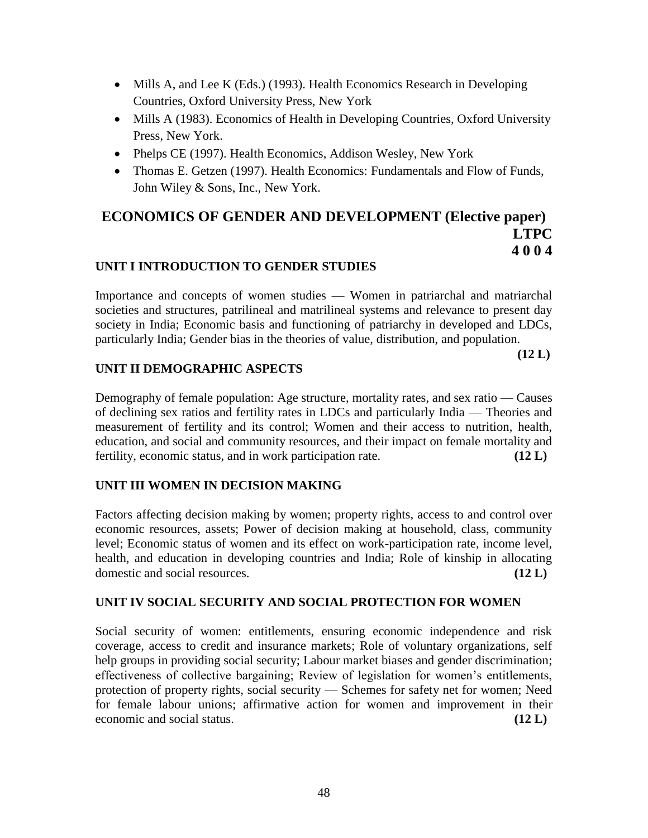- Mills A, and Lee K (Eds.) (1993). Health Economics Research in Developing Countries, Oxford University Press, New York
- Mills A (1983). Economics of Health in Developing Countries, Oxford University Press, New York.
- Phelps CE (1997). Health Economics, Addison Wesley, New York
- Thomas E. Getzen (1997). Health Economics: Fundamentals and Flow of Funds, John Wiley & Sons, Inc., New York.

# **ECONOMICS OF GENDER AND DEVELOPMENT (Elective paper) LTPC 4 0 0 4**

# **UNIT I INTRODUCTION TO GENDER STUDIES**

Importance and concepts of women studies — Women in patriarchal and matriarchal societies and structures, patrilineal and matrilineal systems and relevance to present day society in India; Economic basis and functioning of patriarchy in developed and LDCs, particularly India; Gender bias in the theories of value, distribution, and population.

**(12 L)**

# **UNIT II DEMOGRAPHIC ASPECTS**

Demography of female population: Age structure, mortality rates, and sex ratio — Causes of declining sex ratios and fertility rates in LDCs and particularly India — Theories and measurement of fertility and its control; Women and their access to nutrition, health, education, and social and community resources, and their impact on female mortality and fertility, economic status, and in work participation rate. **(12 L)**

# **UNIT III WOMEN IN DECISION MAKING**

Factors affecting decision making by women; property rights, access to and control over economic resources, assets; Power of decision making at household, class, community level; Economic status of women and its effect on work-participation rate, income level, health, and education in developing countries and India; Role of kinship in allocating domestic and social resources. **(12 L)**

# **UNIT IV SOCIAL SECURITY AND SOCIAL PROTECTION FOR WOMEN**

Social security of women: entitlements, ensuring economic independence and risk coverage, access to credit and insurance markets; Role of voluntary organizations, self help groups in providing social security; Labour market biases and gender discrimination; effectiveness of collective bargaining; Review of legislation for women's entitlements, protection of property rights, social security — Schemes for safety net for women; Need for female labour unions; affirmative action for women and improvement in their economic and social status. **(12 L)**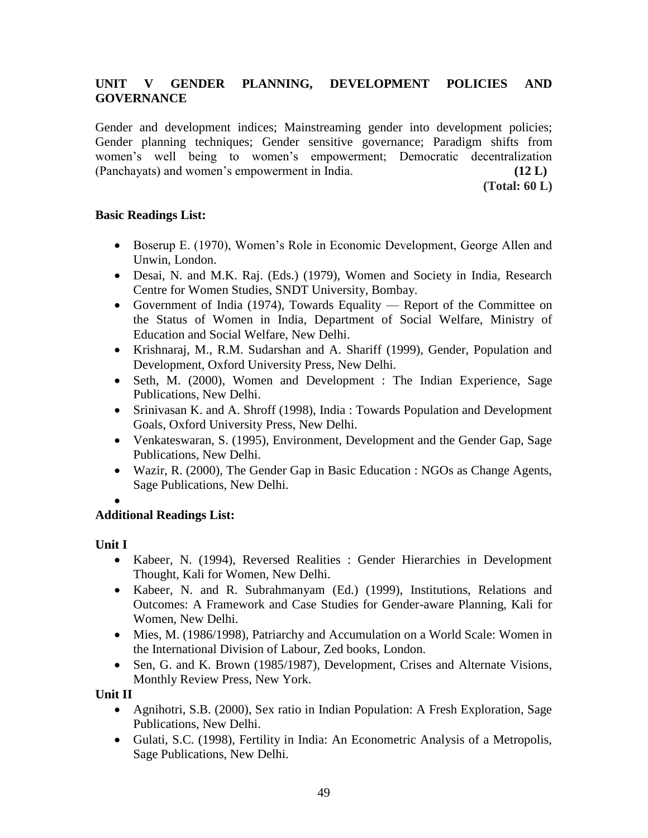# **UNIT V GENDER PLANNING, DEVELOPMENT POLICIES AND GOVERNANCE**

Gender and development indices; Mainstreaming gender into development policies; Gender planning techniques; Gender sensitive governance; Paradigm shifts from women's well being to women's empowerment; Democratic decentralization (Panchayats) and women's empowerment in India. **(12 L)**

**(Total: 60 L)**

# **Basic Readings List:**

- Boserup E. (1970), Women's Role in Economic Development, George Allen and Unwin, London.
- Desai, N. and M.K. Raj. (Eds.) (1979), Women and Society in India, Research Centre for Women Studies, SNDT University, Bombay.
- Government of India (1974), Towards Equality Report of the Committee on the Status of Women in India, Department of Social Welfare, Ministry of Education and Social Welfare, New Delhi.
- Krishnaraj, M., R.M. Sudarshan and A. Shariff (1999), Gender, Population and Development, Oxford University Press, New Delhi.
- Seth, M. (2000), Women and Development : The Indian Experience, Sage Publications, New Delhi.
- Srinivasan K. and A. Shroff (1998), India : Towards Population and Development Goals, Oxford University Press, New Delhi.
- Venkateswaran, S. (1995), Environment, Development and the Gender Gap, Sage Publications, New Delhi.
- Wazir, R. (2000), The Gender Gap in Basic Education : NGOs as Change Agents, Sage Publications, New Delhi.
- $\bullet$

# **Additional Readings List:**

# **Unit I**

- Kabeer, N. (1994), Reversed Realities : Gender Hierarchies in Development Thought, Kali for Women, New Delhi.
- Kabeer, N. and R. Subrahmanyam (Ed.) (1999), Institutions, Relations and Outcomes: A Framework and Case Studies for Gender-aware Planning, Kali for Women, New Delhi.
- Mies, M. (1986/1998), Patriarchy and Accumulation on a World Scale: Women in the International Division of Labour, Zed books, London.
- Sen, G. and K. Brown (1985/1987), Development, Crises and Alternate Visions, Monthly Review Press, New York.

**Unit II**

- Agnihotri, S.B. (2000), Sex ratio in Indian Population: A Fresh Exploration, Sage Publications, New Delhi.
- Gulati, S.C. (1998), Fertility in India: An Econometric Analysis of a Metropolis, Sage Publications, New Delhi.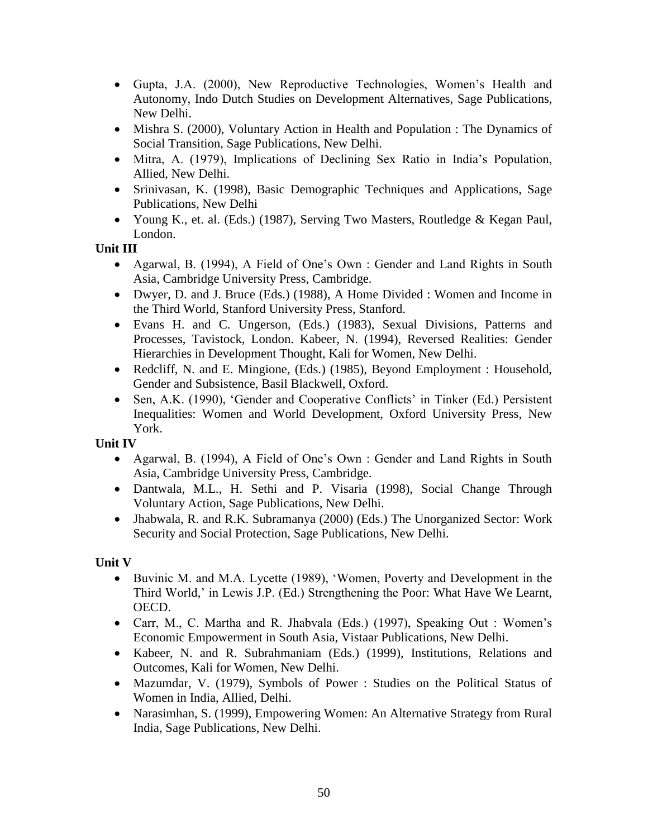- Gupta, J.A. (2000), New Reproductive Technologies, Women's Health and Autonomy, Indo Dutch Studies on Development Alternatives, Sage Publications, New Delhi.
- Mishra S. (2000), Voluntary Action in Health and Population : The Dynamics of Social Transition, Sage Publications, New Delhi.
- Mitra, A. (1979), Implications of Declining Sex Ratio in India's Population, Allied, New Delhi.
- Srinivasan, K. (1998), Basic Demographic Techniques and Applications, Sage Publications, New Delhi
- Young K., et. al. (Eds.) (1987), Serving Two Masters, Routledge & Kegan Paul, London.

**Unit III**

- Agarwal, B. (1994), A Field of One's Own : Gender and Land Rights in South Asia, Cambridge University Press, Cambridge.
- Dwyer, D. and J. Bruce (Eds.) (1988), A Home Divided : Women and Income in the Third World, Stanford University Press, Stanford.
- Evans H. and C. Ungerson, (Eds.) (1983), Sexual Divisions, Patterns and Processes, Tavistock, London. Kabeer, N. (1994), Reversed Realities: Gender Hierarchies in Development Thought, Kali for Women, New Delhi.
- Redcliff, N. and E. Mingione, (Eds.) (1985), Beyond Employment : Household, Gender and Subsistence, Basil Blackwell, Oxford.
- Sen, A.K. (1990), 'Gender and Cooperative Conflicts' in Tinker (Ed.) Persistent Inequalities: Women and World Development, Oxford University Press, New York.

**Unit IV**

- Agarwal, B. (1994), A Field of One's Own : Gender and Land Rights in South Asia, Cambridge University Press, Cambridge.
- Dantwala, M.L., H. Sethi and P. Visaria (1998), Social Change Through Voluntary Action, Sage Publications, New Delhi.
- Jhabwala, R. and R.K. Subramanya (2000) (Eds.) The Unorganized Sector: Work Security and Social Protection, Sage Publications, New Delhi.

**Unit V**

- Buvinic M. and M.A. Lycette (1989), ‗Women, Poverty and Development in the Third World,' in Lewis J.P. (Ed.) Strengthening the Poor: What Have We Learnt, OECD.
- Carr, M., C. Martha and R. Jhabvala (Eds.) (1997), Speaking Out : Women's Economic Empowerment in South Asia, Vistaar Publications, New Delhi.
- Kabeer, N. and R. Subrahmaniam (Eds.) (1999), Institutions, Relations and Outcomes, Kali for Women, New Delhi.
- Mazumdar, V. (1979), Symbols of Power : Studies on the Political Status of Women in India, Allied, Delhi.
- Narasimhan, S. (1999), Empowering Women: An Alternative Strategy from Rural India, Sage Publications, New Delhi.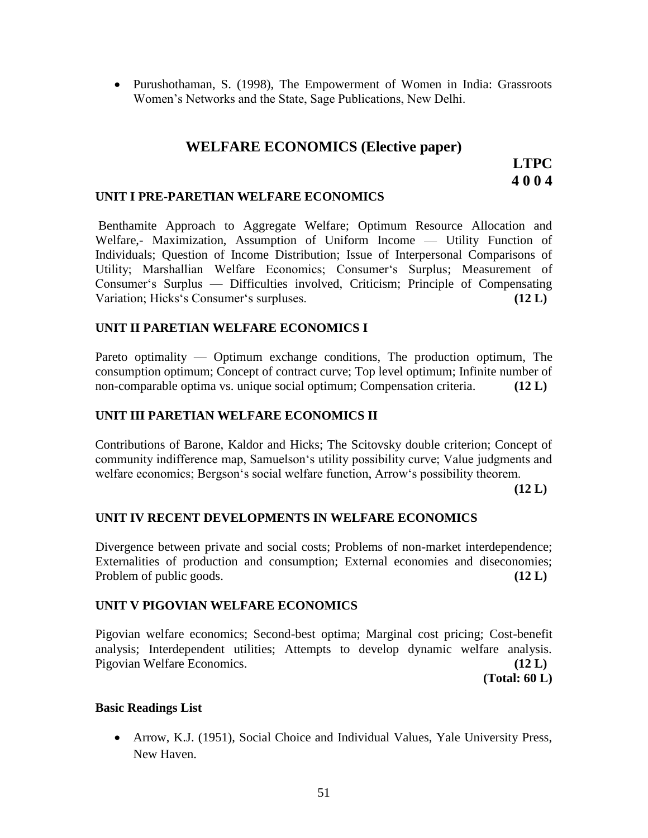Purushothaman, S. (1998), The Empowerment of Women in India: Grassroots Women's Networks and the State, Sage Publications, New Delhi.

# **WELFARE ECONOMICS (Elective paper)**

# **LTPC 4 0 0 4**

#### **UNIT I PRE-PARETIAN WELFARE ECONOMICS**

Benthamite Approach to Aggregate Welfare; Optimum Resource Allocation and Welfare,- Maximization, Assumption of Uniform Income — Utility Function of Individuals; Question of Income Distribution; Issue of Interpersonal Comparisons of Utility; Marshallian Welfare Economics; Consumer's Surplus; Measurement of Consumer's Surplus — Difficulties involved, Criticism; Principle of Compensating Variation; Hicks's Consumer's surpluses. **(12 L)** (12 L)

### **UNIT II PARETIAN WELFARE ECONOMICS I**

Pareto optimality — Optimum exchange conditions, The production optimum, The consumption optimum; Concept of contract curve; Top level optimum; Infinite number of non-comparable optima vs. unique social optimum; Compensation criteria. **(12 L)**

### **UNIT III PARETIAN WELFARE ECONOMICS II**

Contributions of Barone, Kaldor and Hicks; The Scitovsky double criterion; Concept of community indifference map, Samuelson's utility possibility curve; Value judgments and welfare economics; Bergson's social welfare function, Arrow's possibility theorem.

**(12 L)**

# **UNIT IV RECENT DEVELOPMENTS IN WELFARE ECONOMICS**

Divergence between private and social costs; Problems of non-market interdependence; Externalities of production and consumption; External economies and diseconomies; Problem of public goods. **(12 L)** (12 L)

#### **UNIT V PIGOVIAN WELFARE ECONOMICS**

Pigovian welfare economics; Second-best optima; Marginal cost pricing; Cost-benefit analysis; Interdependent utilities; Attempts to develop dynamic welfare analysis. Pigovian Welfare Economics. **(12 L)**

**(Total: 60 L)**

#### **Basic Readings List**

• Arrow, K.J. (1951), Social Choice and Individual Values, Yale University Press, New Haven.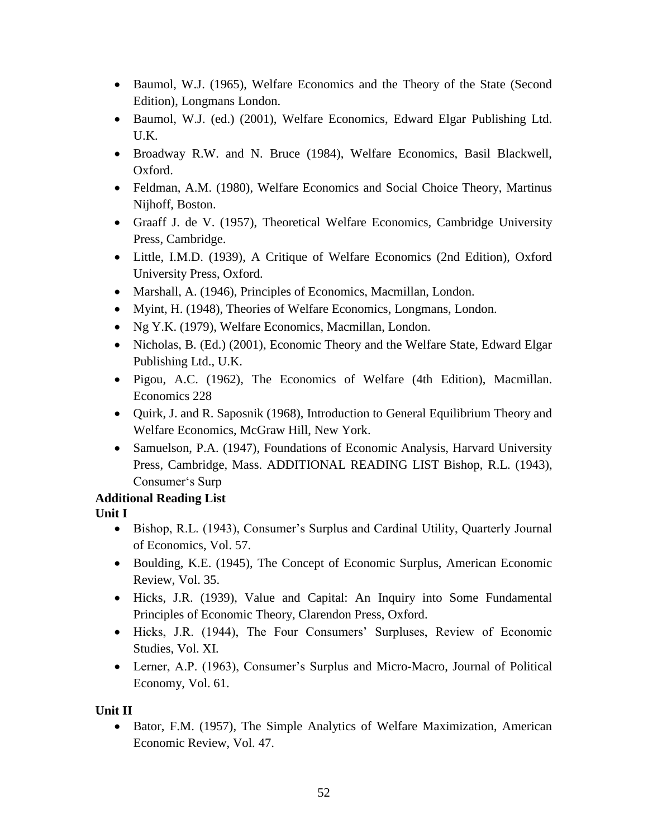- Baumol, W.J. (1965), Welfare Economics and the Theory of the State (Second Edition), Longmans London.
- Baumol, W.J. (ed.) (2001), Welfare Economics, Edward Elgar Publishing Ltd. U.K.
- Broadway R.W. and N. Bruce (1984), Welfare Economics, Basil Blackwell, Oxford.
- Feldman, A.M. (1980), Welfare Economics and Social Choice Theory, Martinus Nijhoff, Boston.
- Graaff J. de V. (1957), Theoretical Welfare Economics, Cambridge University Press, Cambridge.
- Little, I.M.D. (1939), A Critique of Welfare Economics (2nd Edition), Oxford University Press, Oxford.
- Marshall, A. (1946), Principles of Economics, Macmillan, London.
- Myint, H. (1948), Theories of Welfare Economics, Longmans, London.
- Ng Y.K. (1979), Welfare Economics, Macmillan, London.
- Nicholas, B. (Ed.) (2001), Economic Theory and the Welfare State, Edward Elgar Publishing Ltd., U.K.
- Pigou, A.C. (1962), The Economics of Welfare (4th Edition), Macmillan. Economics 228
- Quirk, J. and R. Saposnik (1968), Introduction to General Equilibrium Theory and Welfare Economics, McGraw Hill, New York.
- Samuelson, P.A. (1947), Foundations of Economic Analysis, Harvard University Press, Cambridge, Mass. ADDITIONAL READING LIST Bishop, R.L. (1943), Consumer's Surp

# **Additional Reading List**

**Unit I** 

- Bishop, R.L. (1943), Consumer's Surplus and Cardinal Utility, Quarterly Journal of Economics, Vol. 57.
- Boulding, K.E. (1945), The Concept of Economic Surplus, American Economic Review, Vol. 35.
- Hicks, J.R. (1939), Value and Capital: An Inquiry into Some Fundamental Principles of Economic Theory, Clarendon Press, Oxford.
- Hicks, J.R. (1944), The Four Consumers' Surpluses, Review of Economic Studies, Vol. XI.
- Lerner, A.P. (1963), Consumer's Surplus and Micro-Macro, Journal of Political Economy, Vol. 61.

# **Unit II**

• Bator, F.M. (1957), The Simple Analytics of Welfare Maximization, American Economic Review, Vol. 47.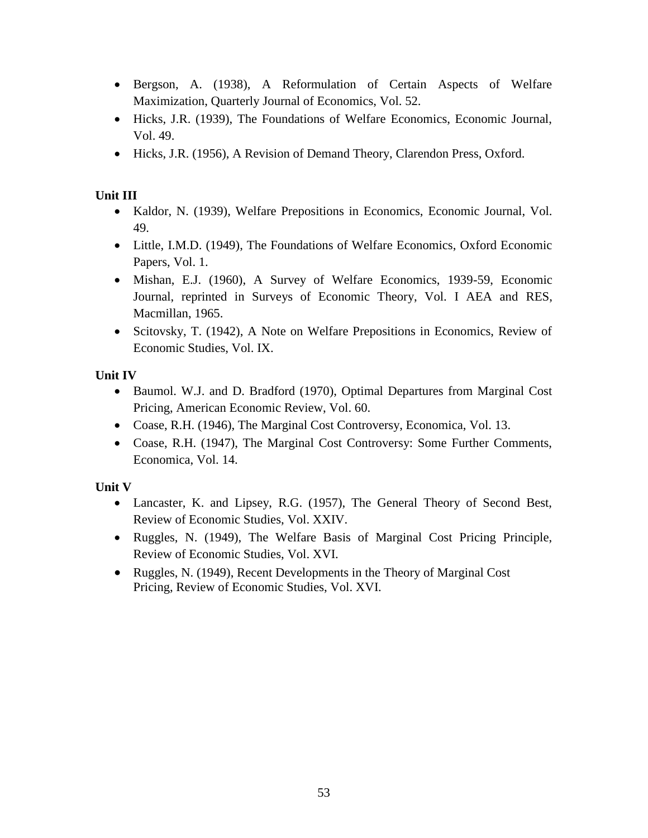- Bergson, A. (1938), A Reformulation of Certain Aspects of Welfare Maximization, Quarterly Journal of Economics, Vol. 52.
- Hicks, J.R. (1939), The Foundations of Welfare Economics, Economic Journal, Vol. 49.
- Hicks, J.R. (1956), A Revision of Demand Theory, Clarendon Press, Oxford.

# **Unit III**

- Kaldor, N. (1939), Welfare Prepositions in Economics, Economic Journal, Vol. 49.
- Little, I.M.D. (1949), The Foundations of Welfare Economics, Oxford Economic Papers, Vol. 1.
- Mishan, E.J. (1960), A Survey of Welfare Economics, 1939-59, Economic Journal, reprinted in Surveys of Economic Theory, Vol. I AEA and RES, Macmillan, 1965.
- Scitovsky, T. (1942), A Note on Welfare Prepositions in Economics, Review of Economic Studies, Vol. IX.

# **Unit IV**

- Baumol. W.J. and D. Bradford (1970), Optimal Departures from Marginal Cost Pricing, American Economic Review, Vol. 60.
- Coase, R.H. (1946), The Marginal Cost Controversy, Economica, Vol. 13.
- Coase, R.H. (1947), The Marginal Cost Controversy: Some Further Comments, Economica, Vol. 14.

# **Unit V**

- Lancaster, K. and Lipsey, R.G. (1957), The General Theory of Second Best, Review of Economic Studies, Vol. XXIV.
- Ruggles, N. (1949), The Welfare Basis of Marginal Cost Pricing Principle, Review of Economic Studies, Vol. XVI.
- Ruggles, N. (1949), Recent Developments in the Theory of Marginal Cost Pricing, Review of Economic Studies, Vol. XVI.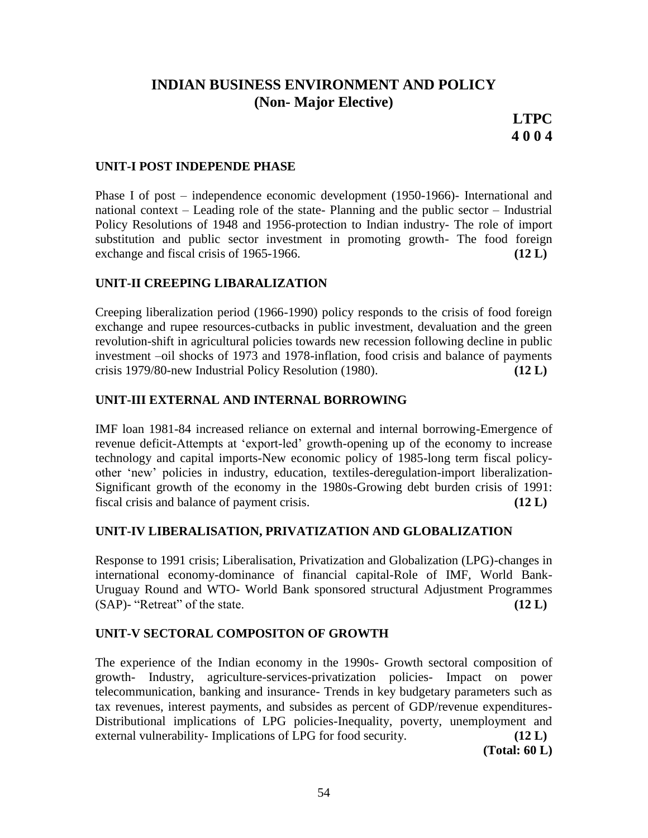# **INDIAN BUSINESS ENVIRONMENT AND POLICY (Non- Major Elective)**

**LTPC 4 0 0 4**

### **UNIT-I POST INDEPENDE PHASE**

Phase I of post – independence economic development (1950-1966)- International and national context – Leading role of the state- Planning and the public sector – Industrial Policy Resolutions of 1948 and 1956-protection to Indian industry- The role of import substitution and public sector investment in promoting growth- The food foreign exchange and fiscal crisis of 1965-1966.  $(12 \text{ L})$ 

#### **UNIT-II CREEPING LIBARALIZATION**

Creeping liberalization period (1966-1990) policy responds to the crisis of food foreign exchange and rupee resources-cutbacks in public investment, devaluation and the green revolution-shift in agricultural policies towards new recession following decline in public investment –oil shocks of 1973 and 1978-inflation, food crisis and balance of payments crisis 1979/80-new Industrial Policy Resolution (1980). **(12 L)**

### **UNIT-III EXTERNAL AND INTERNAL BORROWING**

IMF loan 1981-84 increased reliance on external and internal borrowing-Emergence of revenue deficit-Attempts at 'export-led' growth-opening up of the economy to increase technology and capital imports-New economic policy of 1985-long term fiscal policyother ‗new' policies in industry, education, textiles-deregulation-import liberalization-Significant growth of the economy in the 1980s-Growing debt burden crisis of 1991: fiscal crisis and balance of payment crisis. **(12 L)**

#### **UNIT-IV LIBERALISATION, PRIVATIZATION AND GLOBALIZATION**

Response to 1991 crisis; Liberalisation, Privatization and Globalization (LPG)-changes in international economy-dominance of financial capital-Role of IMF, World Bank-Uruguay Round and WTO- World Bank sponsored structural Adjustment Programmes  $(SAP)$ - "Retreat" of the state.  $(12 L)$ 

#### **UNIT-V SECTORAL COMPOSITON OF GROWTH**

The experience of the Indian economy in the 1990s- Growth sectoral composition of growth- Industry, agriculture-services-privatization policies- Impact on power telecommunication, banking and insurance- Trends in key budgetary parameters such as tax revenues, interest payments, and subsides as percent of GDP/revenue expenditures-Distributional implications of LPG policies-Inequality, poverty, unemployment and external vulnerability- Implications of LPG for food security. **(12 L)**

**(Total: 60 L)**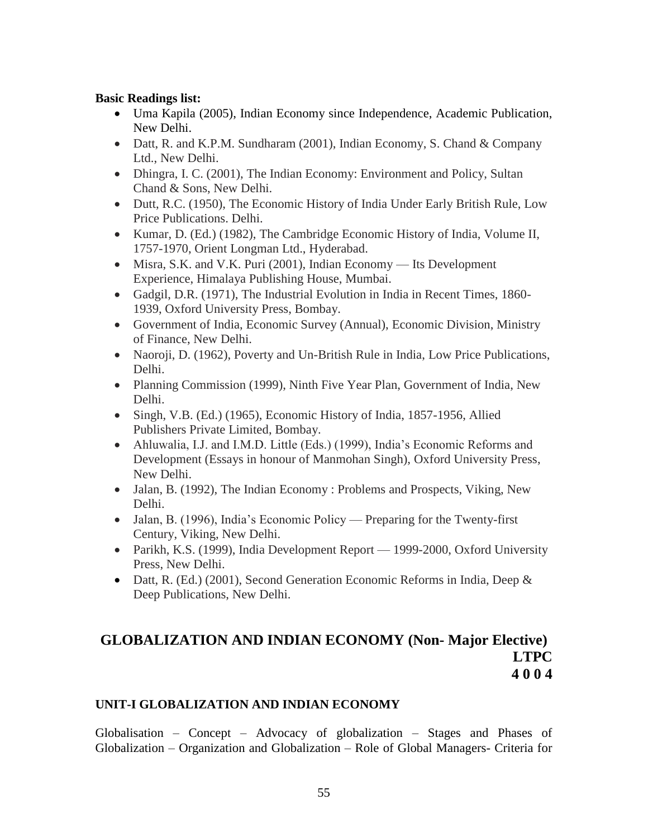### **Basic Readings list:**

- Uma Kapila (2005), Indian Economy since Independence, Academic Publication, New Delhi.
- Datt, R. and K.P.M. Sundharam (2001), Indian Economy, S. Chand & Company Ltd., New Delhi.
- Dhingra, I. C. (2001), The Indian Economy: Environment and Policy, Sultan Chand & Sons, New Delhi.
- Dutt, R.C. (1950), The Economic History of India Under Early British Rule, Low Price Publications. Delhi.
- Kumar, D. (Ed.) (1982), The Cambridge Economic History of India, Volume II, 1757-1970, Orient Longman Ltd., Hyderabad.
- Misra, S.K. and V.K. Puri (2001), Indian Economy Its Development Experience, Himalaya Publishing House, Mumbai.
- Gadgil, D.R. (1971), The Industrial Evolution in India in Recent Times, 1860- 1939, Oxford University Press, Bombay.
- Government of India, Economic Survey (Annual), Economic Division, Ministry of Finance, New Delhi.
- Naoroji, D. (1962), Poverty and Un-British Rule in India, Low Price Publications, Delhi.
- Planning Commission (1999), Ninth Five Year Plan, Government of India, New Delhi.
- Singh, V.B. (Ed.) (1965), Economic History of India, 1857-1956, Allied Publishers Private Limited, Bombay.
- Ahluwalia, I.J. and I.M.D. Little (Eds.) (1999), India's Economic Reforms and Development (Essays in honour of Manmohan Singh), Oxford University Press, New Delhi.
- Jalan, B. (1992), The Indian Economy : Problems and Prospects, Viking, New Delhi.
- Jalan, B. (1996), India's Economic Policy Preparing for the Twenty-first Century, Viking, New Delhi.
- Parikh, K.S. (1999), India Development Report 1999-2000, Oxford University Press, New Delhi.
- Datt, R. (Ed.) (2001), Second Generation Economic Reforms in India, Deep  $\&$ Deep Publications, New Delhi.

# **GLOBALIZATION AND INDIAN ECONOMY (Non- Major Elective) LTPC 4 0 0 4**

# **UNIT-I GLOBALIZATION AND INDIAN ECONOMY**

Globalisation – Concept – Advocacy of globalization – Stages and Phases of Globalization – Organization and Globalization – Role of Global Managers- Criteria for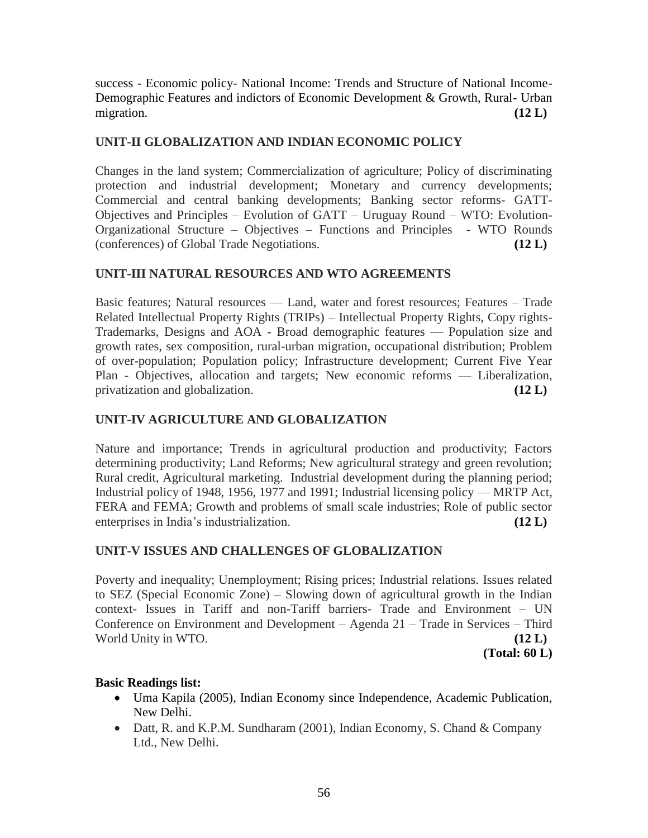success - Economic policy- National Income: Trends and Structure of National Income-Demographic Features and indictors of Economic Development & Growth, Rural- Urban migration. **(12 L)**  $(12 \text{ L})$ 

# **UNIT-II GLOBALIZATION AND INDIAN ECONOMIC POLICY**

Changes in the land system; Commercialization of agriculture; Policy of discriminating protection and industrial development; Monetary and currency developments; Commercial and central banking developments; Banking sector reforms- GATT-Objectives and Principles – Evolution of GATT – Uruguay Round – WTO: Evolution-Organizational Structure – Objectives – Functions and Principles - WTO Rounds (conferences) of Global Trade Negotiations. **(12 L)**

# **UNIT-III NATURAL RESOURCES AND WTO AGREEMENTS**

Basic features; Natural resources — Land, water and forest resources; Features – Trade Related Intellectual Property Rights (TRIPs) – Intellectual Property Rights, Copy rights-Trademarks, Designs and AOA - Broad demographic features — Population size and growth rates, sex composition, rural-urban migration, occupational distribution; Problem of over-population; Population policy; Infrastructure development; Current Five Year Plan - Objectives, allocation and targets; New economic reforms — Liberalization, privatization and globalization. **(12 L)**

# **UNIT-IV AGRICULTURE AND GLOBALIZATION**

Nature and importance; Trends in agricultural production and productivity; Factors determining productivity; Land Reforms; New agricultural strategy and green revolution; Rural credit, Agricultural marketing. Industrial development during the planning period; Industrial policy of 1948, 1956, 1977 and 1991; Industrial licensing policy — MRTP Act, FERA and FEMA; Growth and problems of small scale industries; Role of public sector enterprises in India's industrialization. **(12 L)**

# **UNIT-V ISSUES AND CHALLENGES OF GLOBALIZATION**

Poverty and inequality; Unemployment; Rising prices; Industrial relations. Issues related to SEZ (Special Economic Zone) – Slowing down of agricultural growth in the Indian context- Issues in Tariff and non-Tariff barriers- Trade and Environment – UN Conference on Environment and Development – Agenda 21 – Trade in Services – Third World Unity in WTO. **(12 L) (12 L)** 

**(Total: 60 L)**

# **Basic Readings list:**

- Uma Kapila (2005), Indian Economy since Independence, Academic Publication, New Delhi.
- Datt, R. and K.P.M. Sundharam  $(2001)$ , Indian Economy, S. Chand & Company Ltd., New Delhi.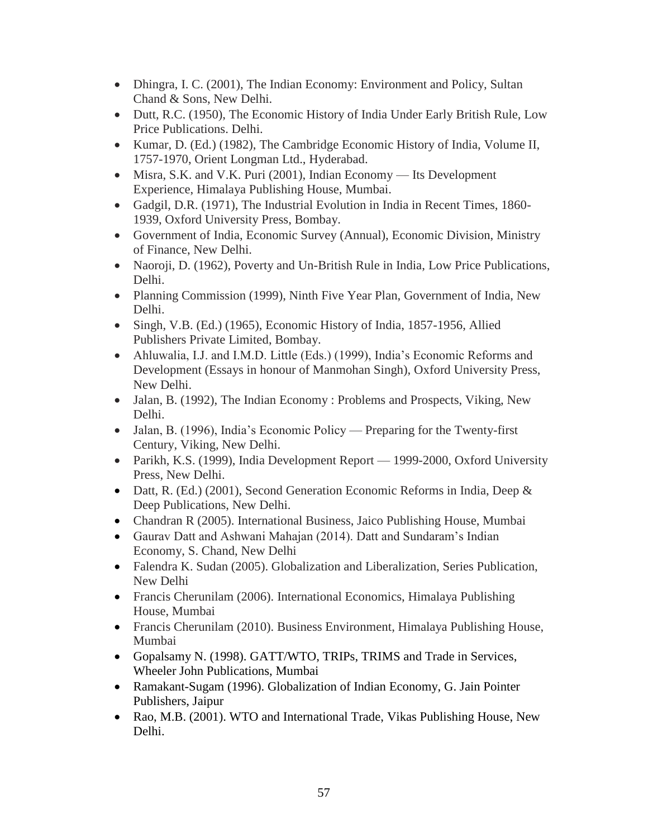- Dhingra, I. C. (2001), The Indian Economy: Environment and Policy, Sultan Chand & Sons, New Delhi.
- Dutt, R.C. (1950), The Economic History of India Under Early British Rule, Low Price Publications. Delhi.
- Kumar, D. (Ed.) (1982), The Cambridge Economic History of India, Volume II, 1757-1970, Orient Longman Ltd., Hyderabad.
- Misra, S.K. and V.K. Puri (2001), Indian Economy Its Development Experience, Himalaya Publishing House, Mumbai.
- Gadgil, D.R. (1971), The Industrial Evolution in India in Recent Times, 1860- 1939, Oxford University Press, Bombay.
- Government of India, Economic Survey (Annual), Economic Division, Ministry of Finance, New Delhi.
- Naoroji, D. (1962), Poverty and Un-British Rule in India, Low Price Publications, Delhi.
- Planning Commission (1999), Ninth Five Year Plan, Government of India, New Delhi.
- Singh, V.B. (Ed.) (1965), Economic History of India, 1857-1956, Allied Publishers Private Limited, Bombay.
- Ahluwalia, I.J. and I.M.D. Little (Eds.) (1999), India's Economic Reforms and Development (Essays in honour of Manmohan Singh), Oxford University Press, New Delhi.
- Jalan, B. (1992), The Indian Economy : Problems and Prospects, Viking, New Delhi.
- Jalan, B. (1996), India's Economic Policy Preparing for the Twenty-first Century, Viking, New Delhi.
- Parikh, K.S. (1999), India Development Report 1999-2000, Oxford University Press, New Delhi.
- Datt, R. (Ed.) (2001), Second Generation Economic Reforms in India, Deep & Deep Publications, New Delhi.
- Chandran R (2005). International Business, Jaico Publishing House, Mumbai
- Gaurav Datt and Ashwani Mahajan (2014). Datt and Sundaram's Indian Economy, S. Chand, New Delhi
- Falendra K. Sudan (2005). Globalization and Liberalization, Series Publication, New Delhi
- Francis Cherunilam (2006). International Economics, Himalaya Publishing House, Mumbai
- Francis Cherunilam (2010). Business Environment, Himalaya Publishing House, Mumbai
- Gopalsamy N. (1998). GATT/WTO, TRIPs, TRIMS and Trade in Services, Wheeler John Publications, Mumbai
- Ramakant-Sugam (1996). Globalization of Indian Economy, G. Jain Pointer Publishers, Jaipur
- Rao, M.B. (2001). WTO and International Trade, Vikas Publishing House, New Delhi.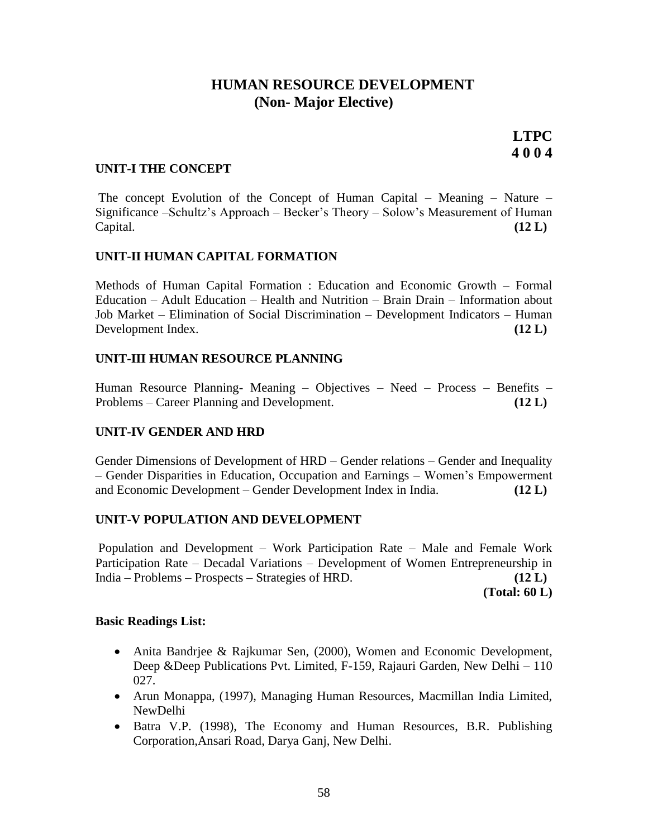# **HUMAN RESOURCE DEVELOPMENT (Non- Major Elective)**

**LTPC 4 0 0 4**

#### **UNIT-I THE CONCEPT**

The concept Evolution of the Concept of Human Capital – Meaning – Nature – Significance –Schultz's Approach – Becker's Theory – Solow's Measurement of Human Capital. **(12 L)**

#### **UNIT-II HUMAN CAPITAL FORMATION**

Methods of Human Capital Formation : Education and Economic Growth – Formal Education – Adult Education – Health and Nutrition – Brain Drain – Information about Job Market – Elimination of Social Discrimination – Development Indicators – Human Development Index. **(12 L)**

#### **UNIT-III HUMAN RESOURCE PLANNING**

Human Resource Planning- Meaning – Objectives – Need – Process – Benefits – Problems – Career Planning and Development. **(12 L)**

#### **UNIT-IV GENDER AND HRD**

Gender Dimensions of Development of HRD – Gender relations – Gender and Inequality – Gender Disparities in Education, Occupation and Earnings – Women's Empowerment and Economic Development – Gender Development Index in India. **(12 L)**

#### **UNIT-V POPULATION AND DEVELOPMENT**

Population and Development – Work Participation Rate – Male and Female Work Participation Rate – Decadal Variations – Development of Women Entrepreneurship in India – Problems – Prospects – Strategies of HRD. **(12 L)**

**(Total: 60 L)**

#### **Basic Readings List:**

- Anita Bandrjee & Rajkumar Sen, (2000), Women and Economic Development, Deep &Deep Publications Pvt. Limited, F-159, Rajauri Garden, New Delhi – 110 027.
- Arun Monappa, (1997), Managing Human Resources, Macmillan India Limited, NewDelhi
- Batra V.P. (1998), The Economy and Human Resources, B.R. Publishing Corporation,Ansari Road, Darya Ganj, New Delhi.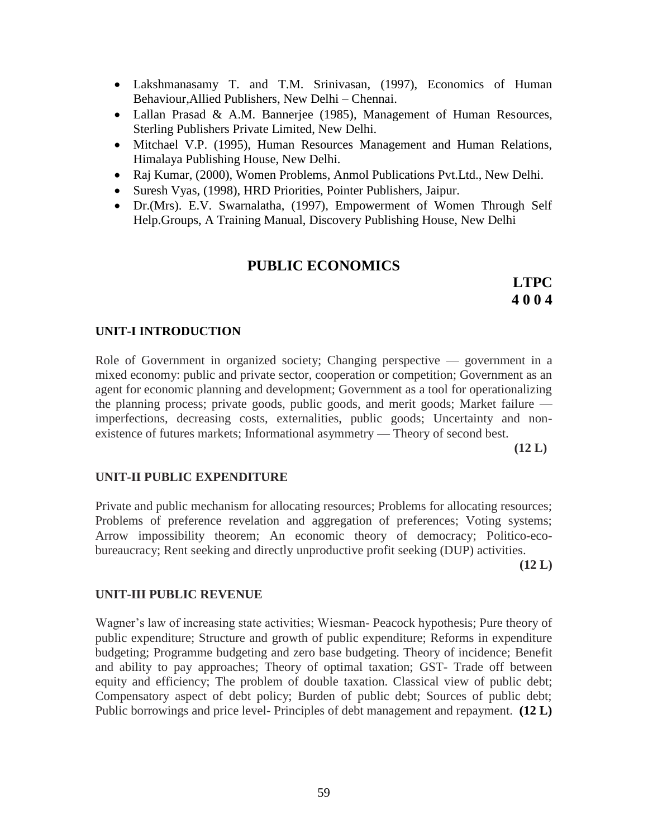- Lakshmanasamy T. and T.M. Srinivasan, (1997), Economics of Human Behaviour,Allied Publishers, New Delhi – Chennai.
- Lallan Prasad & A.M. Bannerjee (1985), Management of Human Resources, Sterling Publishers Private Limited, New Delhi.
- Mitchael V.P. (1995), Human Resources Management and Human Relations, Himalaya Publishing House, New Delhi.
- Raj Kumar, (2000), Women Problems, Anmol Publications Pvt.Ltd., New Delhi.
- Suresh Vyas, (1998), HRD Priorities, Pointer Publishers, Jaipur.
- Dr.(Mrs). E.V. Swarnalatha, (1997), Empowerment of Women Through Self Help.Groups, A Training Manual, Discovery Publishing House, New Delhi

# **PUBLIC ECONOMICS**

**LTPC 4 0 0 4**

### **UNIT-I INTRODUCTION**

Role of Government in organized society; Changing perspective — government in a mixed economy: public and private sector, cooperation or competition; Government as an agent for economic planning and development; Government as a tool for operationalizing the planning process; private goods, public goods, and merit goods; Market failure imperfections, decreasing costs, externalities, public goods; Uncertainty and nonexistence of futures markets; Informational asymmetry — Theory of second best.

**(12 L)**

#### **UNIT-II PUBLIC EXPENDITURE**

Private and public mechanism for allocating resources; Problems for allocating resources; Problems of preference revelation and aggregation of preferences; Voting systems; Arrow impossibility theorem; An economic theory of democracy; Politico-ecobureaucracy; Rent seeking and directly unproductive profit seeking (DUP) activities.

**(12 L)**

#### **UNIT-III PUBLIC REVENUE**

Wagner's law of increasing state activities; Wiesman- Peacock hypothesis; Pure theory of public expenditure; Structure and growth of public expenditure; Reforms in expenditure budgeting; Programme budgeting and zero base budgeting. Theory of incidence; Benefit and ability to pay approaches; Theory of optimal taxation; GST- Trade off between equity and efficiency; The problem of double taxation. Classical view of public debt; Compensatory aspect of debt policy; Burden of public debt; Sources of public debt; Public borrowings and price level- Principles of debt management and repayment. **(12 L)**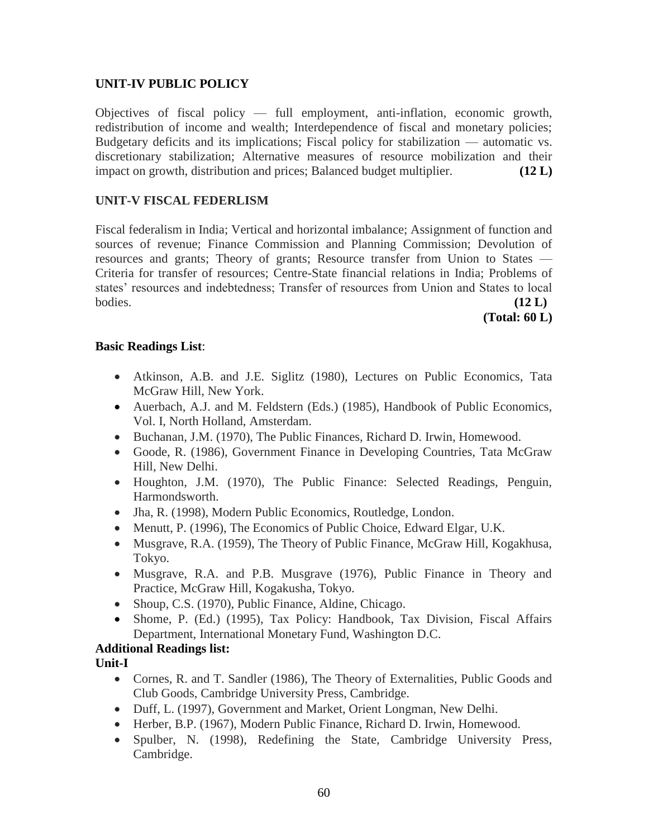# **UNIT-IV PUBLIC POLICY**

Objectives of fiscal policy — full employment, anti-inflation, economic growth, redistribution of income and wealth; Interdependence of fiscal and monetary policies; Budgetary deficits and its implications; Fiscal policy for stabilization — automatic vs. discretionary stabilization; Alternative measures of resource mobilization and their impact on growth, distribution and prices; Balanced budget multiplier. **(12 L)**

# **UNIT-V FISCAL FEDERLISM**

Fiscal federalism in India; Vertical and horizontal imbalance; Assignment of function and sources of revenue; Finance Commission and Planning Commission; Devolution of resources and grants; Theory of grants; Resource transfer from Union to States — Criteria for transfer of resources; Centre-State financial relations in India; Problems of states' resources and indebtedness; Transfer of resources from Union and States to local bodies. **(12 L)**

**(Total: 60 L)**

### **Basic Readings List**:

- Atkinson, A.B. and J.E. Siglitz (1980), Lectures on Public Economics, Tata McGraw Hill, New York.
- Auerbach, A.J. and M. Feldstern (Eds.) (1985), Handbook of Public Economics, Vol. I, North Holland, Amsterdam.
- Buchanan, J.M. (1970), The Public Finances, Richard D. Irwin, Homewood.
- Goode, R. (1986), Government Finance in Developing Countries, Tata McGraw Hill, New Delhi.
- Houghton, J.M. (1970), The Public Finance: Selected Readings, Penguin, Harmondsworth.
- Jha, R. (1998), Modern Public Economics, Routledge, London.
- Menutt, P. (1996), The Economics of Public Choice, Edward Elgar, U.K.
- Musgrave, R.A. (1959), The Theory of Public Finance, McGraw Hill, Kogakhusa, Tokyo.
- Musgrave, R.A. and P.B. Musgrave (1976), Public Finance in Theory and Practice, McGraw Hill, Kogakusha, Tokyo.
- Shoup, C.S. (1970), Public Finance, Aldine, Chicago.
- Shome, P. (Ed.) (1995), Tax Policy: Handbook, Tax Division, Fiscal Affairs Department, International Monetary Fund, Washington D.C.

# **Additional Readings list:**

**Unit-I**

- Cornes, R. and T. Sandler (1986), The Theory of Externalities, Public Goods and Club Goods, Cambridge University Press, Cambridge.
- Duff, L. (1997), Government and Market, Orient Longman, New Delhi.
- Herber, B.P. (1967), Modern Public Finance, Richard D. Irwin, Homewood.
- Spulber, N. (1998), Redefining the State, Cambridge University Press, Cambridge.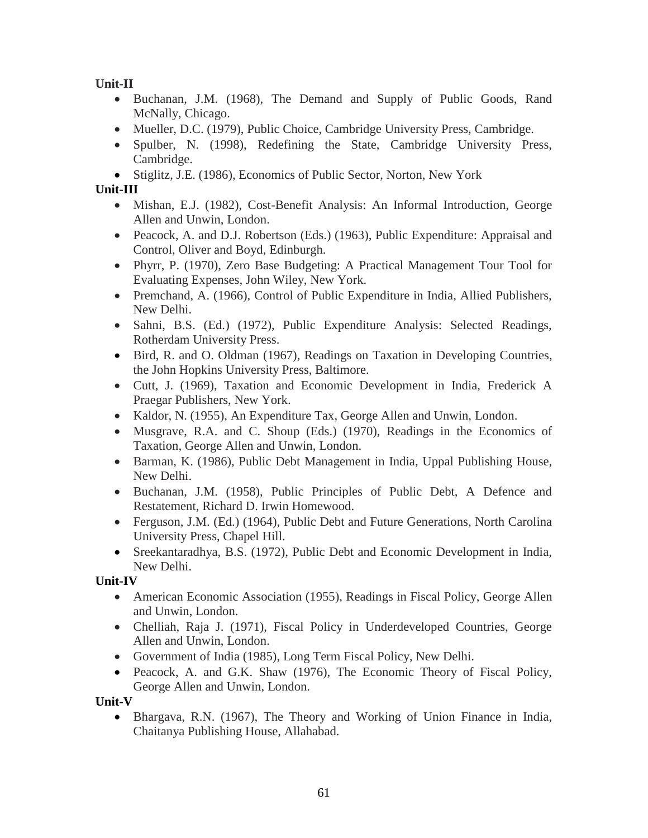**Unit-II**

- Buchanan, J.M. (1968), The Demand and Supply of Public Goods, Rand McNally, Chicago.
- Mueller, D.C. (1979), Public Choice, Cambridge University Press, Cambridge.
- Spulber, N. (1998), Redefining the State, Cambridge University Press, Cambridge.

• Stiglitz, J.E. (1986), Economics of Public Sector, Norton, New York

# **Unit-III**

- Mishan, E.J. (1982), Cost-Benefit Analysis: An Informal Introduction, George Allen and Unwin, London.
- Peacock, A. and D.J. Robertson (Eds.) (1963), Public Expenditure: Appraisal and Control, Oliver and Boyd, Edinburgh.
- Phyrr, P. (1970), Zero Base Budgeting: A Practical Management Tour Tool for Evaluating Expenses, John Wiley, New York.
- Premchand, A. (1966), Control of Public Expenditure in India, Allied Publishers, New Delhi.
- Sahni, B.S. (Ed.) (1972), Public Expenditure Analysis: Selected Readings, Rotherdam University Press.
- Bird, R. and O. Oldman (1967), Readings on Taxation in Developing Countries, the John Hopkins University Press, Baltimore.
- Cutt, J. (1969), Taxation and Economic Development in India, Frederick A Praegar Publishers, New York.
- Kaldor, N. (1955), An Expenditure Tax, George Allen and Unwin, London.
- Musgrave, R.A. and C. Shoup (Eds.) (1970), Readings in the Economics of Taxation, George Allen and Unwin, London.
- Barman, K. (1986), Public Debt Management in India, Uppal Publishing House, New Delhi.
- Buchanan, J.M. (1958), Public Principles of Public Debt, A Defence and Restatement, Richard D. Irwin Homewood.
- Ferguson, J.M. (Ed.) (1964), Public Debt and Future Generations, North Carolina University Press, Chapel Hill.
- Sreekantaradhya, B.S. (1972), Public Debt and Economic Development in India, New Delhi.

**Unit-IV**

- American Economic Association (1955), Readings in Fiscal Policy, George Allen and Unwin, London.
- Chelliah, Raja J. (1971), Fiscal Policy in Underdeveloped Countries, George Allen and Unwin, London.
- Government of India (1985), Long Term Fiscal Policy, New Delhi.
- Peacock, A. and G.K. Shaw (1976), The Economic Theory of Fiscal Policy, George Allen and Unwin, London.

**Unit-V**

 Bhargava, R.N. (1967), The Theory and Working of Union Finance in India, Chaitanya Publishing House, Allahabad.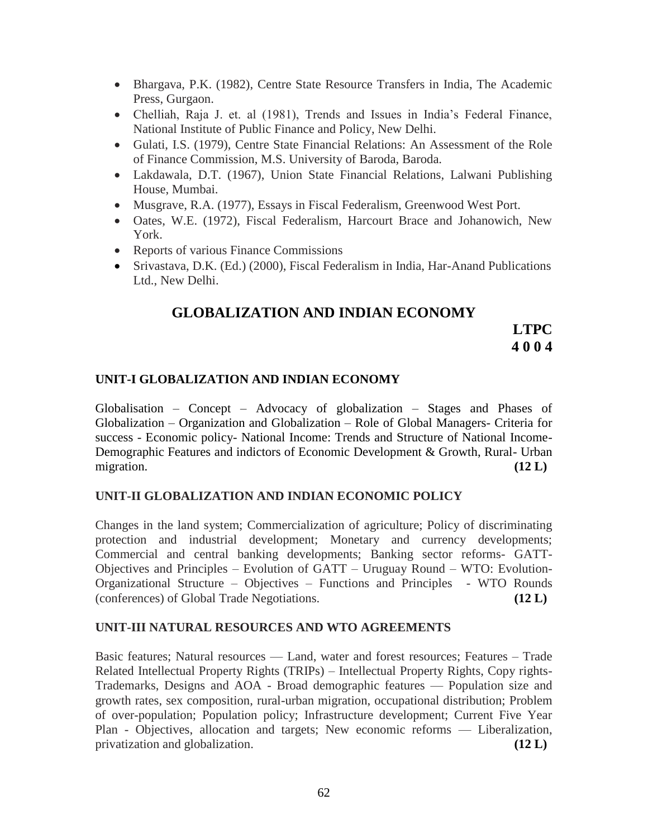- Bhargava, P.K. (1982), Centre State Resource Transfers in India, The Academic Press, Gurgaon.
- Chelliah, Raja J. et. al (1981), Trends and Issues in India's Federal Finance, National Institute of Public Finance and Policy, New Delhi.
- Gulati, I.S. (1979), Centre State Financial Relations: An Assessment of the Role of Finance Commission, M.S. University of Baroda, Baroda.
- Lakdawala, D.T. (1967), Union State Financial Relations, Lalwani Publishing House, Mumbai.
- Musgrave, R.A. (1977), Essays in Fiscal Federalism, Greenwood West Port.
- Oates, W.E. (1972), Fiscal Federalism, Harcourt Brace and Johanowich, New York.
- Reports of various Finance Commissions
- Srivastava, D.K. (Ed.) (2000), Fiscal Federalism in India, Har-Anand Publications Ltd., New Delhi.

# **GLOBALIZATION AND INDIAN ECONOMY**

**LTPC 4 0 0 4**

# **UNIT-I GLOBALIZATION AND INDIAN ECONOMY**

Globalisation – Concept – Advocacy of globalization – Stages and Phases of Globalization – Organization and Globalization – Role of Global Managers- Criteria for success - Economic policy- National Income: Trends and Structure of National Income-Demographic Features and indictors of Economic Development & Growth, Rural- Urban migration.  $(12 \text{ L})$ 

#### **UNIT-II GLOBALIZATION AND INDIAN ECONOMIC POLICY**

Changes in the land system; Commercialization of agriculture; Policy of discriminating protection and industrial development; Monetary and currency developments; Commercial and central banking developments; Banking sector reforms- GATT-Objectives and Principles – Evolution of GATT – Uruguay Round – WTO: Evolution-Organizational Structure – Objectives – Functions and Principles - WTO Rounds (conferences) of Global Trade Negotiations. **(12 L)**

#### **UNIT-III NATURAL RESOURCES AND WTO AGREEMENTS**

Basic features; Natural resources — Land, water and forest resources; Features – Trade Related Intellectual Property Rights (TRIPs) – Intellectual Property Rights, Copy rights-Trademarks, Designs and AOA - Broad demographic features — Population size and growth rates, sex composition, rural-urban migration, occupational distribution; Problem of over-population; Population policy; Infrastructure development; Current Five Year Plan - Objectives, allocation and targets; New economic reforms — Liberalization, privatization and globalization. **(12 L)**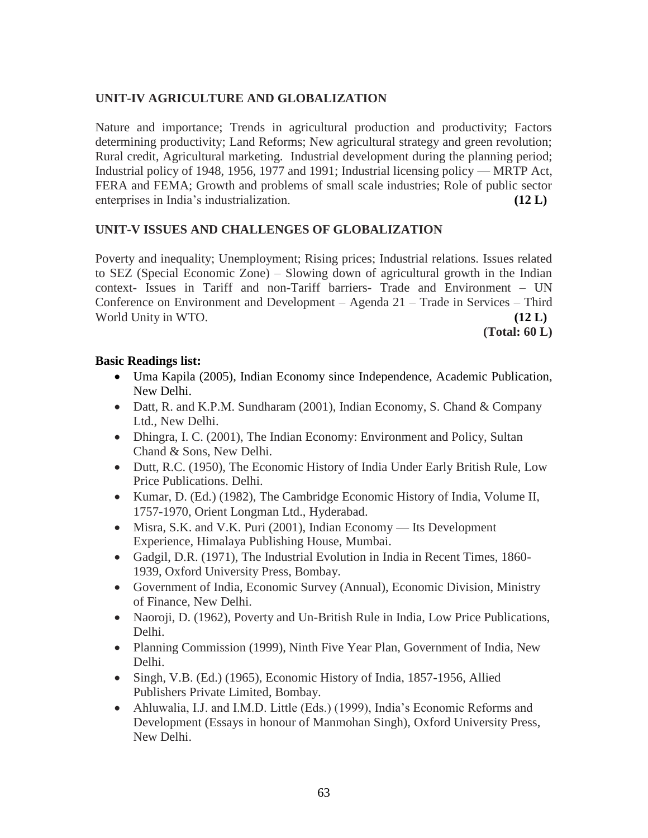# **UNIT-IV AGRICULTURE AND GLOBALIZATION**

Nature and importance; Trends in agricultural production and productivity; Factors determining productivity; Land Reforms; New agricultural strategy and green revolution; Rural credit, Agricultural marketing. Industrial development during the planning period; Industrial policy of 1948, 1956, 1977 and 1991; Industrial licensing policy — MRTP Act, FERA and FEMA; Growth and problems of small scale industries; Role of public sector enterprises in India's industrialization. **(12 L)**

# **UNIT-V ISSUES AND CHALLENGES OF GLOBALIZATION**

Poverty and inequality; Unemployment; Rising prices; Industrial relations. Issues related to SEZ (Special Economic Zone) – Slowing down of agricultural growth in the Indian context- Issues in Tariff and non-Tariff barriers- Trade and Environment – UN Conference on Environment and Development – Agenda 21 – Trade in Services – Third World Unity in WTO. **(12 L) (12 L)** 

**(Total: 60 L)**

# **Basic Readings list:**

- Uma Kapila (2005), Indian Economy since Independence, Academic Publication, New Delhi.
- Datt, R. and K.P.M. Sundharam (2001), Indian Economy, S. Chand & Company Ltd., New Delhi.
- Dhingra, I. C. (2001), The Indian Economy: Environment and Policy, Sultan Chand & Sons, New Delhi.
- Dutt, R.C. (1950), The Economic History of India Under Early British Rule, Low Price Publications. Delhi.
- Kumar, D. (Ed.) (1982), The Cambridge Economic History of India, Volume II, 1757-1970, Orient Longman Ltd., Hyderabad.
- Misra, S.K. and V.K. Puri (2001), Indian Economy Its Development Experience, Himalaya Publishing House, Mumbai.
- Gadgil, D.R. (1971), The Industrial Evolution in India in Recent Times, 1860- 1939, Oxford University Press, Bombay.
- Government of India, Economic Survey (Annual), Economic Division, Ministry of Finance, New Delhi.
- Naoroji, D. (1962), Poverty and Un-British Rule in India, Low Price Publications, Delhi.
- Planning Commission (1999), Ninth Five Year Plan, Government of India, New Delhi.
- Singh, V.B. (Ed.) (1965), Economic History of India, 1857-1956, Allied Publishers Private Limited, Bombay.
- Ahluwalia, I.J. and I.M.D. Little (Eds.) (1999), India's Economic Reforms and Development (Essays in honour of Manmohan Singh), Oxford University Press, New Delhi.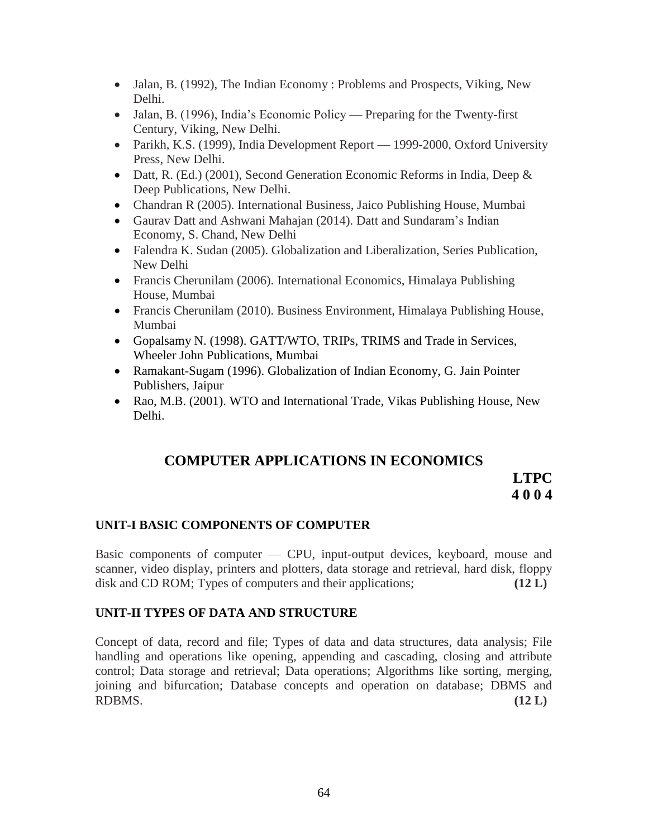- Jalan, B. (1992), The Indian Economy : Problems and Prospects, Viking, New Delhi.
- Jalan, B. (1996), India's Economic Policy Preparing for the Twenty-first Century, Viking, New Delhi.
- Parikh, K.S. (1999), India Development Report 1999-2000, Oxford University Press, New Delhi.
- Datt, R. (Ed.) (2001), Second Generation Economic Reforms in India, Deep & Deep Publications, New Delhi.
- Chandran R (2005). International Business, Jaico Publishing House, Mumbai
- Gaurav Datt and Ashwani Mahajan (2014). Datt and Sundaram's Indian Economy, S. Chand, New Delhi
- Falendra K. Sudan (2005). Globalization and Liberalization, Series Publication, New Delhi
- Francis Cherunilam (2006). International Economics, Himalaya Publishing House, Mumbai
- Francis Cherunilam (2010). Business Environment, Himalaya Publishing House, Mumbai
- Gopalsamy N. (1998). GATT/WTO, TRIPs, TRIMS and Trade in Services, Wheeler John Publications, Mumbai
- Ramakant-Sugam (1996). Globalization of Indian Economy, G. Jain Pointer Publishers, Jaipur
- Rao, M.B. (2001). WTO and International Trade, Vikas Publishing House, New Delhi.

# **COMPUTER APPLICATIONS IN ECONOMICS**

**LTPC 4 0 0 4**

# **UNIT-I BASIC COMPONENTS OF COMPUTER**

Basic components of computer — CPU, input-output devices, keyboard, mouse and scanner, video display, printers and plotters, data storage and retrieval, hard disk, floppy disk and CD ROM; Types of computers and their applications; **(12 L)**

#### **UNIT-II TYPES OF DATA AND STRUCTURE**

Concept of data, record and file; Types of data and data structures, data analysis; File handling and operations like opening, appending and cascading, closing and attribute control; Data storage and retrieval; Data operations; Algorithms like sorting, merging, joining and bifurcation; Database concepts and operation on database; DBMS and RDBMS. **(12 L)**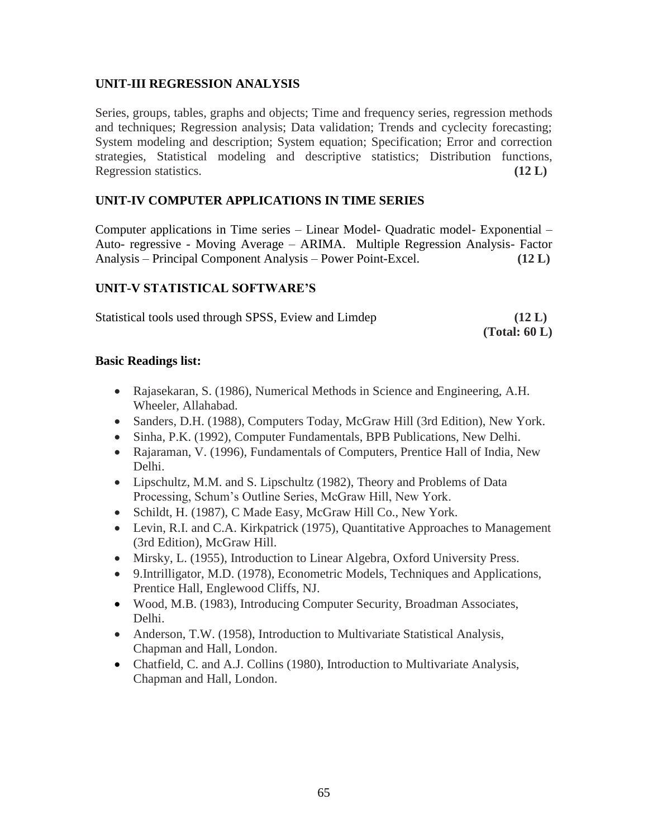# **UNIT-III REGRESSION ANALYSIS**

Series, groups, tables, graphs and objects; Time and frequency series, regression methods and techniques; Regression analysis; Data validation; Trends and cyclecity forecasting; System modeling and description; System equation; Specification; Error and correction strategies, Statistical modeling and descriptive statistics; Distribution functions, Regression statistics. **(12 L)**

### **UNIT-IV COMPUTER APPLICATIONS IN TIME SERIES**

Computer applications in Time series – Linear Model- Quadratic model- Exponential – Auto- regressive - Moving Average – ARIMA. Multiple Regression Analysis- Factor Analysis – Principal Component Analysis – Power Point-Excel. **(12 L)**

### **UNIT-V STATISTICAL SOFTWARE'S**

| Statistical tools used through SPSS, Eview and Limdep | (12 L)           |
|-------------------------------------------------------|------------------|
|                                                       | (Total: $60 L$ ) |

#### **Basic Readings list:**

- Rajasekaran, S. (1986), Numerical Methods in Science and Engineering, A.H. Wheeler, Allahabad.
- Sanders, D.H. (1988), Computers Today, McGraw Hill (3rd Edition), New York.
- Sinha, P.K. (1992), Computer Fundamentals, BPB Publications, New Delhi.
- Rajaraman, V. (1996), Fundamentals of Computers, Prentice Hall of India, New Delhi.
- Lipschultz, M.M. and S. Lipschultz (1982), Theory and Problems of Data Processing, Schum's Outline Series, McGraw Hill, New York.
- Schildt, H. (1987), C Made Easy, McGraw Hill Co., New York.
- Levin, R.I. and C.A. Kirkpatrick (1975), Quantitative Approaches to Management (3rd Edition), McGraw Hill.
- Mirsky, L. (1955), Introduction to Linear Algebra, Oxford University Press.
- 9.Intrilligator, M.D. (1978), Econometric Models, Techniques and Applications, Prentice Hall, Englewood Cliffs, NJ.
- Wood, M.B. (1983), Introducing Computer Security, Broadman Associates, Delhi.
- Anderson, T.W. (1958), Introduction to Multivariate Statistical Analysis, Chapman and Hall, London.
- Chatfield, C. and A.J. Collins (1980), Introduction to Multivariate Analysis, Chapman and Hall, London.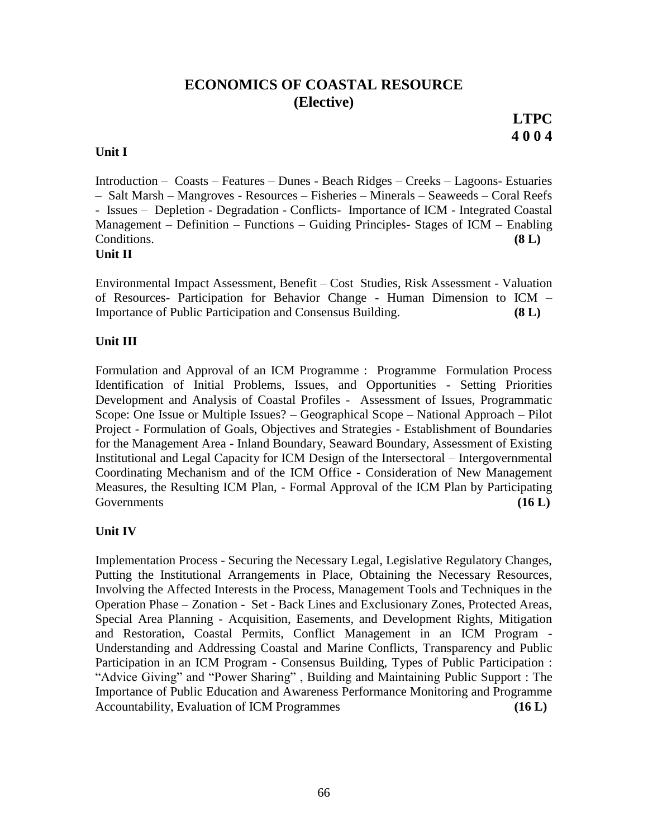# **ECONOMICS OF COASTAL RESOURCE (Elective)**

**LTPC 4 0 0 4**

### **Unit I**

Introduction – Coasts – Features – Dunes - Beach Ridges – Creeks – Lagoons- Estuaries – Salt Marsh – Mangroves - Resources – Fisheries – Minerals – Seaweeds – Coral Reefs - Issues – Depletion - Degradation - Conflicts- Importance of ICM - Integrated Coastal Management – Definition – Functions – Guiding Principles- Stages of ICM – Enabling Conditions. **(8 L) Unit II** 

Environmental Impact Assessment, Benefit – Cost Studies, Risk Assessment - Valuation of Resources- Participation for Behavior Change - Human Dimension to ICM – Importance of Public Participation and Consensus Building. **(8 L)**

# **Unit III**

Formulation and Approval of an ICM Programme : Programme Formulation Process Identification of Initial Problems, Issues, and Opportunities - Setting Priorities Development and Analysis of Coastal Profiles - Assessment of Issues, Programmatic Scope: One Issue or Multiple Issues? – Geographical Scope – National Approach – Pilot Project - Formulation of Goals, Objectives and Strategies - Establishment of Boundaries for the Management Area - Inland Boundary, Seaward Boundary, Assessment of Existing Institutional and Legal Capacity for ICM Design of the Intersectoral – Intergovernmental Coordinating Mechanism and of the ICM Office - Consideration of New Management Measures, the Resulting ICM Plan, - Formal Approval of the ICM Plan by Participating Governments **(16 L) Constants (16 L) Constants (16 L) Constants (16 L) Constants** 

# **Unit IV**

Implementation Process - Securing the Necessary Legal, Legislative Regulatory Changes, Putting the Institutional Arrangements in Place, Obtaining the Necessary Resources, Involving the Affected Interests in the Process, Management Tools and Techniques in the Operation Phase – Zonation - Set - Back Lines and Exclusionary Zones, Protected Areas, Special Area Planning - Acquisition, Easements, and Development Rights, Mitigation and Restoration, Coastal Permits, Conflict Management in an ICM Program - Understanding and Addressing Coastal and Marine Conflicts, Transparency and Public Participation in an ICM Program - Consensus Building, Types of Public Participation : "Advice Giving" and "Power Sharing", Building and Maintaining Public Support : The Importance of Public Education and Awareness Performance Monitoring and Programme Accountability, Evaluation of ICM Programmes **(16 L)**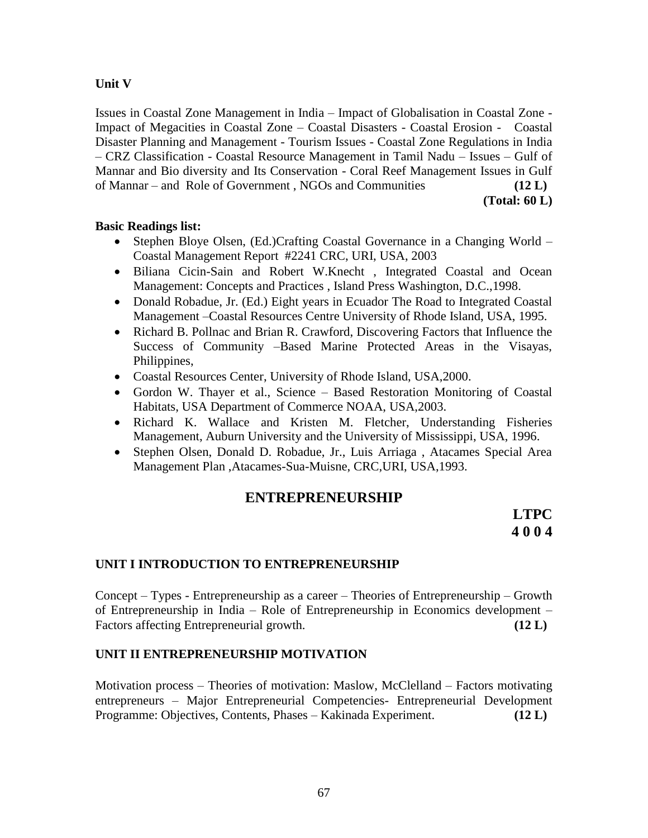# **Unit V**

Issues in Coastal Zone Management in India – Impact of Globalisation in Coastal Zone - Impact of Megacities in Coastal Zone – Coastal Disasters - Coastal Erosion - Coastal Disaster Planning and Management - Tourism Issues - Coastal Zone Regulations in India – CRZ Classification - Coastal Resource Management in Tamil Nadu – Issues – Gulf of Mannar and Bio diversity and Its Conservation - Coral Reef Management Issues in Gulf of Mannar – and Role of Government , NGOs and Communities **(12 L)**

**(Total: 60 L)**

### **Basic Readings list:**

- Stephen Bloye Olsen, (Ed.)Crafting Coastal Governance in a Changing World Coastal Management Report #2241 CRC, URI, USA, 2003
- Biliana Cicin-Sain and Robert W.Knecht , Integrated Coastal and Ocean Management: Concepts and Practices , Island Press Washington, D.C.,1998.
- Donald Robadue, Jr. (Ed.) Eight years in Ecuador The Road to Integrated Coastal Management –Coastal Resources Centre University of Rhode Island, USA, 1995.
- Richard B. Pollnac and Brian R. Crawford, Discovering Factors that Influence the Success of Community –Based Marine Protected Areas in the Visayas, Philippines,
- Coastal Resources Center, University of Rhode Island, USA,2000.
- Gordon W. Thayer et al., Science Based Restoration Monitoring of Coastal Habitats, USA Department of Commerce NOAA, USA,2003.
- Richard K. Wallace and Kristen M. Fletcher, Understanding Fisheries Management, Auburn University and the University of Mississippi, USA, 1996.
- Stephen Olsen, Donald D. Robadue, Jr., Luis Arriaga , Atacames Special Area Management Plan ,Atacames-Sua-Muisne, CRC,URI, USA,1993.

# **ENTREPRENEURSHIP**

**LTPC 4 0 0 4**

# **UNIT I INTRODUCTION TO ENTREPRENEURSHIP**

Concept – Types - Entrepreneurship as a career – Theories of Entrepreneurship – Growth of Entrepreneurship in India – Role of Entrepreneurship in Economics development – Factors affecting Entrepreneurial growth. **(12 L)**

# **UNIT II ENTREPRENEURSHIP MOTIVATION**

Motivation process – Theories of motivation: Maslow, McClelland – Factors motivating entrepreneurs – Major Entrepreneurial Competencies- Entrepreneurial Development Programme: Objectives, Contents, Phases – Kakinada Experiment. **(12 L)**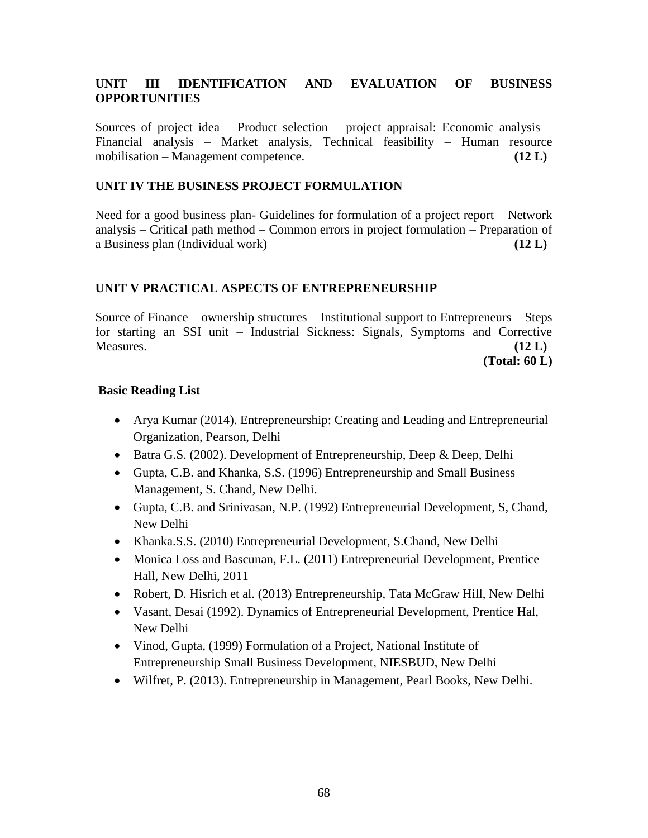# **UNIT III IDENTIFICATION AND EVALUATION OF BUSINESS OPPORTUNITIES**

Sources of project idea – Product selection – project appraisal: Economic analysis – Financial analysis – Market analysis, Technical feasibility – Human resource mobilisation – Management competence. **(12 L)**

# **UNIT IV THE BUSINESS PROJECT FORMULATION**

Need for a good business plan- Guidelines for formulation of a project report – Network analysis – Critical path method – Common errors in project formulation – Preparation of a Business plan (Individual work) **(12 L)**

# **UNIT V PRACTICAL ASPECTS OF ENTREPRENEURSHIP**

Source of Finance – ownership structures – Institutional support to Entrepreneurs – Steps for starting an SSI unit – Industrial Sickness: Signals, Symptoms and Corrective Measures. **(12 L)**

**(Total: 60 L)**

# **Basic Reading List**

- Arya Kumar (2014). Entrepreneurship: Creating and Leading and Entrepreneurial Organization, Pearson, Delhi
- Batra G.S. (2002). Development of Entrepreneurship, Deep & Deep, Delhi
- Gupta, C.B. and Khanka, S.S. (1996) Entrepreneurship and Small Business Management, S. Chand, New Delhi.
- Gupta, C.B. and Srinivasan, N.P. (1992) Entrepreneurial Development, S, Chand, New Delhi
- Khanka.S.S. (2010) Entrepreneurial Development, S.Chand, New Delhi
- Monica Loss and Bascunan, F.L. (2011) Entrepreneurial Development, Prentice Hall, New Delhi, 2011
- Robert, D. Hisrich et al. (2013) Entrepreneurship, Tata McGraw Hill, New Delhi
- Vasant, Desai (1992). Dynamics of Entrepreneurial Development, Prentice Hal, New Delhi
- Vinod, Gupta, (1999) Formulation of a Project, National Institute of Entrepreneurship Small Business Development, NIESBUD, New Delhi
- Wilfret, P. (2013). Entrepreneurship in Management, Pearl Books, New Delhi.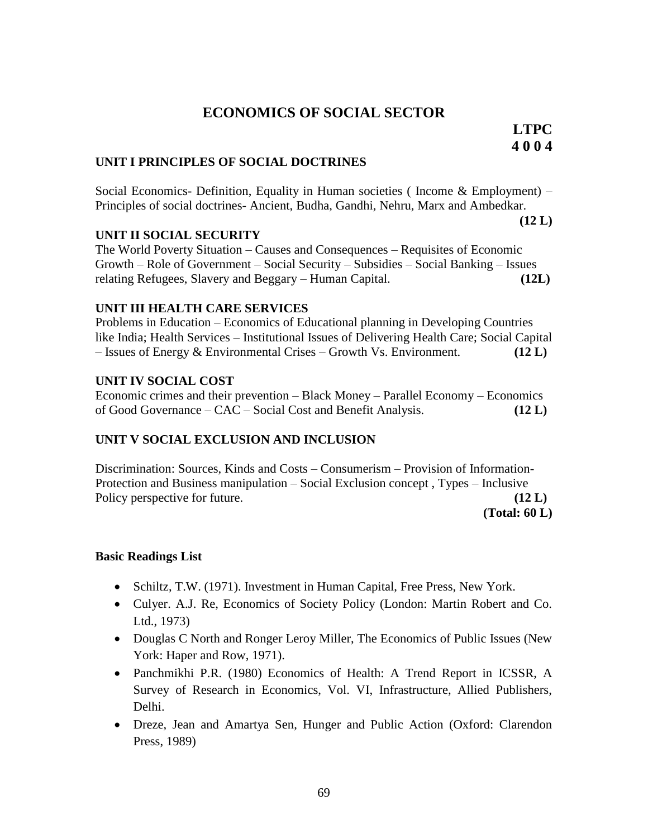# **ECONOMICS OF SOCIAL SECTOR**

**LTPC 4 0 0 4**

#### **UNIT I PRINCIPLES OF SOCIAL DOCTRINES**

Social Economics- Definition, Equality in Human societies ( Income & Employment) – Principles of social doctrines- Ancient, Budha, Gandhi, Nehru, Marx and Ambedkar.

**(12 L)**

### **UNIT II SOCIAL SECURITY**

The World Poverty Situation – Causes and Consequences – Requisites of Economic Growth – Role of Government – Social Security – Subsidies – Social Banking – Issues relating Refugees, Slavery and Beggary – Human Capital. **(12L)**

#### **UNIT III HEALTH CARE SERVICES**

Problems in Education – Economics of Educational planning in Developing Countries like India; Health Services – Institutional Issues of Delivering Health Care; Social Capital – Issues of Energy & Environmental Crises – Growth Vs. Environment. **(12 L)**

### **UNIT IV SOCIAL COST**

Economic crimes and their prevention – Black Money – Parallel Economy – Economics of Good Governance – CAC – Social Cost and Benefit Analysis. **(12 L)**

# **UNIT V SOCIAL EXCLUSION AND INCLUSION**

Discrimination: Sources, Kinds and Costs – Consumerism – Provision of Information-Protection and Business manipulation – Social Exclusion concept , Types – Inclusive Policy perspective for future. **(12 L)** (12 L)

**(Total: 60 L)**

# **Basic Readings List**

- Schiltz, T.W. (1971). Investment in Human Capital, Free Press, New York.
- Culyer. A.J. Re, Economics of Society Policy (London: Martin Robert and Co. Ltd., 1973)
- Douglas C North and Ronger Leroy Miller, The Economics of Public Issues (New York: Haper and Row, 1971).
- Panchmikhi P.R. (1980) Economics of Health: A Trend Report in ICSSR, A Survey of Research in Economics, Vol. VI, Infrastructure, Allied Publishers, Delhi.
- Dreze, Jean and Amartya Sen, Hunger and Public Action (Oxford: Clarendon Press, 1989)